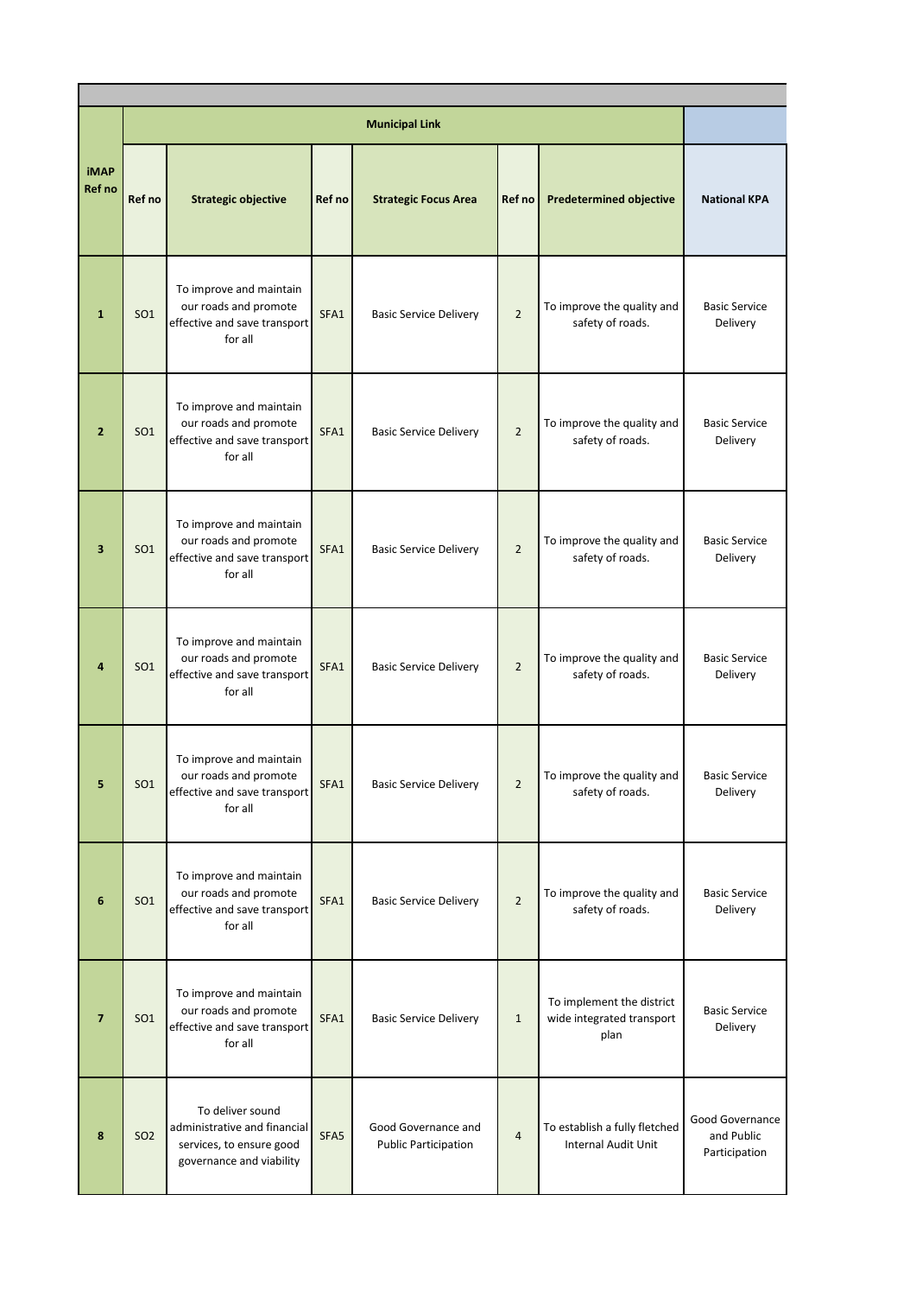|                         |                 |                                                                                                          |        | <b>Municipal Link</b>                              |                |                                                                |                                                |  |  |  |  |  |
|-------------------------|-----------------|----------------------------------------------------------------------------------------------------------|--------|----------------------------------------------------|----------------|----------------------------------------------------------------|------------------------------------------------|--|--|--|--|--|
| <b>iMAP</b><br>Ref no   | Ref no          | <b>Strategic objective</b>                                                                               | Ref no | <b>Strategic Focus Area</b>                        | Ref no         | <b>Predetermined objective</b>                                 | <b>National KPA</b>                            |  |  |  |  |  |
| $\mathbf{1}$            | SO <sub>1</sub> | To improve and maintain<br>our roads and promote<br>effective and save transport<br>for all              | SFA1   | <b>Basic Service Delivery</b>                      | $\overline{2}$ | To improve the quality and<br>safety of roads.                 | <b>Basic Service</b><br>Delivery               |  |  |  |  |  |
| $\overline{2}$          | <b>SO1</b>      | To improve and maintain<br>our roads and promote<br>effective and save transport<br>for all              | SFA1   | <b>Basic Service Delivery</b>                      | $\overline{2}$ | To improve the quality and<br>safety of roads.                 | <b>Basic Service</b><br>Delivery               |  |  |  |  |  |
| 3                       | <b>SO1</b>      | To improve and maintain<br>our roads and promote<br>effective and save transport<br>for all              | SFA1   | <b>Basic Service Delivery</b>                      | $\overline{2}$ | To improve the quality and<br>safety of roads.                 | <b>Basic Service</b><br>Delivery               |  |  |  |  |  |
| 4                       | SO <sub>1</sub> | To improve and maintain<br>our roads and promote<br>effective and save transport<br>for all              | SFA1   | <b>Basic Service Delivery</b>                      | $\overline{2}$ | To improve the quality and<br>safety of roads.                 | <b>Basic Service</b><br>Delivery               |  |  |  |  |  |
| 5                       | SO <sub>1</sub> | To improve and maintain<br>our roads and promote<br>effective and save transport<br>for all              | SFA1   | <b>Basic Service Delivery</b>                      | $\overline{2}$ | To improve the quality and<br>safety of roads.                 | <b>Basic Service</b><br>Delivery               |  |  |  |  |  |
| 6                       | SO <sub>1</sub> | To improve and maintain<br>our roads and promote<br>effective and save transport<br>for all              | SFA1   | <b>Basic Service Delivery</b>                      | $\overline{2}$ | To improve the quality and<br>safety of roads.                 | <b>Basic Service</b><br>Delivery               |  |  |  |  |  |
| $\overline{\mathbf{z}}$ | SO <sub>1</sub> | To improve and maintain<br>our roads and promote<br>effective and save transport<br>for all              | SFA1   | <b>Basic Service Delivery</b>                      | $\mathbf{1}$   | To implement the district<br>wide integrated transport<br>plan | <b>Basic Service</b><br>Delivery               |  |  |  |  |  |
| 8                       | <b>SO2</b>      | To deliver sound<br>administrative and financial<br>services, to ensure good<br>governance and viability | SFA5   | Good Governance and<br><b>Public Participation</b> | 4              | To establish a fully fletched<br>Internal Audit Unit           | Good Governance<br>and Public<br>Participation |  |  |  |  |  |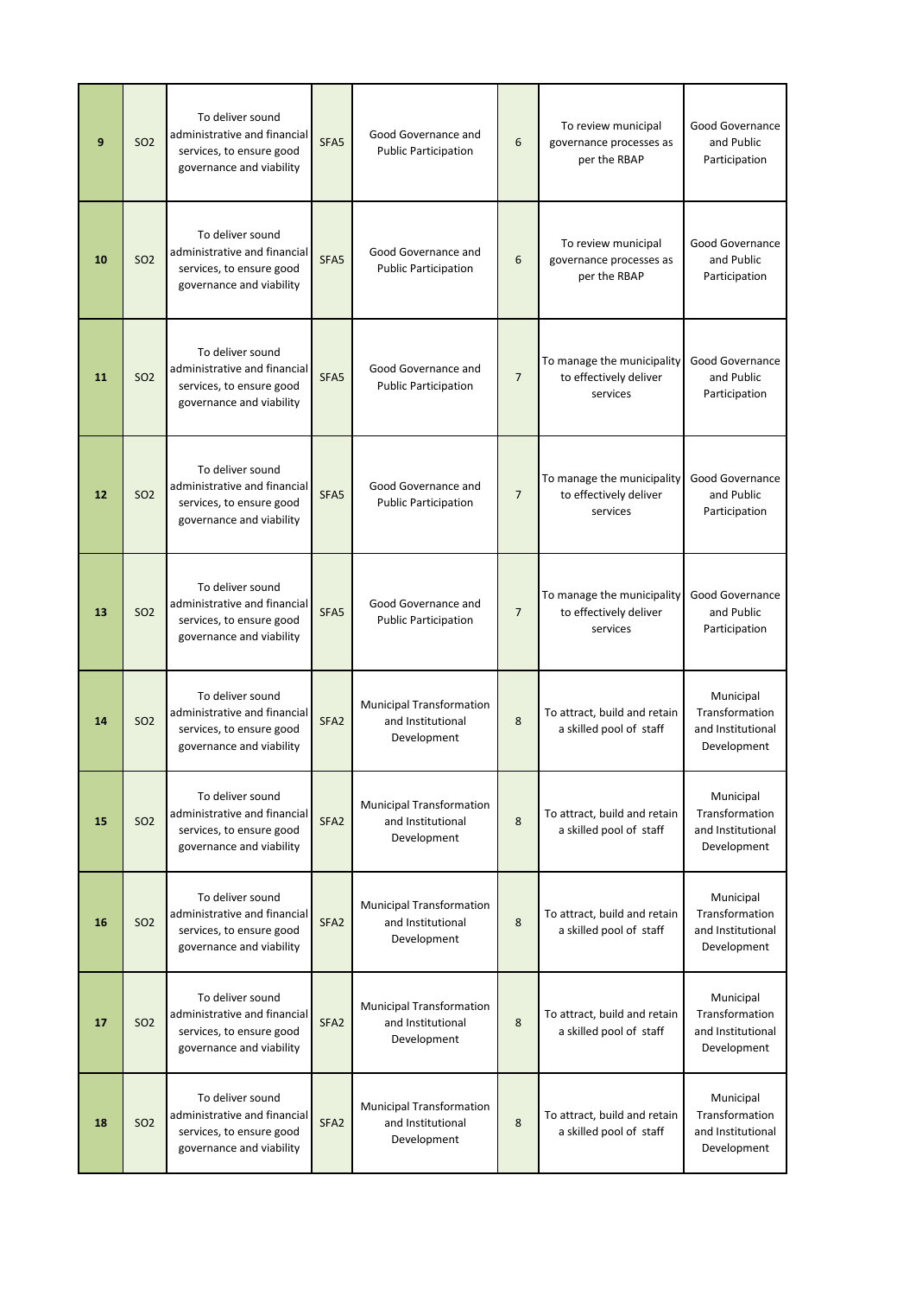| 9  | <b>SO2</b> | To deliver sound<br>administrative and financial<br>services, to ensure good<br>governance and viability | SFA <sub>5</sub> | Good Governance and<br><b>Public Participation</b>                  | 6              | To review municipal<br>governance processes as<br>per the RBAP   | Good Governance<br>and Public<br>Participation                  |
|----|------------|----------------------------------------------------------------------------------------------------------|------------------|---------------------------------------------------------------------|----------------|------------------------------------------------------------------|-----------------------------------------------------------------|
| 10 | <b>SO2</b> | To deliver sound<br>administrative and financial<br>services, to ensure good<br>governance and viability | SFA <sub>5</sub> | Good Governance and<br><b>Public Participation</b>                  | 6              | To review municipal<br>governance processes as<br>per the RBAP   | Good Governance<br>and Public<br>Participation                  |
| 11 | <b>SO2</b> | To deliver sound<br>administrative and financial<br>services, to ensure good<br>governance and viability | SFA <sub>5</sub> | Good Governance and<br><b>Public Participation</b>                  | $\overline{7}$ | To manage the municipality<br>to effectively deliver<br>services | Good Governance<br>and Public<br>Participation                  |
| 12 | <b>SO2</b> | To deliver sound<br>administrative and financial<br>services, to ensure good<br>governance and viability | SFA <sub>5</sub> | Good Governance and<br><b>Public Participation</b>                  | $\overline{7}$ | To manage the municipality<br>to effectively deliver<br>services | Good Governance<br>and Public<br>Participation                  |
| 13 | <b>SO2</b> | To deliver sound<br>administrative and financial<br>services, to ensure good<br>governance and viability | SFA <sub>5</sub> | Good Governance and<br><b>Public Participation</b>                  | $\overline{7}$ | To manage the municipality<br>to effectively deliver<br>services | Good Governance<br>and Public<br>Participation                  |
| 14 | <b>SO2</b> | To deliver sound<br>administrative and financial<br>services, to ensure good<br>governance and viability | SFA <sub>2</sub> | <b>Municipal Transformation</b><br>and Institutional<br>Development | 8              | To attract, build and retain<br>a skilled pool of staff          | Municipal<br>Transformation<br>and Institutional<br>Development |
| 15 | <b>SO2</b> | To deliver sound<br>administrative and financial<br>services, to ensure good<br>governance and viability | SFA <sub>2</sub> | <b>Municipal Transformation</b><br>and Institutional<br>Development | 8              | To attract, build and retain<br>a skilled pool of staff          | Municipal<br>Transformation<br>and Institutional<br>Development |
| 16 | <b>SO2</b> | To deliver sound<br>administrative and financial<br>services, to ensure good<br>governance and viability | SFA <sub>2</sub> | <b>Municipal Transformation</b><br>and Institutional<br>Development | 8              | To attract, build and retain<br>a skilled pool of staff          | Municipal<br>Transformation<br>and Institutional<br>Development |
| 17 | <b>SO2</b> | To deliver sound<br>administrative and financial<br>services, to ensure good<br>governance and viability | SFA <sub>2</sub> | <b>Municipal Transformation</b><br>and Institutional<br>Development | 8              | To attract, build and retain<br>a skilled pool of staff          | Municipal<br>Transformation<br>and Institutional<br>Development |
| 18 | <b>SO2</b> | To deliver sound<br>administrative and financial<br>services, to ensure good<br>governance and viability | SFA <sub>2</sub> | <b>Municipal Transformation</b><br>and Institutional<br>Development | 8              | To attract, build and retain<br>a skilled pool of staff          | Municipal<br>Transformation<br>and Institutional<br>Development |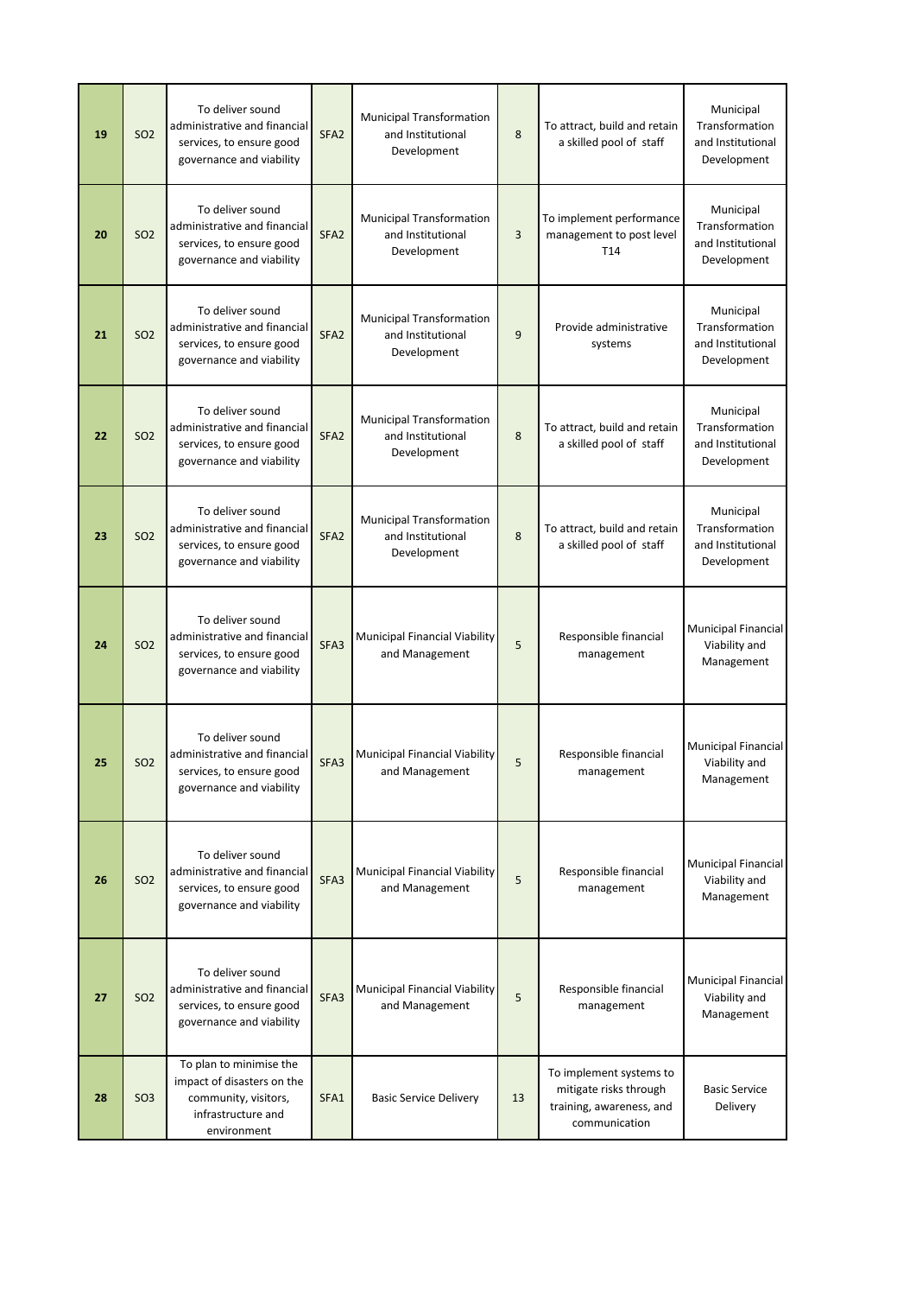| 19 | <b>SO2</b> | To deliver sound<br>administrative and financial<br>services, to ensure good<br>governance and viability           | SFA <sub>2</sub> | <b>Municipal Transformation</b><br>and Institutional<br>Development | 8  | To attract, build and retain<br>a skilled pool of staff                                        | Municipal<br>Transformation<br>and Institutional<br>Development |
|----|------------|--------------------------------------------------------------------------------------------------------------------|------------------|---------------------------------------------------------------------|----|------------------------------------------------------------------------------------------------|-----------------------------------------------------------------|
| 20 | <b>SO2</b> | To deliver sound<br>administrative and financial<br>services, to ensure good<br>governance and viability           | SFA <sub>2</sub> | <b>Municipal Transformation</b><br>and Institutional<br>Development | 3  | To implement performance<br>management to post level<br>T14                                    | Municipal<br>Transformation<br>and Institutional<br>Development |
| 21 | <b>SO2</b> | To deliver sound<br>administrative and financial<br>services, to ensure good<br>governance and viability           | SFA <sub>2</sub> | <b>Municipal Transformation</b><br>and Institutional<br>Development | 9  | Provide administrative<br>systems                                                              | Municipal<br>Transformation<br>and Institutional<br>Development |
| 22 | <b>SO2</b> | To deliver sound<br>administrative and financial<br>services, to ensure good<br>governance and viability           | SFA <sub>2</sub> | <b>Municipal Transformation</b><br>and Institutional<br>Development | 8  | To attract, build and retain<br>a skilled pool of staff                                        | Municipal<br>Transformation<br>and Institutional<br>Development |
| 23 | <b>SO2</b> | To deliver sound<br>administrative and financial<br>services, to ensure good<br>governance and viability           | SFA <sub>2</sub> | <b>Municipal Transformation</b><br>and Institutional<br>Development | 8  | To attract, build and retain<br>a skilled pool of staff                                        | Municipal<br>Transformation<br>and Institutional<br>Development |
| 24 | <b>SO2</b> | To deliver sound<br>administrative and financial<br>services, to ensure good<br>governance and viability           | SFA3             | Municipal Financial Viability<br>and Management                     | 5  | Responsible financial<br>management                                                            | <b>Municipal Financial</b><br>Viability and<br>Management       |
| 25 | <b>SO2</b> | To deliver sound<br>administrative and financial<br>services, to ensure good<br>governance and viability           | SFA3             | Municipal Financial Viability<br>and Management                     | 5  | Responsible financial<br>management                                                            | <b>Municipal Financial</b><br>Viability and<br>Management       |
| 26 | <b>SO2</b> | To deliver sound<br>administrative and financial<br>services, to ensure good<br>governance and viability           | SFA3             | Municipal Financial Viability<br>and Management                     | 5  | Responsible financial<br>management                                                            | <b>Municipal Financial</b><br>Viability and<br>Management       |
| 27 | <b>SO2</b> | To deliver sound<br>administrative and financial<br>services, to ensure good<br>governance and viability           | SFA3             | Municipal Financial Viability<br>and Management                     | 5  | Responsible financial<br>management                                                            | <b>Municipal Financial</b><br>Viability and<br>Management       |
| 28 | <b>SO3</b> | To plan to minimise the<br>impact of disasters on the<br>community, visitors,<br>infrastructure and<br>environment | SFA1             | <b>Basic Service Delivery</b>                                       | 13 | To implement systems to<br>mitigate risks through<br>training, awareness, and<br>communication | <b>Basic Service</b><br>Delivery                                |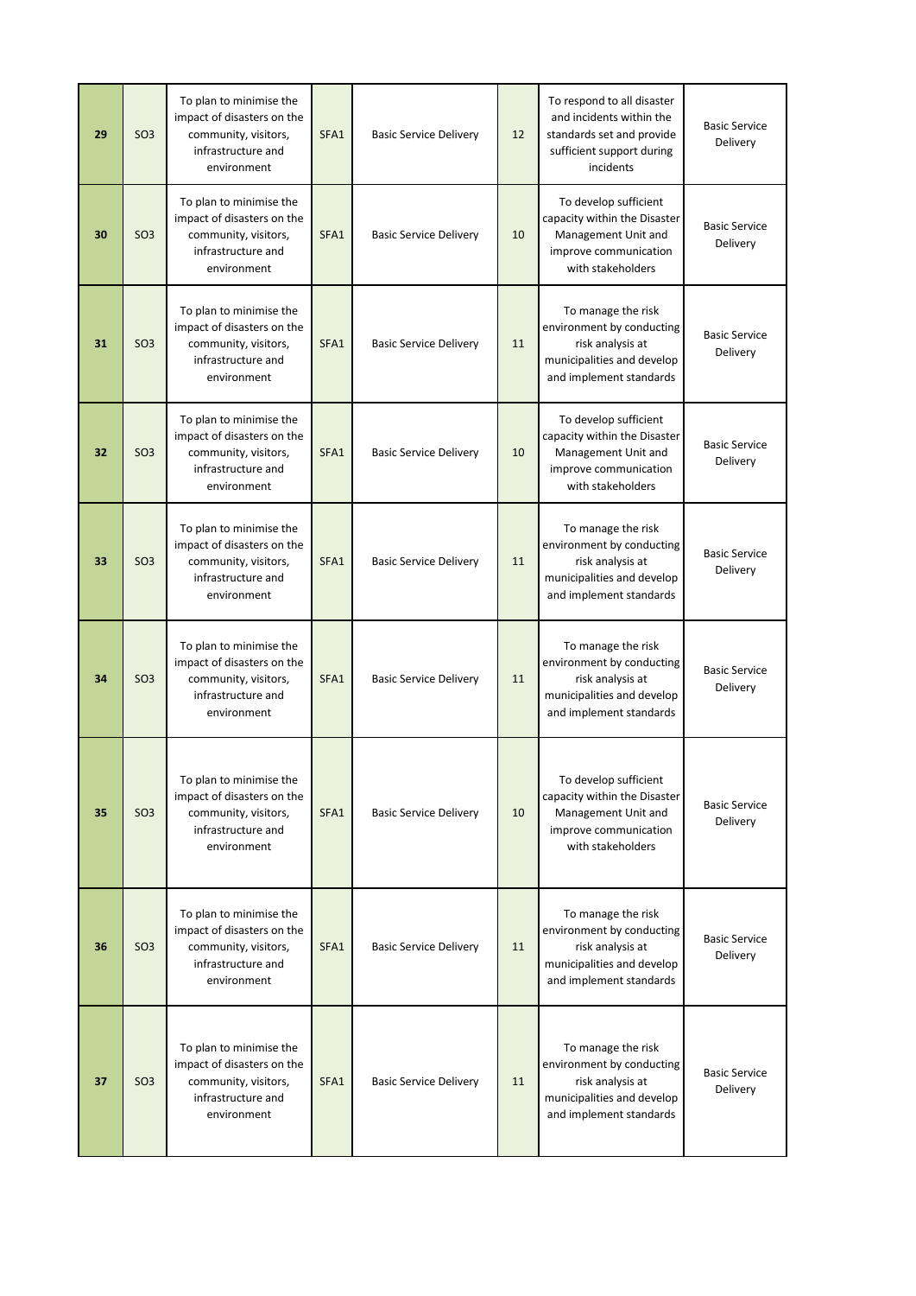| 29 | SO <sub>3</sub> | To plan to minimise the<br>impact of disasters on the<br>community, visitors,<br>infrastructure and<br>environment | SFA1 | <b>Basic Service Delivery</b> | 12 | To respond to all disaster<br>and incidents within the<br>standards set and provide<br>sufficient support during<br>incidents | <b>Basic Service</b><br>Delivery |
|----|-----------------|--------------------------------------------------------------------------------------------------------------------|------|-------------------------------|----|-------------------------------------------------------------------------------------------------------------------------------|----------------------------------|
| 30 | <b>SO3</b>      | To plan to minimise the<br>impact of disasters on the<br>community, visitors,<br>infrastructure and<br>environment | SFA1 | <b>Basic Service Delivery</b> | 10 | To develop sufficient<br>capacity within the Disaster<br>Management Unit and<br>improve communication<br>with stakeholders    | <b>Basic Service</b><br>Delivery |
| 31 | SO <sub>3</sub> | To plan to minimise the<br>impact of disasters on the<br>community, visitors,<br>infrastructure and<br>environment | SFA1 | <b>Basic Service Delivery</b> | 11 | To manage the risk<br>environment by conducting<br>risk analysis at<br>municipalities and develop<br>and implement standards  | <b>Basic Service</b><br>Delivery |
| 32 | SO <sub>3</sub> | To plan to minimise the<br>impact of disasters on the<br>community, visitors,<br>infrastructure and<br>environment | SFA1 | <b>Basic Service Delivery</b> | 10 | To develop sufficient<br>capacity within the Disaster<br>Management Unit and<br>improve communication<br>with stakeholders    | <b>Basic Service</b><br>Delivery |
| 33 | SO <sub>3</sub> | To plan to minimise the<br>impact of disasters on the<br>community, visitors,<br>infrastructure and<br>environment | SFA1 | <b>Basic Service Delivery</b> | 11 | To manage the risk<br>environment by conducting<br>risk analysis at<br>municipalities and develop<br>and implement standards  | <b>Basic Service</b><br>Delivery |
| 34 | SO <sub>3</sub> | To plan to minimise the<br>impact of disasters on the<br>community, visitors,<br>infrastructure and<br>environment | SFA1 | <b>Basic Service Delivery</b> | 11 | To manage the risk<br>environment by conducting<br>risk analysis at<br>municipalities and develop<br>and implement standards  | <b>Basic Service</b><br>Delivery |
| 35 | SO <sub>3</sub> | To plan to minimise the<br>impact of disasters on the<br>community, visitors,<br>infrastructure and<br>environment | SFA1 | <b>Basic Service Delivery</b> | 10 | To develop sufficient<br>capacity within the Disaster<br>Management Unit and<br>improve communication<br>with stakeholders    | <b>Basic Service</b><br>Delivery |
| 36 | SO <sub>3</sub> | To plan to minimise the<br>impact of disasters on the<br>community, visitors,<br>infrastructure and<br>environment | SFA1 | <b>Basic Service Delivery</b> | 11 | To manage the risk<br>environment by conducting<br>risk analysis at<br>municipalities and develop<br>and implement standards  | <b>Basic Service</b><br>Delivery |
| 37 | <b>SO3</b>      | To plan to minimise the<br>impact of disasters on the<br>community, visitors,<br>infrastructure and<br>environment | SFA1 | <b>Basic Service Delivery</b> | 11 | To manage the risk<br>environment by conducting<br>risk analysis at<br>municipalities and develop<br>and implement standards  | <b>Basic Service</b><br>Delivery |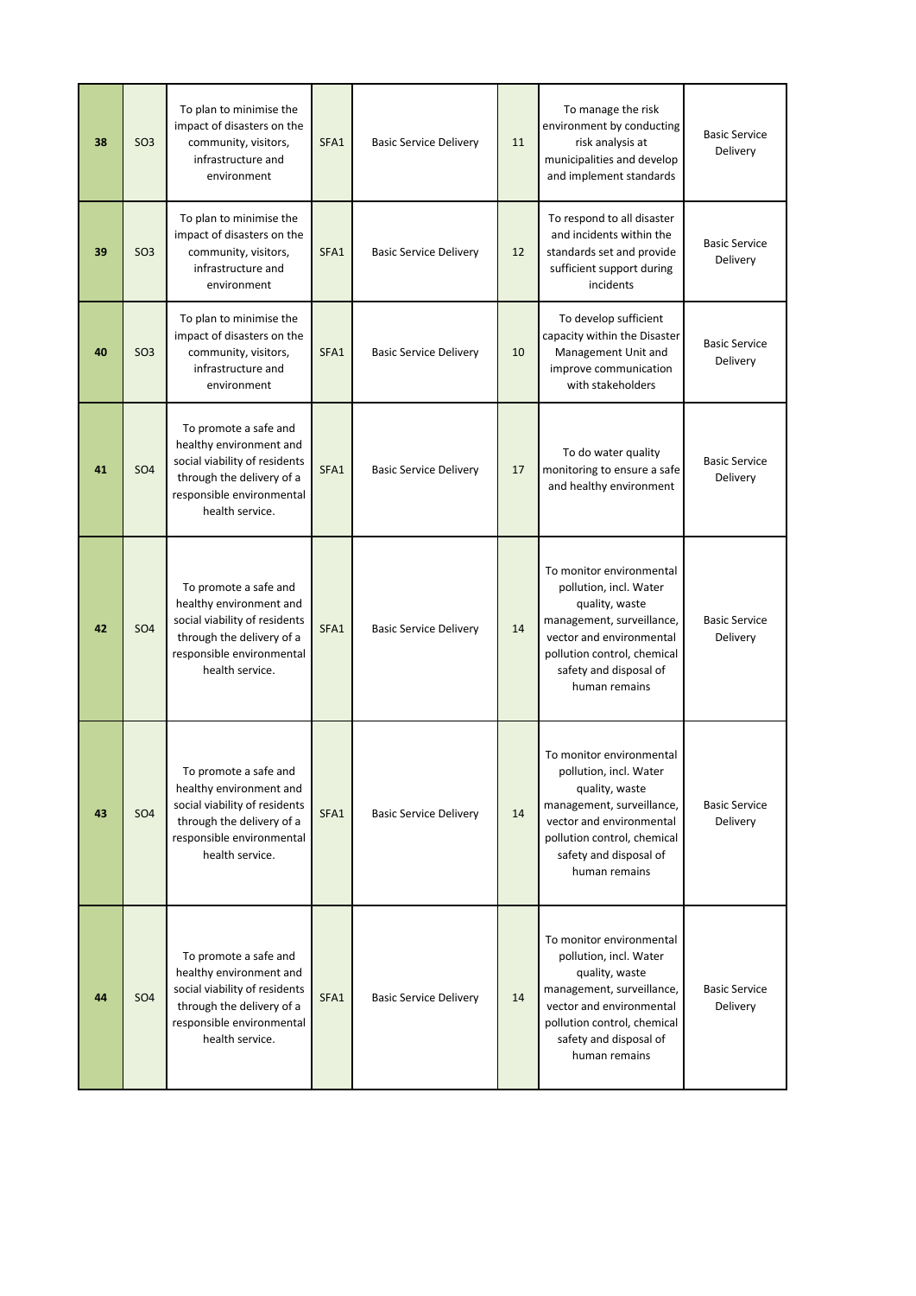| 38 | SO <sub>3</sub> | To plan to minimise the<br>impact of disasters on the<br>community, visitors,<br>infrastructure and<br>environment                                             | SFA1 | <b>Basic Service Delivery</b> | 11 | To manage the risk<br>environment by conducting<br>risk analysis at<br>municipalities and develop<br>and implement standards                                                                            | <b>Basic Service</b><br>Delivery        |
|----|-----------------|----------------------------------------------------------------------------------------------------------------------------------------------------------------|------|-------------------------------|----|---------------------------------------------------------------------------------------------------------------------------------------------------------------------------------------------------------|-----------------------------------------|
| 39 | <b>SO3</b>      | To plan to minimise the<br>impact of disasters on the<br>community, visitors,<br>infrastructure and<br>environment                                             | SFA1 | <b>Basic Service Delivery</b> | 12 | To respond to all disaster<br>and incidents within the<br>standards set and provide<br>sufficient support during<br>incidents                                                                           | <b>Basic Service</b><br>Delivery        |
| 40 | <b>SO3</b>      | To plan to minimise the<br>impact of disasters on the<br>community, visitors,<br>infrastructure and<br>environment                                             | SFA1 | <b>Basic Service Delivery</b> | 10 | To develop sufficient<br>capacity within the Disaster<br>Management Unit and<br>improve communication<br>with stakeholders                                                                              | <b>Basic Service</b><br>Delivery        |
| 41 | <b>SO4</b>      | To promote a safe and<br>healthy environment and<br>social viability of residents<br>through the delivery of a<br>responsible environmental<br>health service. | SFA1 | <b>Basic Service Delivery</b> | 17 | To do water quality<br>monitoring to ensure a safe<br>and healthy environment                                                                                                                           | <b>Basic Service</b><br>Delivery        |
| 42 | <b>SO4</b>      | To promote a safe and<br>healthy environment and<br>social viability of residents<br>through the delivery of a<br>responsible environmental<br>health service. | SFA1 | <b>Basic Service Delivery</b> | 14 | To monitor environmental<br>pollution, incl. Water<br>quality, waste<br>management, surveillance,<br>vector and environmental<br>pollution control, chemical<br>safety and disposal of<br>human remains | <b>Basic Service</b><br>Delivery        |
| 43 | SO <sub>4</sub> | To promote a safe and<br>healthy environment and<br>social viability of residents<br>through the delivery of a<br>responsible environmental<br>health service. | SFA1 | <b>Basic Service Delivery</b> | 14 | To monitor environmental<br>pollution, incl. Water<br>quality, waste<br>management, surveillance,<br>vector and environmental<br>pollution control, chemical<br>safety and disposal of<br>human remains | <b>Basic Service</b><br><b>Delivery</b> |
| 44 | <b>SO4</b>      | To promote a safe and<br>healthy environment and<br>social viability of residents<br>through the delivery of a<br>responsible environmental<br>health service. | SFA1 | <b>Basic Service Delivery</b> | 14 | To monitor environmental<br>pollution, incl. Water<br>quality, waste<br>management, surveillance,<br>vector and environmental<br>pollution control, chemical<br>safety and disposal of<br>human remains | <b>Basic Service</b><br><b>Delivery</b> |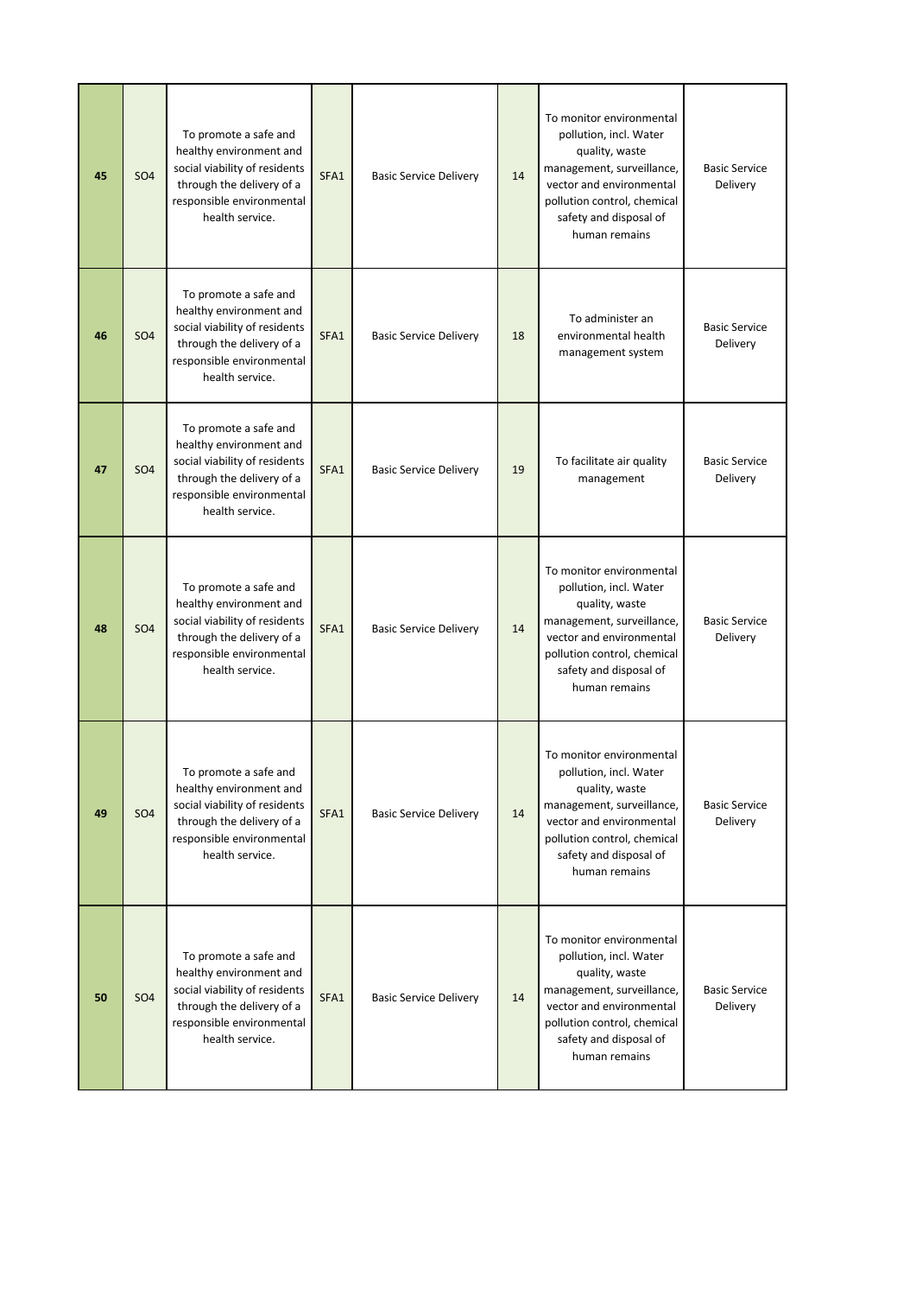| 45 | SO <sub>4</sub> | To promote a safe and<br>healthy environment and<br>social viability of residents<br>through the delivery of a<br>responsible environmental<br>health service. | SFA1 | <b>Basic Service Delivery</b> | 14 | To monitor environmental<br>pollution, incl. Water<br>quality, waste<br>management, surveillance,<br>vector and environmental<br>pollution control, chemical<br>safety and disposal of<br>human remains | <b>Basic Service</b><br>Delivery |
|----|-----------------|----------------------------------------------------------------------------------------------------------------------------------------------------------------|------|-------------------------------|----|---------------------------------------------------------------------------------------------------------------------------------------------------------------------------------------------------------|----------------------------------|
| 46 | SO <sub>4</sub> | To promote a safe and<br>healthy environment and<br>social viability of residents<br>through the delivery of a<br>responsible environmental<br>health service. | SFA1 | <b>Basic Service Delivery</b> | 18 | To administer an<br>environmental health<br>management system                                                                                                                                           | <b>Basic Service</b><br>Delivery |
| 47 | <b>SO4</b>      | To promote a safe and<br>healthy environment and<br>social viability of residents<br>through the delivery of a<br>responsible environmental<br>health service. | SFA1 | <b>Basic Service Delivery</b> | 19 | To facilitate air quality<br>management                                                                                                                                                                 | <b>Basic Service</b><br>Delivery |
| 48 | <b>SO4</b>      | To promote a safe and<br>healthy environment and<br>social viability of residents<br>through the delivery of a<br>responsible environmental<br>health service. | SFA1 | <b>Basic Service Delivery</b> | 14 | To monitor environmental<br>pollution, incl. Water<br>quality, waste<br>management, surveillance,<br>vector and environmental<br>pollution control, chemical<br>safety and disposal of<br>human remains | <b>Basic Service</b><br>Delivery |
| 49 | <b>SO4</b>      | To promote a safe and<br>healthy environment and<br>social viability of residents<br>through the delivery of a<br>responsible environmental<br>health service. | SFA1 | <b>Basic Service Delivery</b> | 14 | To monitor environmental<br>pollution, incl. Water<br>quality, waste<br>management, surveillance,<br>vector and environmental<br>pollution control, chemical<br>safety and disposal of<br>human remains | <b>Basic Service</b><br>Delivery |
| 50 | <b>SO4</b>      | To promote a safe and<br>healthy environment and<br>social viability of residents<br>through the delivery of a<br>responsible environmental<br>health service. | SFA1 | <b>Basic Service Delivery</b> | 14 | To monitor environmental<br>pollution, incl. Water<br>quality, waste<br>management, surveillance,<br>vector and environmental<br>pollution control, chemical<br>safety and disposal of<br>human remains | <b>Basic Service</b><br>Delivery |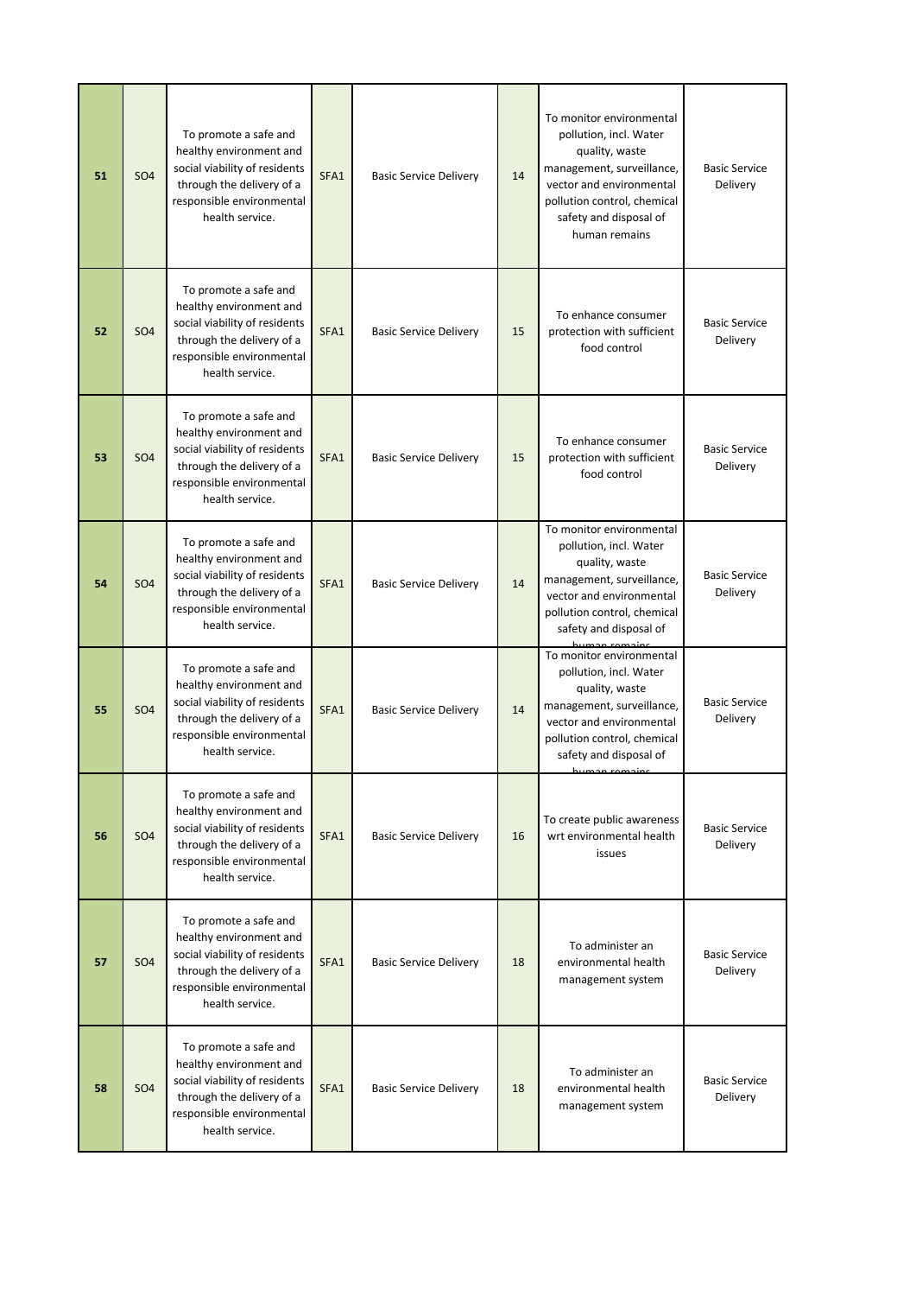| 51 | <b>SO4</b> | To promote a safe and<br>healthy environment and<br>social viability of residents<br>through the delivery of a<br>responsible environmental<br>health service. | SFA1 | <b>Basic Service Delivery</b> | 14 | To monitor environmental<br>pollution, incl. Water<br>quality, waste<br>management, surveillance,<br>vector and environmental<br>pollution control, chemical<br>safety and disposal of<br>human remains  | <b>Basic Service</b><br>Delivery |
|----|------------|----------------------------------------------------------------------------------------------------------------------------------------------------------------|------|-------------------------------|----|----------------------------------------------------------------------------------------------------------------------------------------------------------------------------------------------------------|----------------------------------|
| 52 | <b>SO4</b> | To promote a safe and<br>healthy environment and<br>social viability of residents<br>through the delivery of a<br>responsible environmental<br>health service. | SFA1 | <b>Basic Service Delivery</b> | 15 | To enhance consumer<br>protection with sufficient<br>food control                                                                                                                                        | <b>Basic Service</b><br>Delivery |
| 53 | <b>SO4</b> | To promote a safe and<br>healthy environment and<br>social viability of residents<br>through the delivery of a<br>responsible environmental<br>health service. | SFA1 | <b>Basic Service Delivery</b> | 15 | To enhance consumer<br>protection with sufficient<br>food control                                                                                                                                        | <b>Basic Service</b><br>Delivery |
| 54 | <b>SO4</b> | To promote a safe and<br>healthy environment and<br>social viability of residents<br>through the delivery of a<br>responsible environmental<br>health service. | SFA1 | <b>Basic Service Delivery</b> | 14 | To monitor environmental<br>pollution, incl. Water<br>quality, waste<br>management, surveillance,<br>vector and environmental<br>pollution control, chemical<br>safety and disposal of                   | <b>Basic Service</b><br>Delivery |
| 55 | <b>SO4</b> | To promote a safe and<br>healthy environment and<br>social viability of residents<br>through the delivery of a<br>responsible environmental<br>health service. | SFA1 | <b>Basic Service Delivery</b> | 14 | To monitor environmental<br>pollution, incl. Water<br>quality, waste<br>management, surveillance,<br>vector and environmental<br>pollution control, chemical<br>safety and disposal of<br>يمنحصمه محصيبط | <b>Basic Service</b><br>Delivery |
| 56 | <b>SO4</b> | To promote a safe and<br>healthy environment and<br>social viability of residents<br>through the delivery of a<br>responsible environmental<br>health service. | SFA1 | <b>Basic Service Delivery</b> | 16 | To create public awareness<br>wrt environmental health<br>issues                                                                                                                                         | <b>Basic Service</b><br>Delivery |
| 57 | <b>SO4</b> | To promote a safe and<br>healthy environment and<br>social viability of residents<br>through the delivery of a<br>responsible environmental<br>health service. | SFA1 | <b>Basic Service Delivery</b> | 18 | To administer an<br>environmental health<br>management system                                                                                                                                            | <b>Basic Service</b><br>Delivery |
| 58 | <b>SO4</b> | To promote a safe and<br>healthy environment and<br>social viability of residents<br>through the delivery of a<br>responsible environmental<br>health service. | SFA1 | <b>Basic Service Delivery</b> | 18 | To administer an<br>environmental health<br>management system                                                                                                                                            | <b>Basic Service</b><br>Delivery |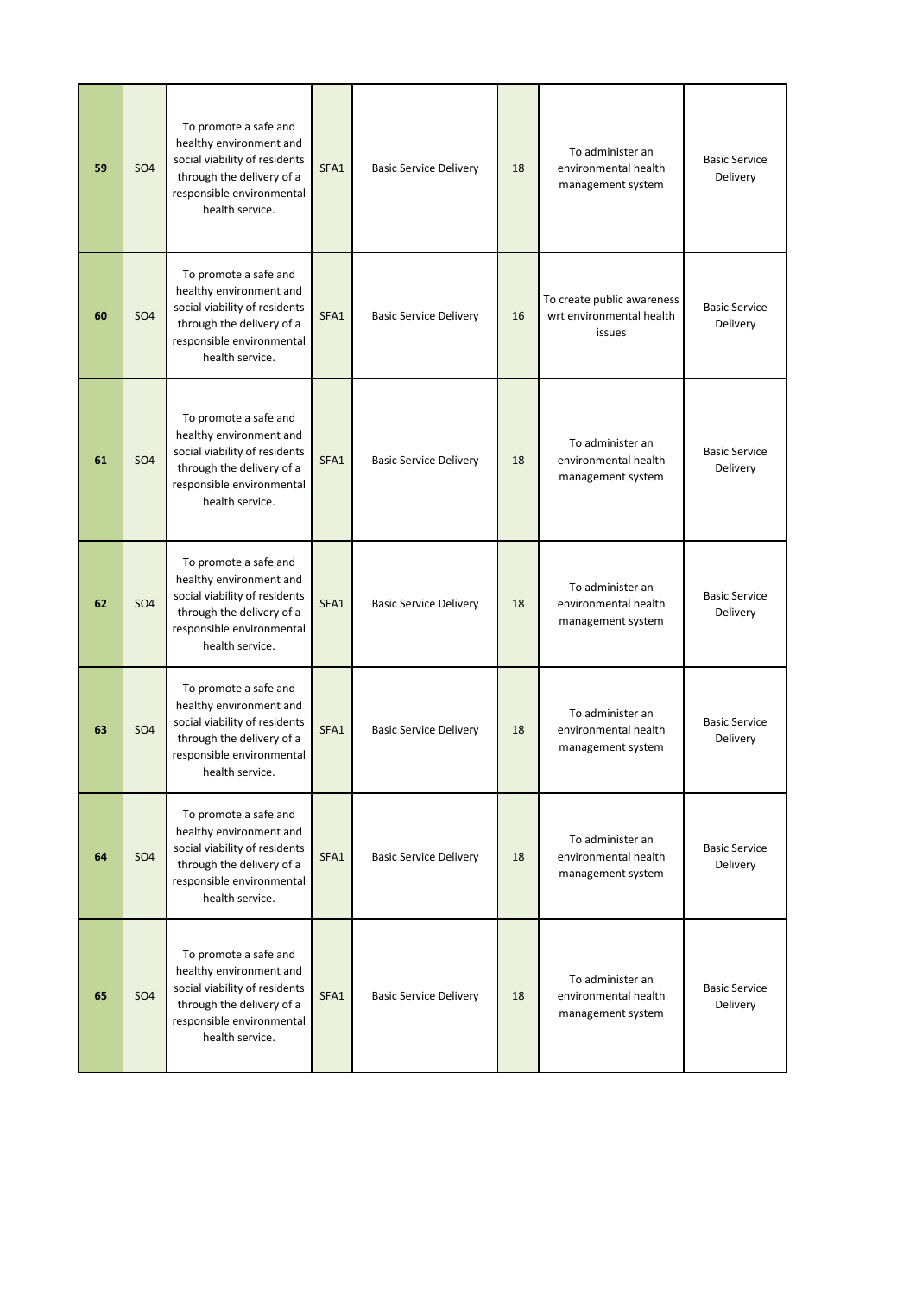| 59 | <b>SO4</b>      | To promote a safe and<br>healthy environment and<br>social viability of residents<br>through the delivery of a<br>responsible environmental<br>health service. | SFA1 | <b>Basic Service Delivery</b> | 18 | To administer an<br>environmental health<br>management system    | <b>Basic Service</b><br>Delivery |
|----|-----------------|----------------------------------------------------------------------------------------------------------------------------------------------------------------|------|-------------------------------|----|------------------------------------------------------------------|----------------------------------|
| 60 | SO <sub>4</sub> | To promote a safe and<br>healthy environment and<br>social viability of residents<br>through the delivery of a<br>responsible environmental<br>health service. | SFA1 | <b>Basic Service Delivery</b> | 16 | To create public awareness<br>wrt environmental health<br>issues | <b>Basic Service</b><br>Delivery |
| 61 | <b>SO4</b>      | To promote a safe and<br>healthy environment and<br>social viability of residents<br>through the delivery of a<br>responsible environmental<br>health service. | SFA1 | <b>Basic Service Delivery</b> | 18 | To administer an<br>environmental health<br>management system    | <b>Basic Service</b><br>Delivery |
| 62 | <b>SO4</b>      | To promote a safe and<br>healthy environment and<br>social viability of residents<br>through the delivery of a<br>responsible environmental<br>health service. | SFA1 | <b>Basic Service Delivery</b> | 18 | To administer an<br>environmental health<br>management system    | <b>Basic Service</b><br>Delivery |
| 63 | SO <sub>4</sub> | To promote a safe and<br>healthy environment and<br>social viability of residents<br>through the delivery of a<br>responsible environmental<br>health service. | SFA1 | <b>Basic Service Delivery</b> | 18 | To administer an<br>environmental health<br>management system    | <b>Basic Service</b><br>Delivery |
| 64 | <b>SO4</b>      | To promote a safe and<br>healthy environment and<br>social viability of residents<br>through the delivery of a<br>responsible environmental<br>health service. | SFA1 | <b>Basic Service Delivery</b> | 18 | To administer an<br>environmental health<br>management system    | <b>Basic Service</b><br>Delivery |
| 65 | SO <sub>4</sub> | To promote a safe and<br>healthy environment and<br>social viability of residents<br>through the delivery of a<br>responsible environmental<br>health service. | SFA1 | <b>Basic Service Delivery</b> | 18 | To administer an<br>environmental health<br>management system    | <b>Basic Service</b><br>Delivery |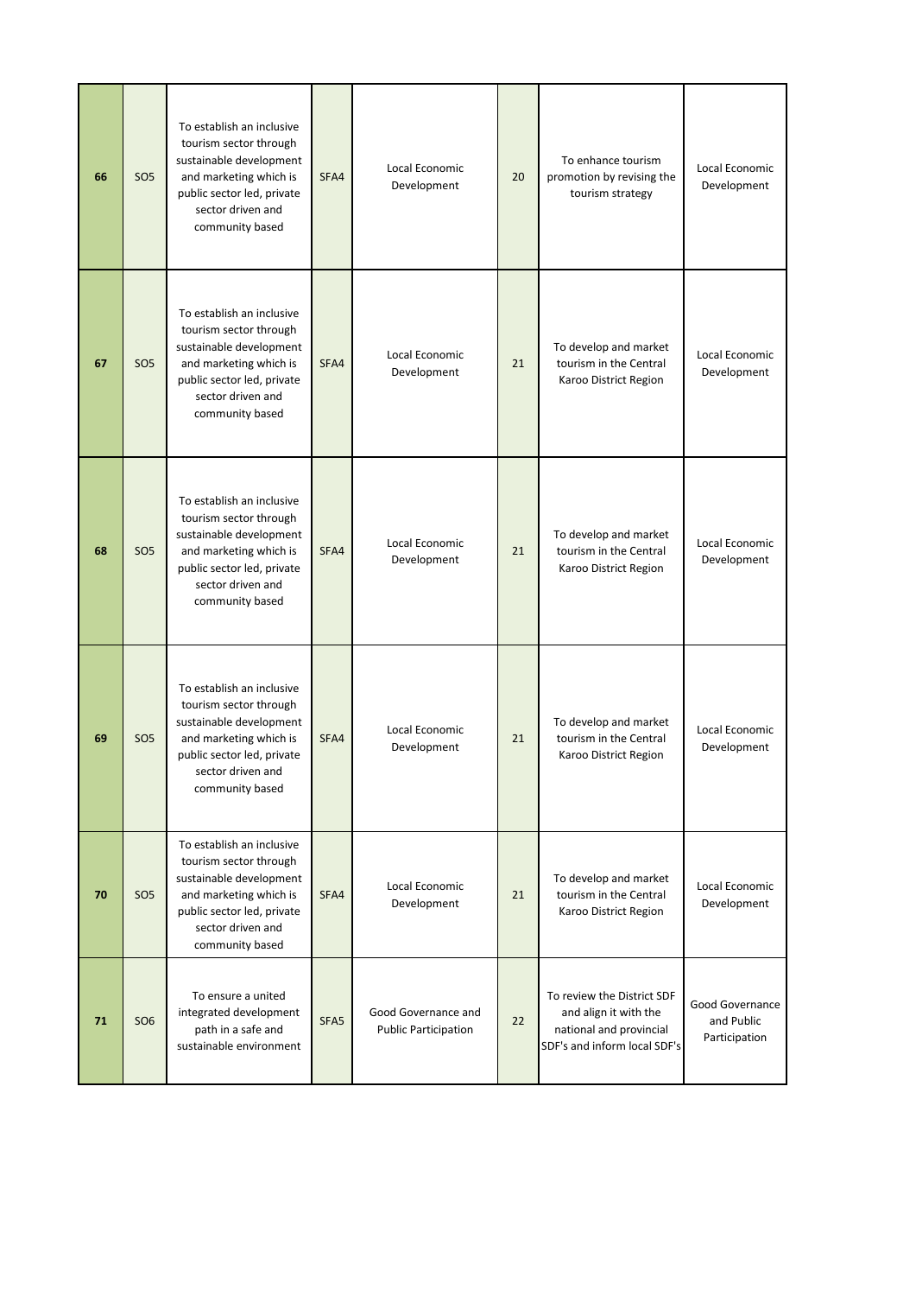| 66 | SO <sub>5</sub> | To establish an inclusive<br>tourism sector through<br>sustainable development<br>and marketing which is<br>public sector led, private<br>sector driven and<br>community based | SFA4             | Local Economic<br>Development                      | 20 | To enhance tourism<br>promotion by revising the<br>tourism strategy                                            | Local Economic<br>Development                  |
|----|-----------------|--------------------------------------------------------------------------------------------------------------------------------------------------------------------------------|------------------|----------------------------------------------------|----|----------------------------------------------------------------------------------------------------------------|------------------------------------------------|
| 67 | SO <sub>5</sub> | To establish an inclusive<br>tourism sector through<br>sustainable development<br>and marketing which is<br>public sector led, private<br>sector driven and<br>community based | SFA4             | Local Economic<br>Development                      | 21 | To develop and market<br>tourism in the Central<br>Karoo District Region                                       | Local Economic<br>Development                  |
| 68 | SO <sub>5</sub> | To establish an inclusive<br>tourism sector through<br>sustainable development<br>and marketing which is<br>public sector led, private<br>sector driven and<br>community based | SFA4             | Local Economic<br>Development                      | 21 | To develop and market<br>tourism in the Central<br>Karoo District Region                                       | Local Economic<br>Development                  |
| 69 | <b>SO5</b>      | To establish an inclusive<br>tourism sector through<br>sustainable development<br>and marketing which is<br>public sector led, private<br>sector driven and<br>community based | SFA4             | Local Economic<br>Development                      | 21 | To develop and market<br>tourism in the Central<br>Karoo District Region                                       | Local Economic<br>Development                  |
| 70 | SO <sub>5</sub> | To establish an inclusive<br>tourism sector through<br>sustainable development<br>and marketing which is<br>public sector led, private<br>sector driven and<br>community based | SFA4             | Local Economic<br>Development                      | 21 | To develop and market<br>tourism in the Central<br>Karoo District Region                                       | Local Economic<br>Development                  |
| 71 | <b>SO6</b>      | To ensure a united<br>integrated development<br>path in a safe and<br>sustainable environment                                                                                  | SFA <sub>5</sub> | Good Governance and<br><b>Public Participation</b> | 22 | To review the District SDF<br>and align it with the<br>national and provincial<br>SDF's and inform local SDF's | Good Governance<br>and Public<br>Participation |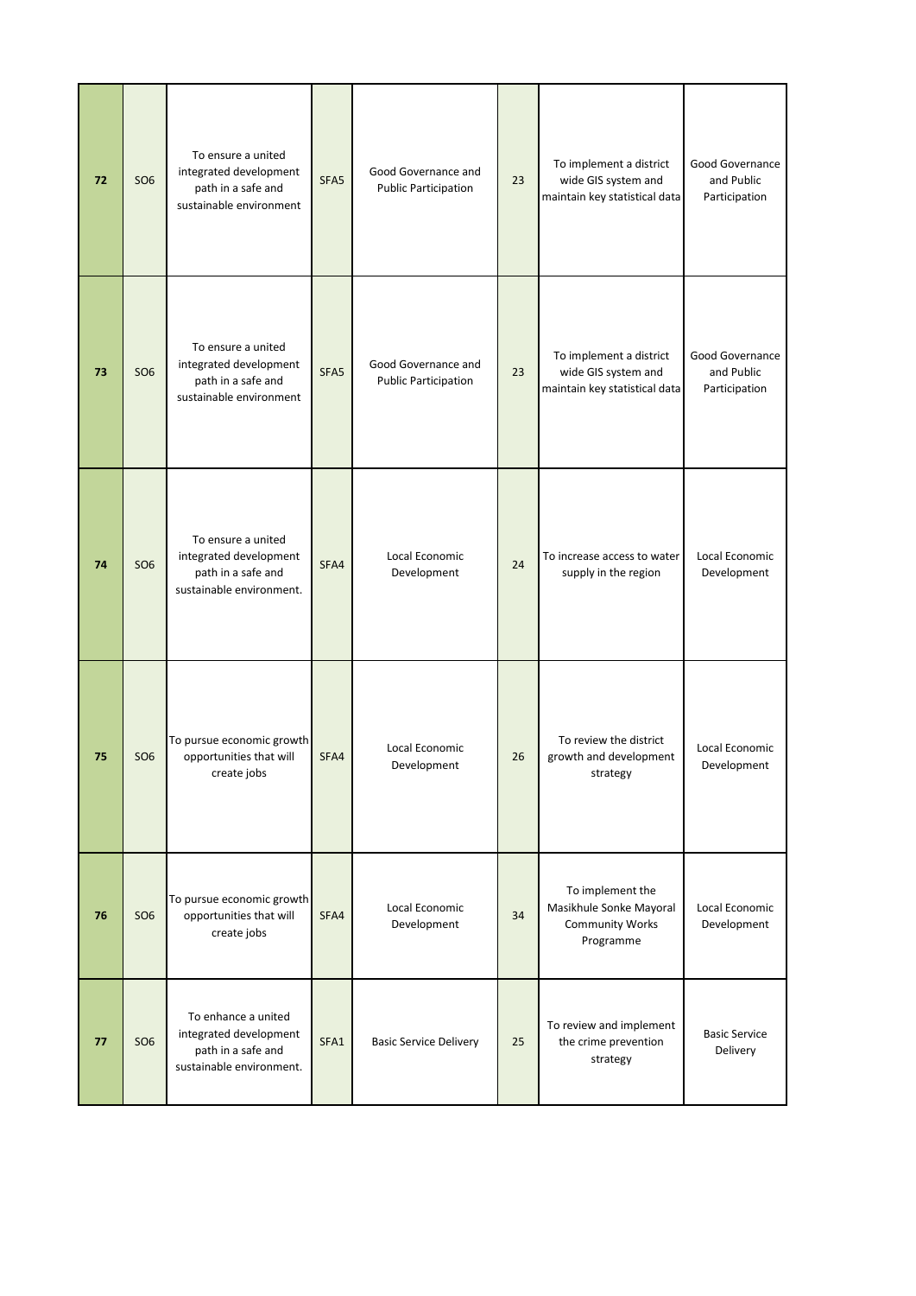| 72 | <b>SO6</b> | To ensure a united<br>integrated development<br>path in a safe and<br>sustainable environment   | SFA5 | Good Governance and<br><b>Public Participation</b> | 23 | To implement a district<br>wide GIS system and<br>maintain key statistical data    | Good Governance<br>and Public<br>Participation |
|----|------------|-------------------------------------------------------------------------------------------------|------|----------------------------------------------------|----|------------------------------------------------------------------------------------|------------------------------------------------|
| 73 | <b>SO6</b> | To ensure a united<br>integrated development<br>path in a safe and<br>sustainable environment   | SFA5 | Good Governance and<br><b>Public Participation</b> | 23 | To implement a district<br>wide GIS system and<br>maintain key statistical data    | Good Governance<br>and Public<br>Participation |
| 74 | <b>SO6</b> | To ensure a united<br>integrated development<br>path in a safe and<br>sustainable environment.  | SFA4 | Local Economic<br>Development                      | 24 | To increase access to water<br>supply in the region                                | Local Economic<br>Development                  |
| 75 | <b>SO6</b> | To pursue economic growth<br>opportunities that will<br>create jobs                             | SFA4 | Local Economic<br>Development                      | 26 | To review the district<br>growth and development<br>strategy                       | Local Economic<br>Development                  |
| 76 | <b>SO6</b> | To pursue economic growth<br>opportunities that will<br>create jobs                             | SFA4 | Local Economic<br>Development                      | 34 | To implement the<br>Masikhule Sonke Mayoral<br><b>Community Works</b><br>Programme | Local Economic<br>Development                  |
| 77 | <b>SO6</b> | To enhance a united<br>integrated development<br>path in a safe and<br>sustainable environment. | SFA1 | <b>Basic Service Delivery</b>                      | 25 | To review and implement<br>the crime prevention<br>strategy                        | <b>Basic Service</b><br>Delivery               |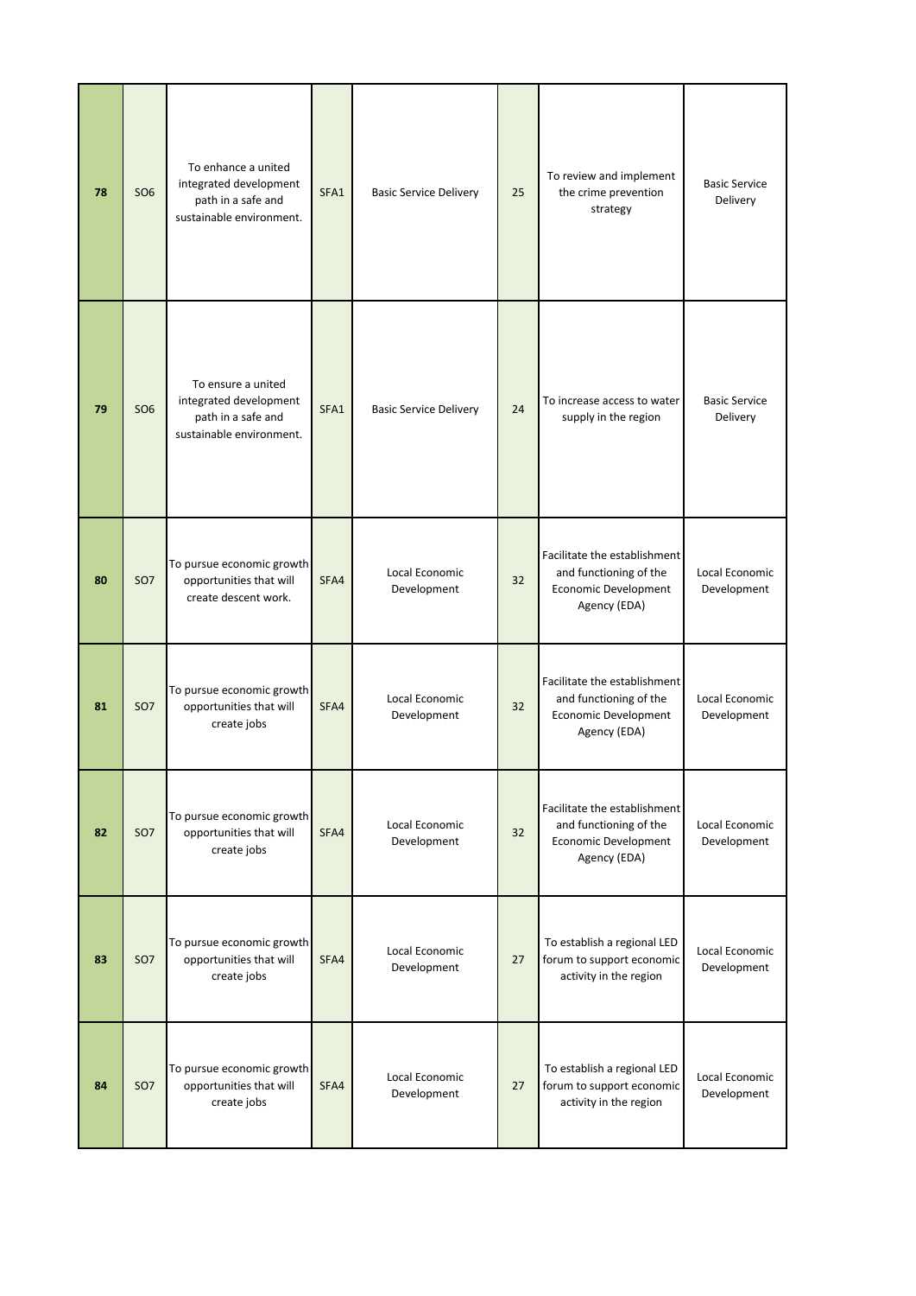| 78 | <b>SO6</b> | To enhance a united<br>integrated development<br>path in a safe and<br>sustainable environment. | SFA1 | <b>Basic Service Delivery</b> | 25 | To review and implement<br>the crime prevention<br>strategy                                           | <b>Basic Service</b><br>Delivery |
|----|------------|-------------------------------------------------------------------------------------------------|------|-------------------------------|----|-------------------------------------------------------------------------------------------------------|----------------------------------|
| 79 | <b>SO6</b> | To ensure a united<br>integrated development<br>path in a safe and<br>sustainable environment.  | SFA1 | <b>Basic Service Delivery</b> | 24 | To increase access to water<br>supply in the region                                                   | <b>Basic Service</b><br>Delivery |
| 80 | <b>SO7</b> | To pursue economic growth<br>opportunities that will<br>create descent work.                    | SFA4 | Local Economic<br>Development | 32 | Facilitate the establishment<br>and functioning of the<br><b>Economic Development</b><br>Agency (EDA) | Local Economic<br>Development    |
| 81 | <b>SO7</b> | To pursue economic growth<br>opportunities that will<br>create jobs                             | SFA4 | Local Economic<br>Development | 32 | Facilitate the establishment<br>and functioning of the<br><b>Economic Development</b><br>Agency (EDA) | Local Economic<br>Development    |
| 82 | <b>SO7</b> | To pursue economic growth<br>opportunities that will<br>create jobs                             | SFA4 | Local Economic<br>Development | 32 | Facilitate the establishment<br>and functioning of the<br><b>Economic Development</b><br>Agency (EDA) | Local Economic<br>Development    |
| 83 | <b>SO7</b> | To pursue economic growth<br>opportunities that will<br>create jobs                             | SFA4 | Local Economic<br>Development | 27 | To establish a regional LED<br>forum to support economic<br>activity in the region                    | Local Economic<br>Development    |
| 84 | <b>SO7</b> | To pursue economic growth<br>opportunities that will<br>create jobs                             | SFA4 | Local Economic<br>Development | 27 | To establish a regional LED<br>forum to support economic<br>activity in the region                    | Local Economic<br>Development    |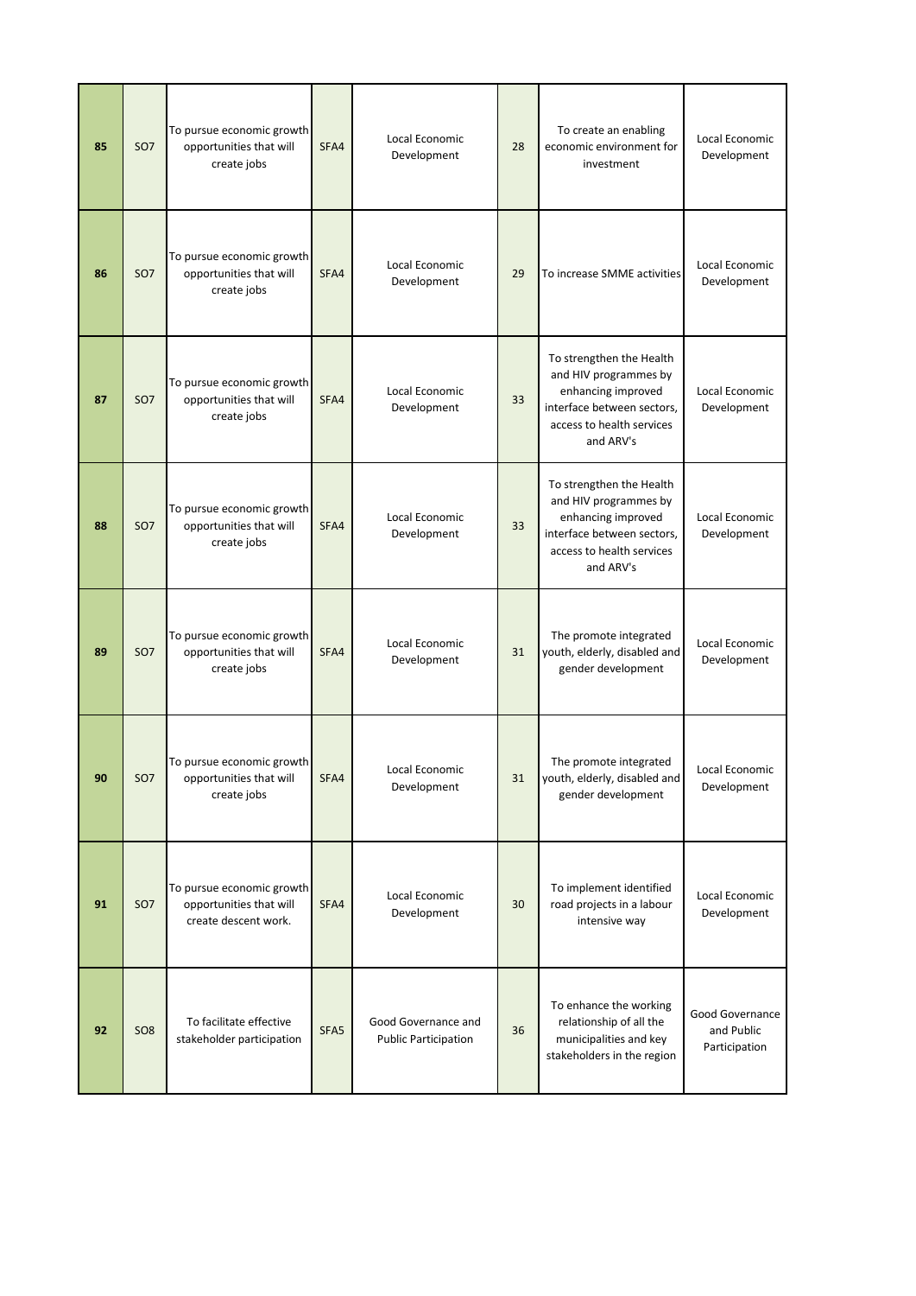| 85 | <b>SO7</b>      | To pursue economic growth<br>opportunities that will<br>create jobs          | SFA4 | Local Economic<br>Development                      | 28 | To create an enabling<br>economic environment for<br>investment                                                                                 | Local Economic<br>Development                  |
|----|-----------------|------------------------------------------------------------------------------|------|----------------------------------------------------|----|-------------------------------------------------------------------------------------------------------------------------------------------------|------------------------------------------------|
| 86 | <b>SO7</b>      | To pursue economic growth<br>opportunities that will<br>create jobs          | SFA4 | Local Economic<br>Development                      | 29 | To increase SMME activities                                                                                                                     | Local Economic<br>Development                  |
| 87 | <b>SO7</b>      | To pursue economic growth<br>opportunities that will<br>create jobs          | SFA4 | Local Economic<br>Development                      | 33 | To strengthen the Health<br>and HIV programmes by<br>enhancing improved<br>interface between sectors,<br>access to health services<br>and ARV's | Local Economic<br>Development                  |
| 88 | <b>SO7</b>      | To pursue economic growth<br>opportunities that will<br>create jobs          | SFA4 | Local Economic<br>Development                      | 33 | To strengthen the Health<br>and HIV programmes by<br>enhancing improved<br>interface between sectors,<br>access to health services<br>and ARV's | Local Economic<br>Development                  |
| 89 | <b>SO7</b>      | To pursue economic growth<br>opportunities that will<br>create jobs          | SFA4 | Local Economic<br>Development                      | 31 | The promote integrated<br>youth, elderly, disabled and<br>gender development                                                                    | Local Economic<br>Development                  |
| 90 | SO <sub>7</sub> | To pursue economic growth<br>opportunities that will<br>create jobs          | SFA4 | Local Economic<br>Development                      | 31 | The promote integrated<br>youth, elderly, disabled and<br>gender development                                                                    | Local Economic<br>Development                  |
| 91 | <b>SO7</b>      | To pursue economic growth<br>opportunities that will<br>create descent work. | SFA4 | Local Economic<br>Development                      | 30 | To implement identified<br>road projects in a labour<br>intensive way                                                                           | Local Economic<br>Development                  |
| 92 | SO <sub>8</sub> | To facilitate effective<br>stakeholder participation                         | SFA5 | Good Governance and<br><b>Public Participation</b> | 36 | To enhance the working<br>relationship of all the<br>municipalities and key<br>stakeholders in the region                                       | Good Governance<br>and Public<br>Participation |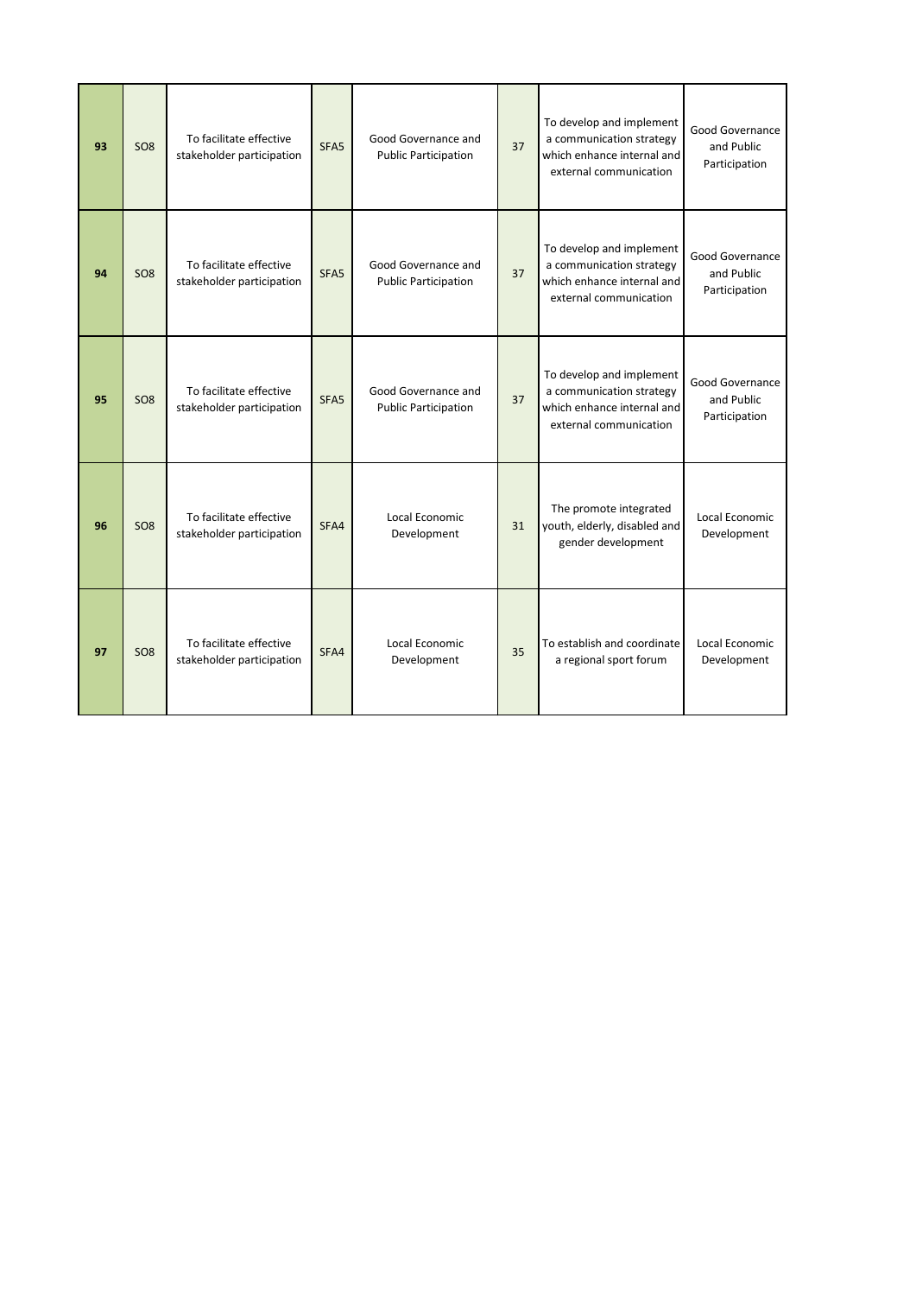| 93 | SO <sub>8</sub> | To facilitate effective<br>stakeholder participation | SFA <sub>5</sub> | Good Governance and<br><b>Public Participation</b> | 37 | To develop and implement<br>a communication strategy<br>which enhance internal and<br>external communication | Good Governance<br>and Public<br>Participation |
|----|-----------------|------------------------------------------------------|------------------|----------------------------------------------------|----|--------------------------------------------------------------------------------------------------------------|------------------------------------------------|
| 94 | SO <sub>8</sub> | To facilitate effective<br>stakeholder participation | SFA <sub>5</sub> | Good Governance and<br><b>Public Participation</b> | 37 | To develop and implement<br>a communication strategy<br>which enhance internal and<br>external communication | Good Governance<br>and Public<br>Participation |
| 95 | SO <sub>8</sub> | To facilitate effective<br>stakeholder participation | SFA5             | Good Governance and<br><b>Public Participation</b> | 37 | To develop and implement<br>a communication strategy<br>which enhance internal and<br>external communication | Good Governance<br>and Public<br>Participation |
| 96 | SO <sub>8</sub> | To facilitate effective<br>stakeholder participation | SFA4             | Local Economic<br>Development                      | 31 | The promote integrated<br>youth, elderly, disabled and<br>gender development                                 | Local Economic<br>Development                  |
| 97 | SO <sub>8</sub> | To facilitate effective<br>stakeholder participation | SFA4             | Local Economic<br>Development                      | 35 | To establish and coordinate<br>a regional sport forum                                                        | Local Economic<br>Development                  |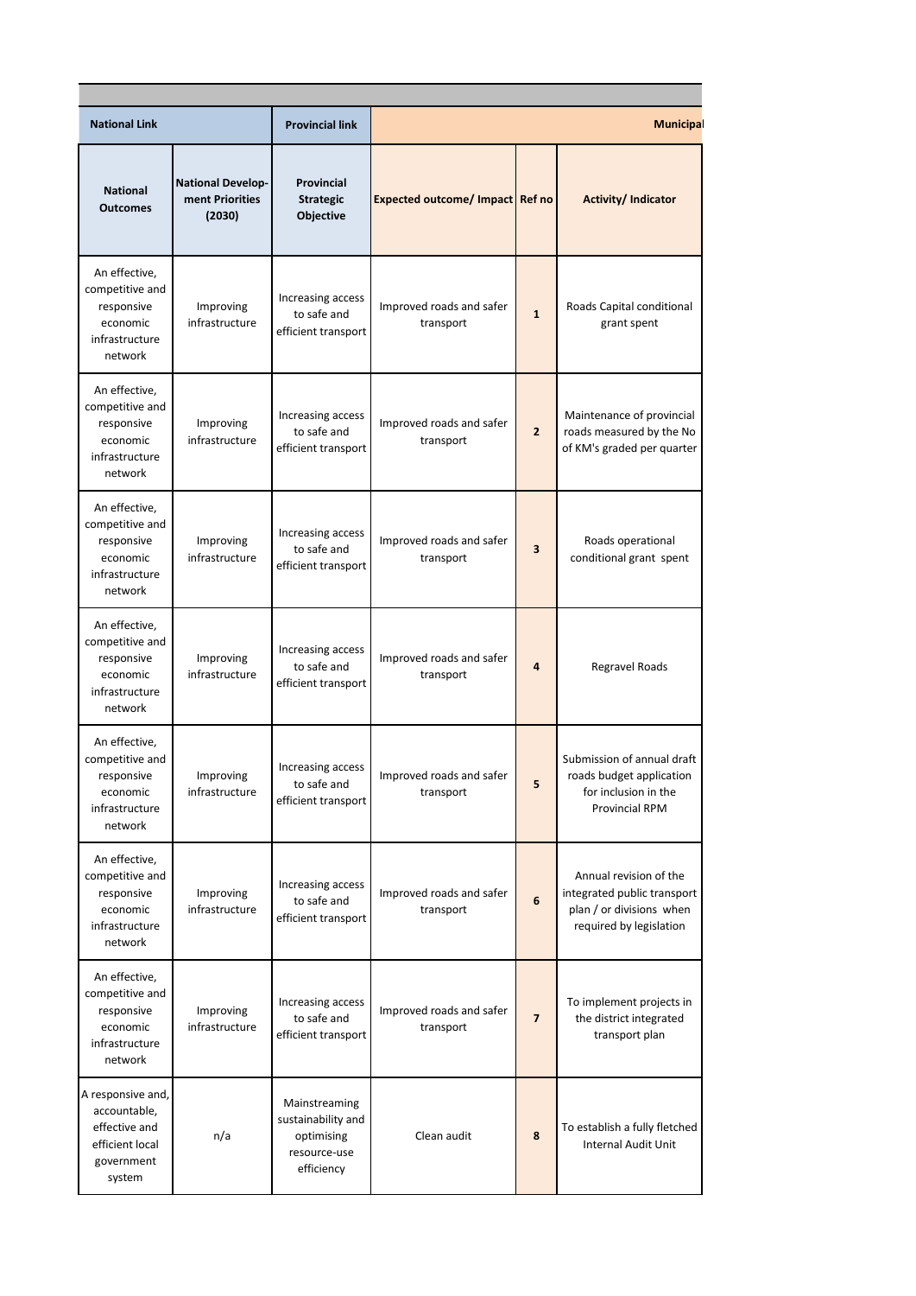| <b>National Link</b>                                                                          |                                                       | <b>Provincial link</b>                                                          |                                        |                         | <b>Municipal</b>                                                                                             |  |  |
|-----------------------------------------------------------------------------------------------|-------------------------------------------------------|---------------------------------------------------------------------------------|----------------------------------------|-------------------------|--------------------------------------------------------------------------------------------------------------|--|--|
| <b>National</b><br><b>Outcomes</b>                                                            | <b>National Develop-</b><br>ment Priorities<br>(2030) | Provincial<br><b>Strategic</b><br>Objective                                     | <b>Expected outcome/ Impact Ref no</b> |                         | <b>Activity/Indicator</b>                                                                                    |  |  |
| An effective,<br>competitive and<br>responsive<br>economic<br>infrastructure<br>network       | Improving<br>infrastructure                           | Increasing access<br>to safe and<br>efficient transport                         | Improved roads and safer<br>transport  | $\mathbf{1}$            | Roads Capital conditional<br>grant spent                                                                     |  |  |
| An effective,<br>competitive and<br>responsive<br>economic<br>infrastructure<br>network       | Improving<br>infrastructure                           | Increasing access<br>to safe and<br>efficient transport                         | Improved roads and safer<br>transport  | $\overline{2}$          | Maintenance of provincial<br>roads measured by the No<br>of KM's graded per quarter                          |  |  |
| An effective,<br>competitive and<br>responsive<br>economic<br>infrastructure<br>network       | Improving<br>infrastructure                           | Increasing access<br>to safe and<br>efficient transport                         | Improved roads and safer<br>transport  | $\overline{\mathbf{3}}$ | Roads operational<br>conditional grant spent                                                                 |  |  |
| An effective,<br>competitive and<br>responsive<br>economic<br>infrastructure<br>network       | Improving<br>infrastructure                           | Increasing access<br>to safe and<br>efficient transport                         | Improved roads and safer<br>transport  | $\overline{4}$          | Regravel Roads                                                                                               |  |  |
| An effective,<br>competitive and<br>responsive<br>economic<br>infrastructure<br>network       | Improving<br>infrastructure                           | Increasing access<br>to safe and<br>efficient transport                         | Improved roads and safer<br>transport  | 5                       | Submission of annual draft<br>roads budget application<br>for inclusion in the<br><b>Provincial RPM</b>      |  |  |
| An effective,<br>competitive and<br>responsive<br>economic<br>infrastructure<br>network       | Improving<br>infrastructure                           | Increasing access<br>to safe and<br>efficient transport                         | Improved roads and safer<br>transport  | 6                       | Annual revision of the<br>integrated public transport<br>plan / or divisions when<br>required by legislation |  |  |
| An effective,<br>competitive and<br>responsive<br>economic<br>infrastructure<br>network       | Improving<br>infrastructure                           | Increasing access<br>to safe and<br>efficient transport                         | Improved roads and safer<br>transport  | $\overline{7}$          | To implement projects in<br>the district integrated<br>transport plan                                        |  |  |
| A responsive and,<br>accountable,<br>effective and<br>efficient local<br>government<br>system | n/a                                                   | Mainstreaming<br>sustainability and<br>optimising<br>resource-use<br>efficiency | Clean audit                            | 8                       | To establish a fully fletched<br><b>Internal Audit Unit</b>                                                  |  |  |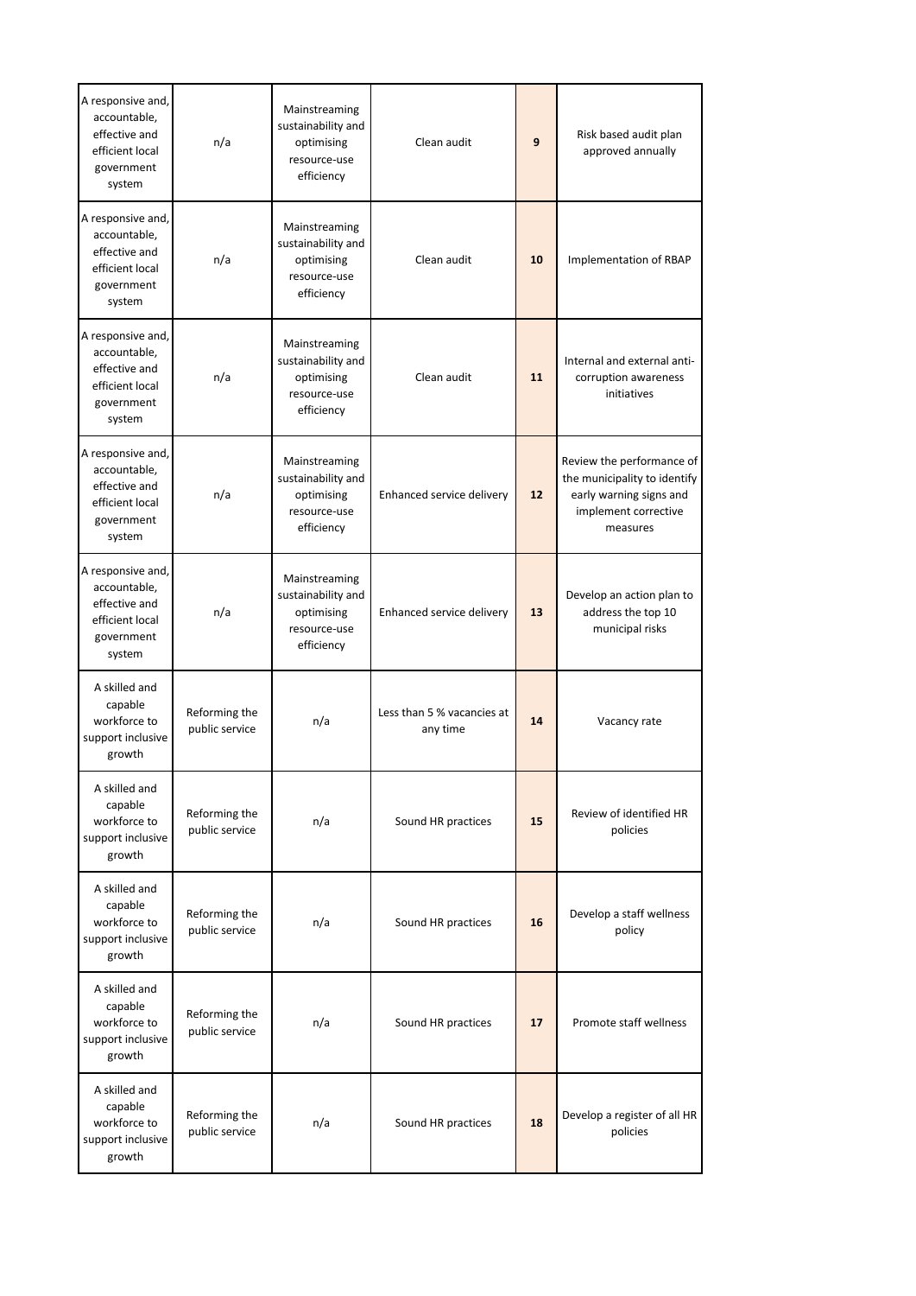| A responsive and,<br>accountable,<br>effective and<br>efficient local<br>government<br>system | n/a                             | Mainstreaming<br>sustainability and<br>optimising<br>resource-use<br>efficiency | Clean audit                            | 9  | Risk based audit plan<br>approved annually                                                                               |
|-----------------------------------------------------------------------------------------------|---------------------------------|---------------------------------------------------------------------------------|----------------------------------------|----|--------------------------------------------------------------------------------------------------------------------------|
| A responsive and,<br>accountable,<br>effective and<br>efficient local<br>government<br>system | n/a                             | Mainstreaming<br>sustainability and<br>optimising<br>resource-use<br>efficiency | Clean audit                            | 10 | Implementation of RBAP                                                                                                   |
| A responsive and,<br>accountable,<br>effective and<br>efficient local<br>government<br>system | n/a                             | Mainstreaming<br>sustainability and<br>optimising<br>resource-use<br>efficiency | Clean audit                            | 11 | Internal and external anti-<br>corruption awareness<br>initiatives                                                       |
| A responsive and,<br>accountable,<br>effective and<br>efficient local<br>government<br>system | n/a                             | Mainstreaming<br>sustainability and<br>optimising<br>resource-use<br>efficiency | Enhanced service delivery              | 12 | Review the performance of<br>the municipality to identify<br>early warning signs and<br>implement corrective<br>measures |
| A responsive and,<br>accountable,<br>effective and<br>efficient local<br>government<br>system | n/a                             | Mainstreaming<br>sustainability and<br>optimising<br>resource-use<br>efficiency | Enhanced service delivery              | 13 | Develop an action plan to<br>address the top 10<br>municipal risks                                                       |
| A skilled and<br>capable<br>workforce to<br>support inclusive<br>growth                       | Reforming the<br>public service | n/a                                                                             | Less than 5 % vacancies at<br>any time | 14 | Vacancy rate                                                                                                             |
| A skilled and<br>capable<br>workforce to<br>support inclusive<br>growth                       | Reforming the<br>public service | n/a                                                                             | Sound HR practices                     | 15 | Review of identified HR<br>policies                                                                                      |
| A skilled and<br>capable<br>workforce to<br>support inclusive<br>growth                       | Reforming the<br>public service | n/a                                                                             | Sound HR practices                     | 16 | Develop a staff wellness<br>policy                                                                                       |
| A skilled and<br>capable<br>workforce to<br>support inclusive<br>growth                       | Reforming the<br>public service | n/a                                                                             | Sound HR practices                     | 17 | Promote staff wellness                                                                                                   |
| A skilled and<br>capable<br>workforce to<br>support inclusive<br>growth                       | Reforming the<br>public service | n/a                                                                             | Sound HR practices                     | 18 | Develop a register of all HR<br>policies                                                                                 |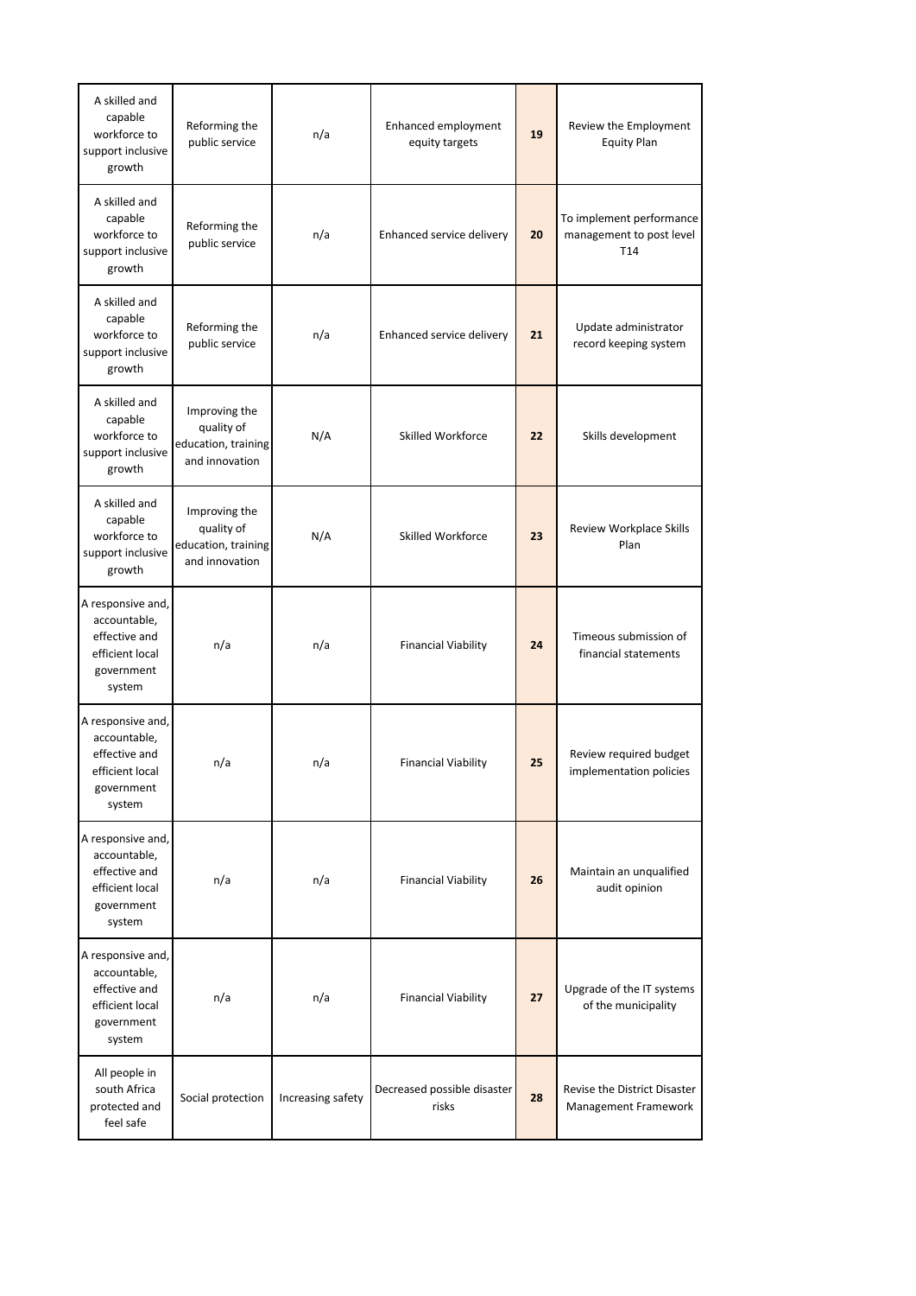| A skilled and<br>capable<br>workforce to<br>support inclusive<br>growth                       | Reforming the<br>public service                                      | n/a               | Enhanced employment<br>equity targets | 19 | Review the Employment<br><b>Equity Plan</b>                 |
|-----------------------------------------------------------------------------------------------|----------------------------------------------------------------------|-------------------|---------------------------------------|----|-------------------------------------------------------------|
| A skilled and<br>capable<br>workforce to<br>support inclusive<br>growth                       | Reforming the<br>public service                                      | n/a               | Enhanced service delivery             | 20 | To implement performance<br>management to post level<br>T14 |
| A skilled and<br>capable<br>workforce to<br>support inclusive<br>growth                       | Reforming the<br>public service                                      | n/a               | Enhanced service delivery             | 21 | Update administrator<br>record keeping system               |
| A skilled and<br>capable<br>workforce to<br>support inclusive<br>growth                       | Improving the<br>quality of<br>education, training<br>and innovation | N/A               | Skilled Workforce                     | 22 | Skills development                                          |
| A skilled and<br>capable<br>workforce to<br>support inclusive<br>growth                       | Improving the<br>quality of<br>education, training<br>and innovation | N/A               | Skilled Workforce                     | 23 | Review Workplace Skills<br>Plan                             |
| A responsive and,<br>accountable,<br>effective and<br>efficient local<br>government<br>system | n/a                                                                  | n/a               | <b>Financial Viability</b>            | 24 | Timeous submission of<br>financial statements               |
| A responsive and,<br>accountable,<br>effective and<br>efficient local<br>government<br>system | n/a                                                                  | n/a               | <b>Financial Viability</b>            | 25 | Review required budget<br>implementation policies           |
| A responsive and,<br>accountable,<br>effective and<br>efficient local<br>government<br>system | n/a                                                                  | n/a               | <b>Financial Viability</b>            | 26 | Maintain an unqualified<br>audit opinion                    |
| A responsive and,<br>accountable,<br>effective and<br>efficient local<br>government<br>system | n/a                                                                  | n/a               | <b>Financial Viability</b>            | 27 | Upgrade of the IT systems<br>of the municipality            |
| All people in<br>south Africa<br>protected and<br>feel safe                                   | Social protection                                                    | Increasing safety | Decreased possible disaster<br>risks  | 28 | Revise the District Disaster<br>Management Framework        |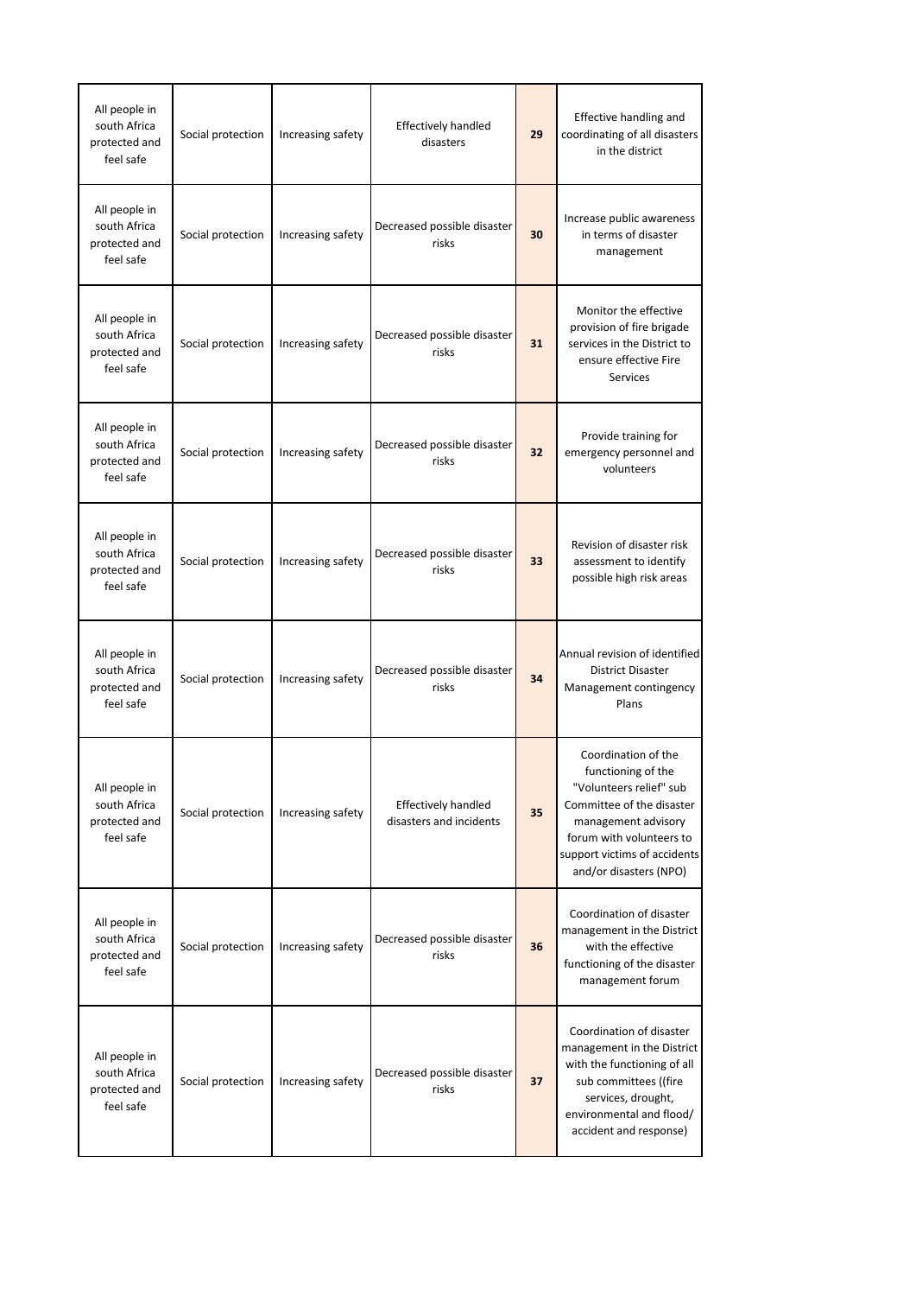| All people in<br>south Africa<br>protected and<br>feel safe | Social protection | Increasing safety | <b>Effectively handled</b><br>disasters               | 29 | Effective handling and<br>coordinating of all disasters<br>in the district                                                                                                                                     |
|-------------------------------------------------------------|-------------------|-------------------|-------------------------------------------------------|----|----------------------------------------------------------------------------------------------------------------------------------------------------------------------------------------------------------------|
| All people in<br>south Africa<br>protected and<br>feel safe | Social protection | Increasing safety | Decreased possible disaster<br>risks                  | 30 | Increase public awareness<br>in terms of disaster<br>management                                                                                                                                                |
| All people in<br>south Africa<br>protected and<br>feel safe | Social protection | Increasing safety | Decreased possible disaster<br>risks                  | 31 | Monitor the effective<br>provision of fire brigade<br>services in the District to<br>ensure effective Fire<br>Services                                                                                         |
| All people in<br>south Africa<br>protected and<br>feel safe | Social protection | Increasing safety | Decreased possible disaster<br>risks                  | 32 | Provide training for<br>emergency personnel and<br>volunteers                                                                                                                                                  |
| All people in<br>south Africa<br>protected and<br>feel safe | Social protection | Increasing safety | Decreased possible disaster<br>risks                  | 33 | Revision of disaster risk<br>assessment to identify<br>possible high risk areas                                                                                                                                |
| All people in<br>south Africa<br>protected and<br>feel safe | Social protection | Increasing safety | Decreased possible disaster<br>risks                  | 34 | Annual revision of identified<br><b>District Disaster</b><br>Management contingency<br>Plans                                                                                                                   |
| All people in<br>south Africa<br>protected and<br>feel safe | Social protection | Increasing safety | <b>Effectively handled</b><br>disasters and incidents | 35 | Coordination of the<br>functioning of the<br>"Volunteers relief" sub<br>Committee of the disaster<br>management advisory<br>forum with volunteers to<br>support victims of accidents<br>and/or disasters (NPO) |
| All people in<br>south Africa<br>protected and<br>feel safe | Social protection | Increasing safety | Decreased possible disaster<br>risks                  | 36 | Coordination of disaster<br>management in the District<br>with the effective<br>functioning of the disaster<br>management forum                                                                                |
| All people in<br>south Africa<br>protected and<br>feel safe | Social protection | Increasing safety | Decreased possible disaster<br>risks                  | 37 | Coordination of disaster<br>management in the District<br>with the functioning of all<br>sub committees ((fire<br>services, drought,<br>environmental and flood/<br>accident and response)                     |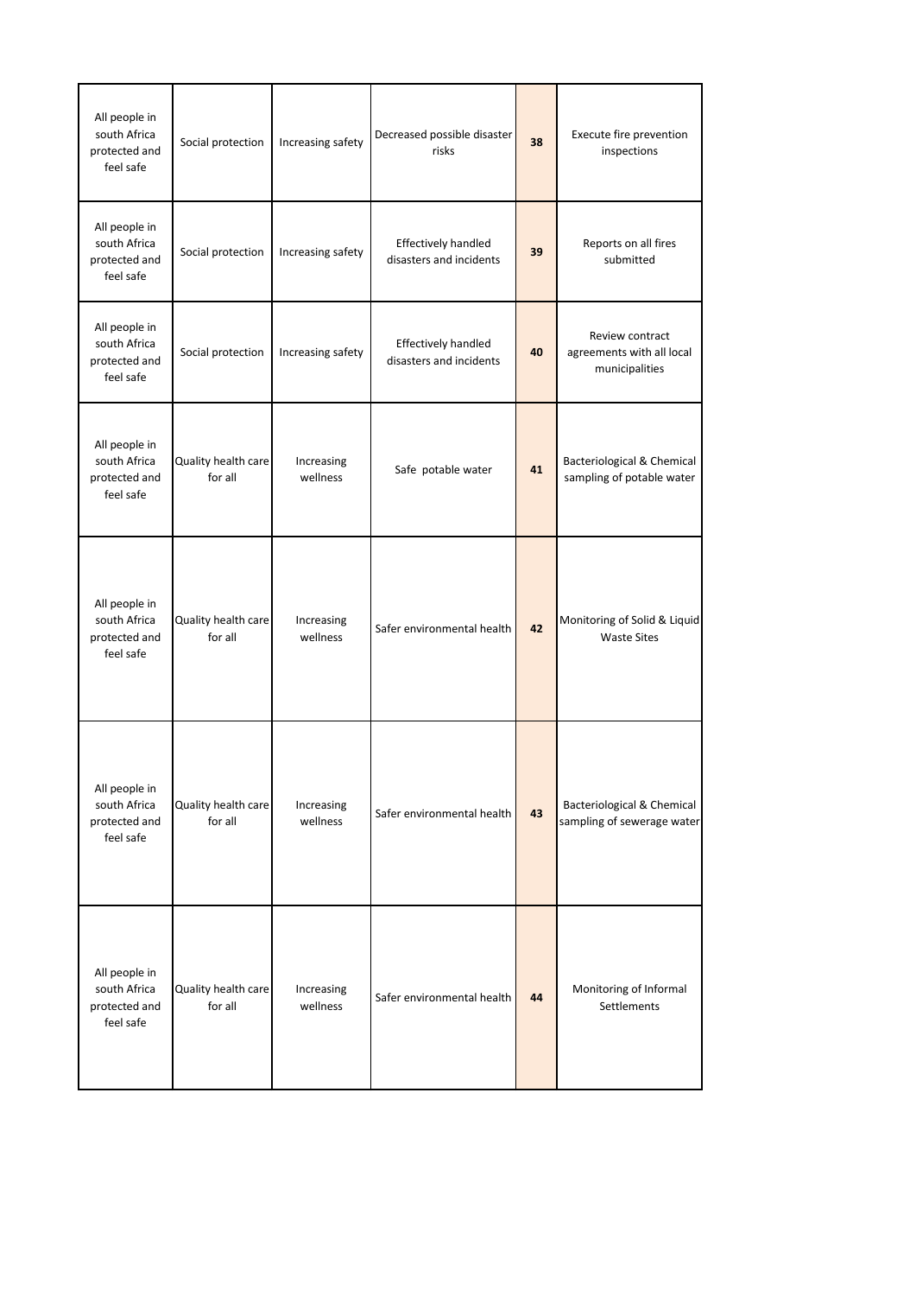| All people in<br>south Africa<br>protected and<br>feel safe | Social protection              | Increasing safety      | Decreased possible disaster<br>risks           | 38 | Execute fire prevention<br>inspections                             |
|-------------------------------------------------------------|--------------------------------|------------------------|------------------------------------------------|----|--------------------------------------------------------------------|
| All people in<br>south Africa<br>protected and<br>feel safe | Social protection              | Increasing safety      | Effectively handled<br>disasters and incidents | 39 | Reports on all fires<br>submitted                                  |
| All people in<br>south Africa<br>protected and<br>feel safe | Social protection              | Increasing safety      | Effectively handled<br>disasters and incidents | 40 | Review contract<br>agreements with all local<br>municipalities     |
| All people in<br>south Africa<br>protected and<br>feel safe | Quality health care<br>for all | Increasing<br>wellness | Safe potable water                             | 41 | <b>Bacteriological &amp; Chemical</b><br>sampling of potable water |
| All people in<br>south Africa<br>protected and<br>feel safe | Quality health care<br>for all | Increasing<br>wellness | Safer environmental health                     | 42 | Monitoring of Solid & Liquid<br><b>Waste Sites</b>                 |
| All people in<br>south Africa<br>protected and<br>feel safe | Quality health care<br>for all | Increasing<br>wellness | Safer environmental health                     | 43 | Bacteriological & Chemical<br>sampling of sewerage water           |
| All people in<br>south Africa<br>protected and<br>feel safe | Quality health care<br>for all | Increasing<br>wellness | Safer environmental health                     | 44 | Monitoring of Informal<br>Settlements                              |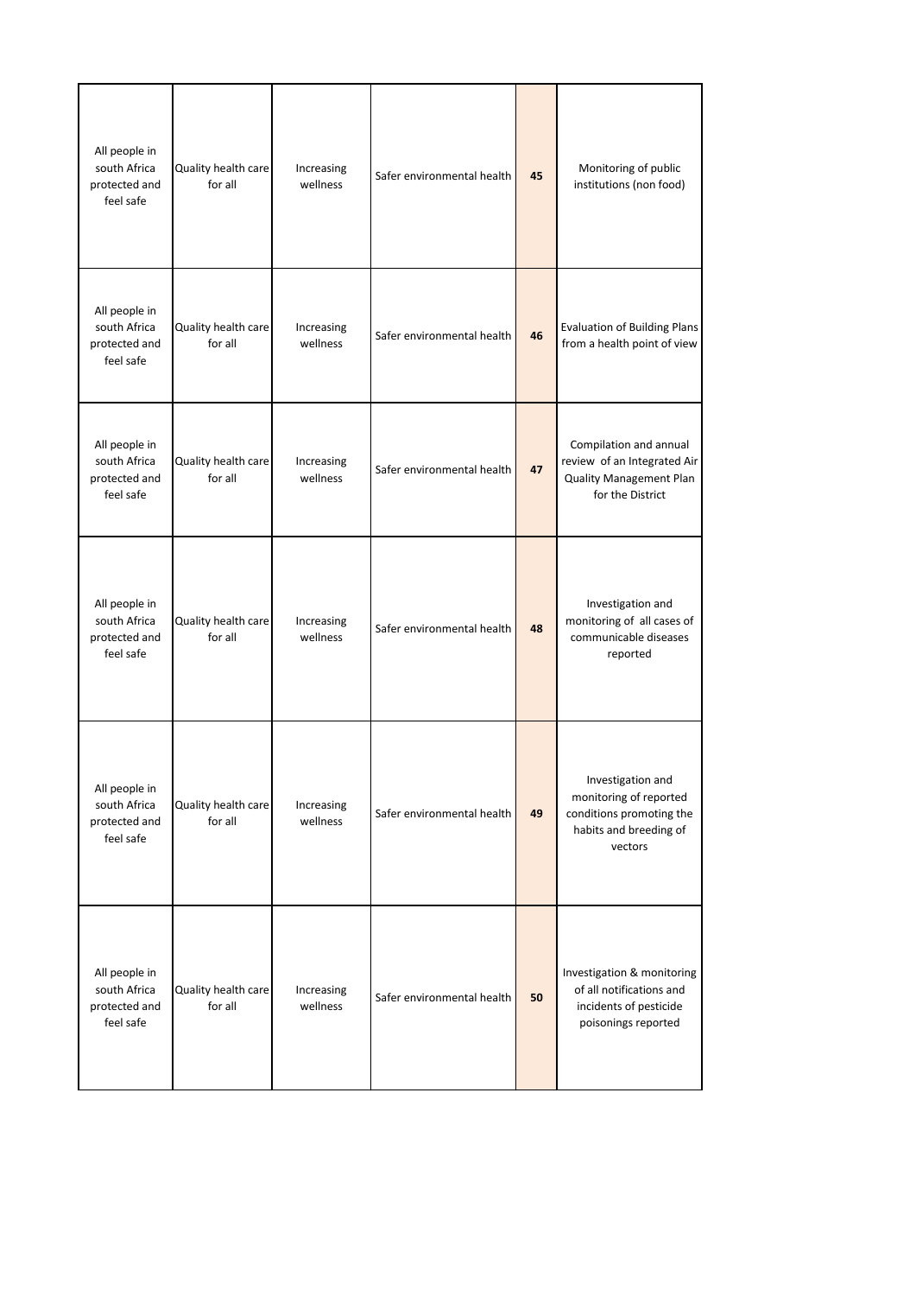| All people in<br>south Africa<br>protected and<br>feel safe | Quality health care<br>for all | Increasing<br>wellness | Safer environmental health | 45 | Monitoring of public<br>institutions (non food)                                                              |
|-------------------------------------------------------------|--------------------------------|------------------------|----------------------------|----|--------------------------------------------------------------------------------------------------------------|
| All people in<br>south Africa<br>protected and<br>feel safe | Quality health care<br>for all | Increasing<br>wellness | Safer environmental health | 46 | <b>Evaluation of Building Plans</b><br>from a health point of view                                           |
| All people in<br>south Africa<br>protected and<br>feel safe | Quality health care<br>for all | Increasing<br>wellness | Safer environmental health | 47 | Compilation and annual<br>review of an Integrated Air<br><b>Quality Management Plan</b><br>for the District  |
| All people in<br>south Africa<br>protected and<br>feel safe | Quality health care<br>for all | Increasing<br>wellness | Safer environmental health | 48 | Investigation and<br>monitoring of all cases of<br>communicable diseases<br>reported                         |
| All people in<br>south Africa<br>protected and<br>feel safe | Quality health care<br>for all | Increasing<br>wellness | Safer environmental health | 49 | Investigation and<br>monitoring of reported<br>conditions promoting the<br>habits and breeding of<br>vectors |
| All people in<br>south Africa<br>protected and<br>feel safe | Quality health care<br>for all | Increasing<br>wellness | Safer environmental health | 50 | Investigation & monitoring<br>of all notifications and<br>incidents of pesticide<br>poisonings reported      |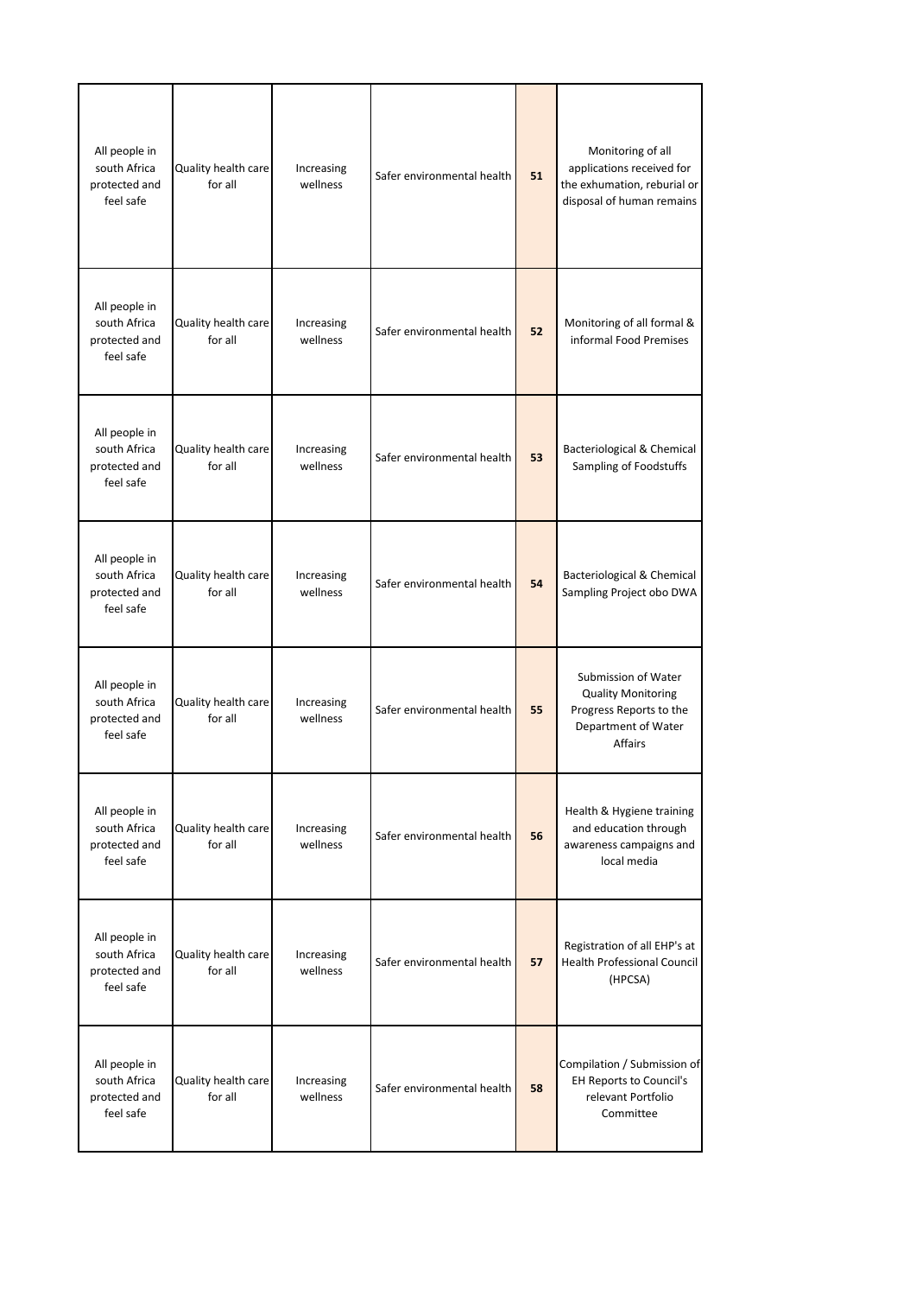| All people in<br>south Africa<br>protected and<br>feel safe | Quality health care<br>for all | Increasing<br>wellness | Safer environmental health | 51 | Monitoring of all<br>applications received for<br>the exhumation, reburial or<br>disposal of human remains           |
|-------------------------------------------------------------|--------------------------------|------------------------|----------------------------|----|----------------------------------------------------------------------------------------------------------------------|
| All people in<br>south Africa<br>protected and<br>feel safe | Quality health care<br>for all | Increasing<br>wellness | Safer environmental health | 52 | Monitoring of all formal &<br>informal Food Premises                                                                 |
| All people in<br>south Africa<br>protected and<br>feel safe | Quality health care<br>for all | Increasing<br>wellness | Safer environmental health | 53 | Bacteriological & Chemical<br>Sampling of Foodstuffs                                                                 |
| All people in<br>south Africa<br>protected and<br>feel safe | Quality health care<br>for all | Increasing<br>wellness | Safer environmental health | 54 | Bacteriological & Chemical<br>Sampling Project obo DWA                                                               |
| All people in<br>south Africa<br>protected and<br>feel safe | Quality health care<br>for all | Increasing<br>wellness | Safer environmental health | 55 | Submission of Water<br><b>Quality Monitoring</b><br>Progress Reports to the<br>Department of Water<br><b>Affairs</b> |
| All people in<br>south Africa<br>protected and<br>feel safe | Quality health care<br>for all | Increasing<br>wellness | Safer environmental health | 56 | Health & Hygiene training<br>and education through<br>awareness campaigns and<br>local media                         |
| All people in<br>south Africa<br>protected and<br>feel safe | Quality health care<br>for all | Increasing<br>wellness | Safer environmental health | 57 | Registration of all EHP's at<br><b>Health Professional Council</b><br>(HPCSA)                                        |
| All people in<br>south Africa<br>protected and<br>feel safe | Quality health care<br>for all | Increasing<br>wellness | Safer environmental health | 58 | Compilation / Submission of<br><b>EH Reports to Council's</b><br>relevant Portfolio<br>Committee                     |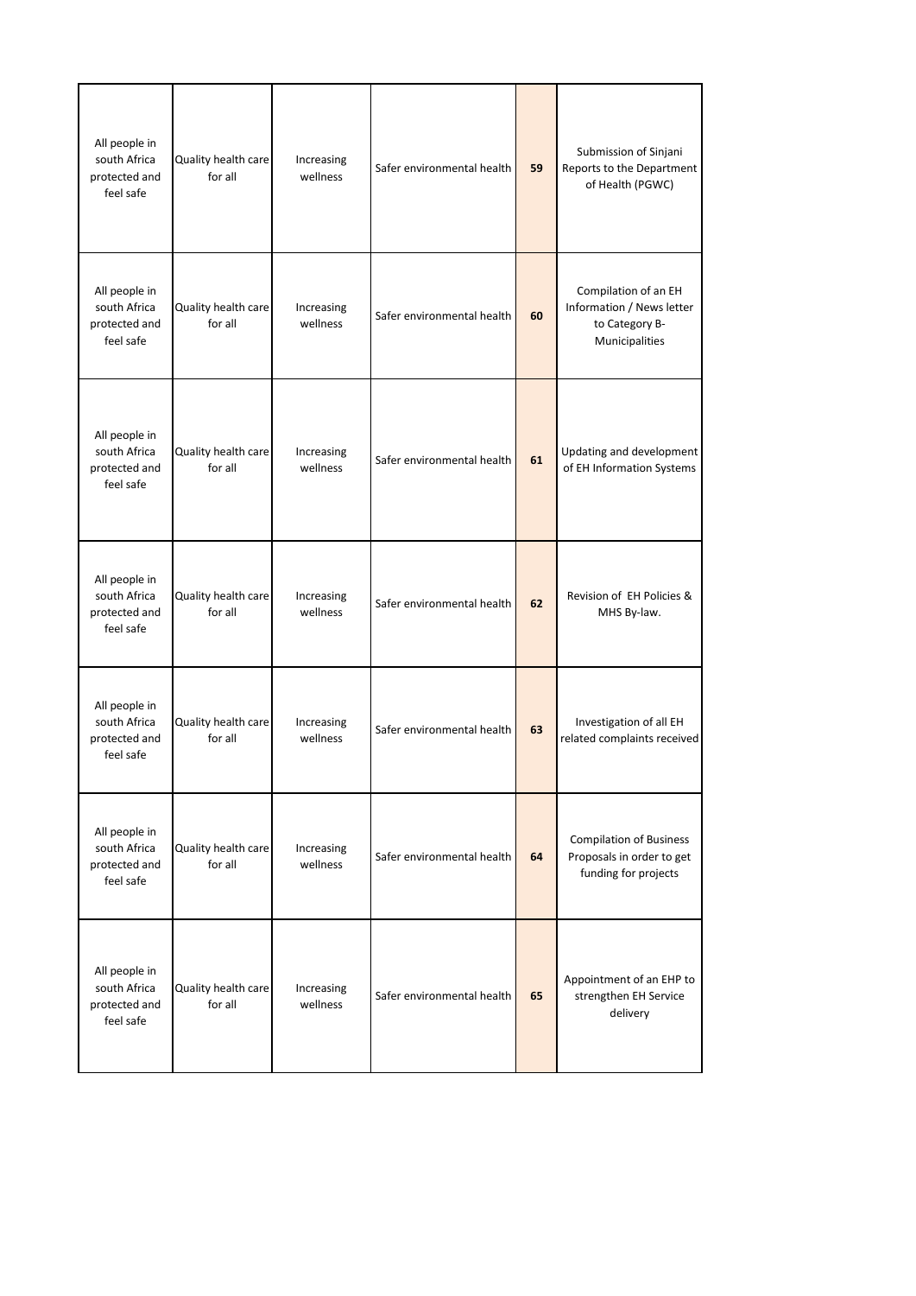| All people in<br>south Africa<br>protected and<br>feel safe | Quality health care<br>for all | Increasing<br>wellness | Safer environmental health | 59 | Submission of Sinjani<br>Reports to the Department<br>of Health (PGWC)                |
|-------------------------------------------------------------|--------------------------------|------------------------|----------------------------|----|---------------------------------------------------------------------------------------|
| All people in<br>south Africa<br>protected and<br>feel safe | Quality health care<br>for all | Increasing<br>wellness | Safer environmental health | 60 | Compilation of an EH<br>Information / News letter<br>to Category B-<br>Municipalities |
| All people in<br>south Africa<br>protected and<br>feel safe | Quality health care<br>for all | Increasing<br>wellness | Safer environmental health | 61 | Updating and development<br>of EH Information Systems                                 |
| All people in<br>south Africa<br>protected and<br>feel safe | Quality health care<br>for all | Increasing<br>wellness | Safer environmental health | 62 | Revision of EH Policies &<br>MHS By-law.                                              |
| All people in<br>south Africa<br>protected and<br>feel safe | Quality health care<br>for all | Increasing<br>wellness | Safer environmental health | 63 | Investigation of all EH<br>related complaints received                                |
| All people in<br>south Africa<br>protected and<br>feel safe | Quality health care<br>for all | Increasing<br>wellness | Safer environmental health | 64 | <b>Compilation of Business</b><br>Proposals in order to get<br>funding for projects   |
| All people in<br>south Africa<br>protected and<br>feel safe | Quality health care<br>for all | Increasing<br>wellness | Safer environmental health | 65 | Appointment of an EHP to<br>strengthen EH Service<br>delivery                         |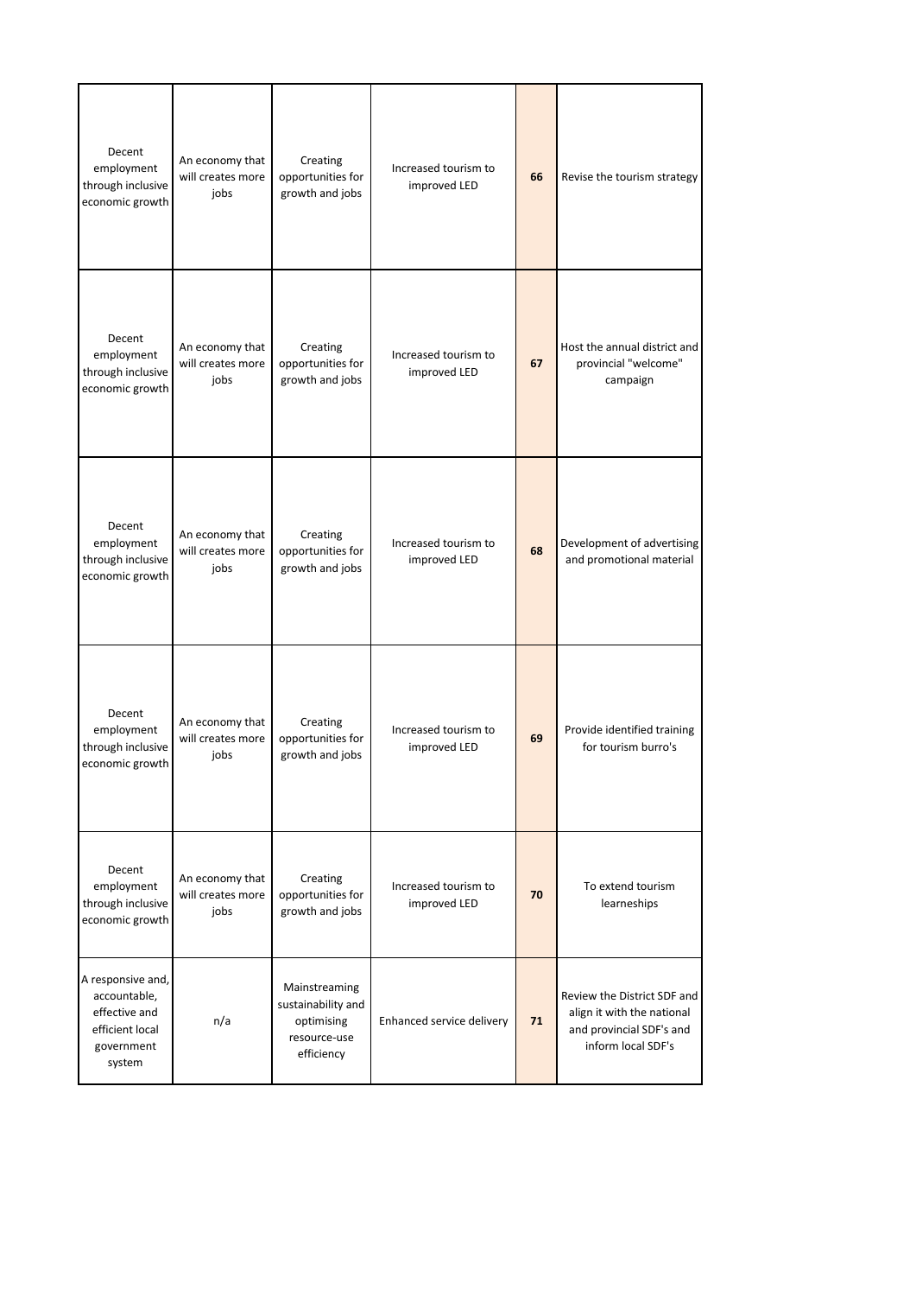| Decent<br>employment<br>through inclusive<br>economic growth                                  | An economy that<br>will creates more<br>jobs | Creating<br>opportunities for<br>growth and jobs                                | Increased tourism to<br>improved LED | 66 | Revise the tourism strategy                                                                                 |
|-----------------------------------------------------------------------------------------------|----------------------------------------------|---------------------------------------------------------------------------------|--------------------------------------|----|-------------------------------------------------------------------------------------------------------------|
| Decent<br>employment<br>through inclusive<br>economic growth                                  | An economy that<br>will creates more<br>jobs | Creating<br>opportunities for<br>growth and jobs                                | Increased tourism to<br>improved LED | 67 | Host the annual district and<br>provincial "welcome"<br>campaign                                            |
| Decent<br>employment<br>through inclusive<br>economic growth                                  | An economy that<br>will creates more<br>jobs | Creating<br>opportunities for<br>growth and jobs                                | Increased tourism to<br>improved LED | 68 | Development of advertising<br>and promotional material                                                      |
| Decent<br>employment<br>through inclusive<br>economic growth                                  | An economy that<br>will creates more<br>jobs | Creating<br>opportunities for<br>growth and jobs                                | Increased tourism to<br>improved LED | 69 | Provide identified training<br>for tourism burro's                                                          |
| Decent<br>employment<br>through inclusive<br>economic growth                                  | An economy that<br>will creates more<br>jobs | Creating<br>opportunities for<br>growth and jobs                                | Increased tourism to<br>improved LED | 70 | To extend tourism<br>learneships                                                                            |
| A responsive and,<br>accountable,<br>effective and<br>efficient local<br>government<br>system | n/a                                          | Mainstreaming<br>sustainability and<br>optimising<br>resource-use<br>efficiency | Enhanced service delivery            | 71 | Review the District SDF and<br>align it with the national<br>and provincial SDF's and<br>inform local SDF's |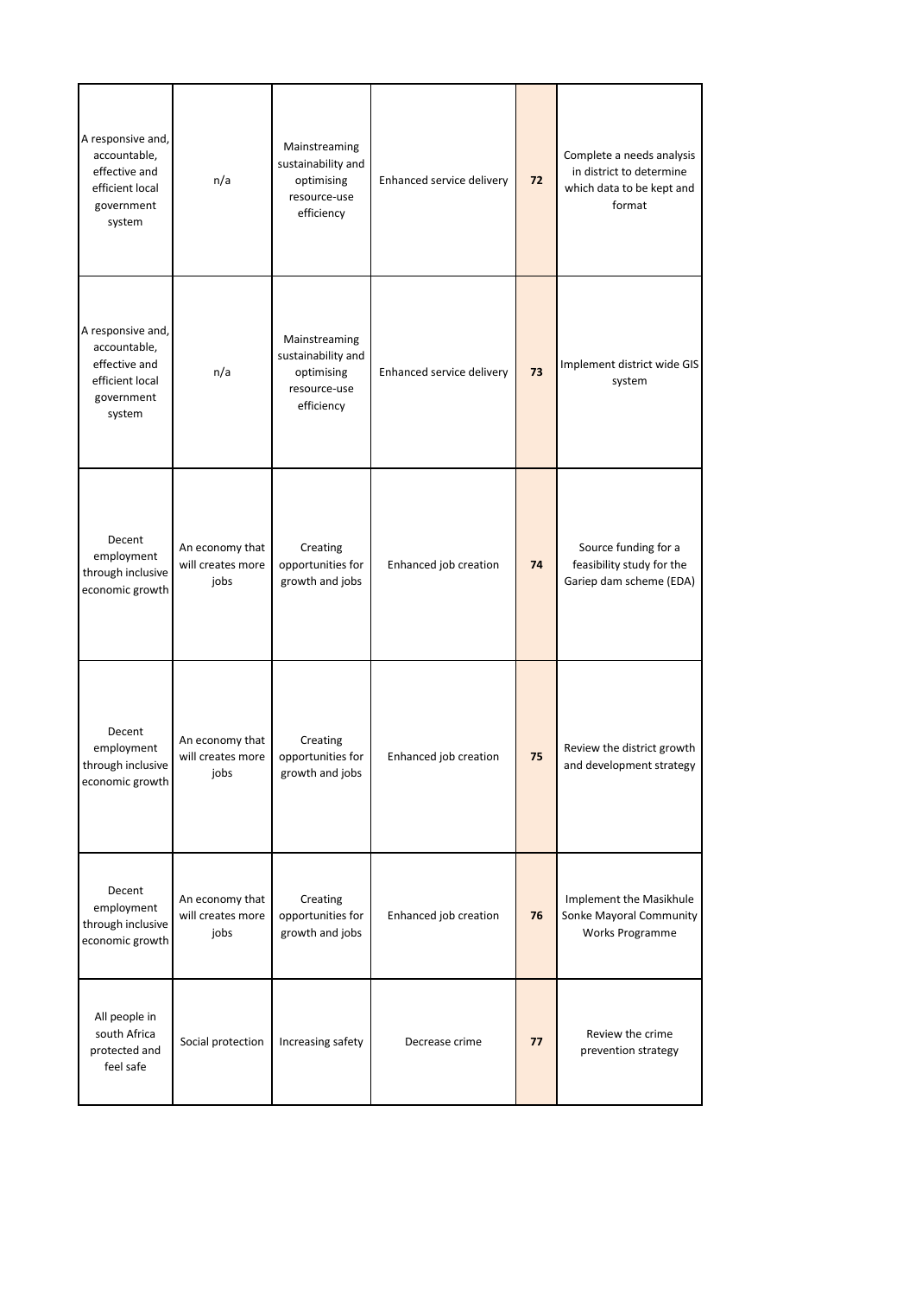| A responsive and,<br>accountable,<br>effective and<br>efficient local<br>government<br>system | n/a                                          | Mainstreaming<br>sustainability and<br>optimising<br>resource-use<br>efficiency | Enhanced service delivery | 72 | Complete a needs analysis<br>in district to determine<br>which data to be kept and<br>format |
|-----------------------------------------------------------------------------------------------|----------------------------------------------|---------------------------------------------------------------------------------|---------------------------|----|----------------------------------------------------------------------------------------------|
| A responsive and,<br>accountable,<br>effective and<br>efficient local<br>government<br>system | n/a                                          | Mainstreaming<br>sustainability and<br>optimising<br>resource-use<br>efficiency | Enhanced service delivery | 73 | Implement district wide GIS<br>system                                                        |
| Decent<br>employment<br>through inclusive<br>economic growth                                  | An economy that<br>will creates more<br>jobs | Creating<br>opportunities for<br>growth and jobs                                | Enhanced job creation     | 74 | Source funding for a<br>feasibility study for the<br>Gariep dam scheme (EDA)                 |
| Decent<br>employment<br>through inclusive<br>economic growth                                  | An economy that<br>will creates more<br>jobs | Creating<br>opportunities for<br>growth and jobs                                | Enhanced job creation     | 75 | Review the district growth<br>and development strategy                                       |
| Decent<br>employment<br>through inclusive<br>economic growth                                  | An economy that<br>will creates more<br>jobs | Creating<br>opportunities for<br>growth and jobs                                | Enhanced job creation     | 76 | Implement the Masikhule<br>Sonke Mayoral Community<br><b>Works Programme</b>                 |
| All people in<br>south Africa<br>protected and<br>feel safe                                   | Social protection                            | Increasing safety                                                               | Decrease crime            | 77 | Review the crime<br>prevention strategy                                                      |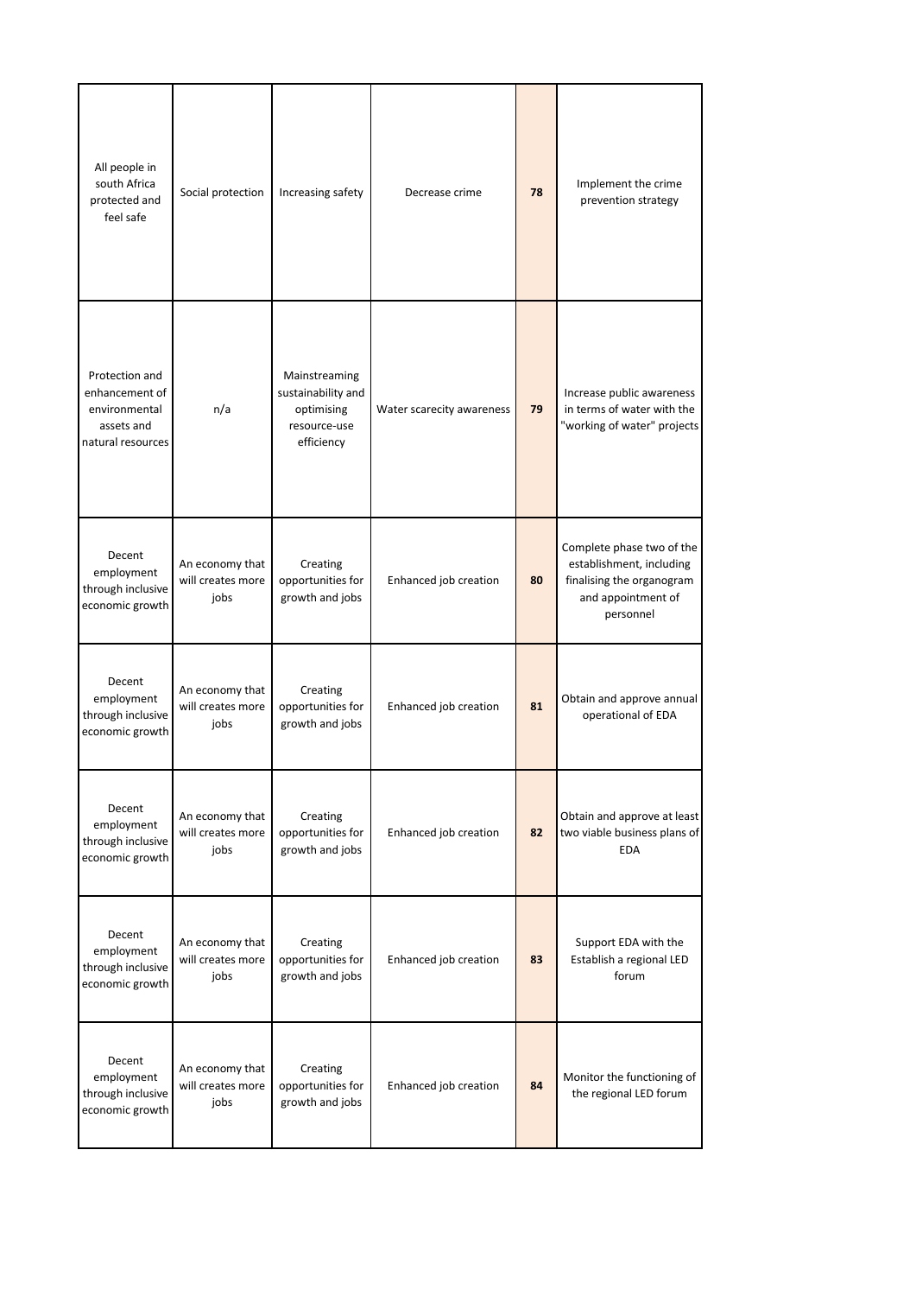| All people in<br>south Africa<br>protected and<br>feel safe                          | Social protection                            | Increasing safety                                                               | Decrease crime            | 78 | Implement the crime<br>prevention strategy                                                                            |
|--------------------------------------------------------------------------------------|----------------------------------------------|---------------------------------------------------------------------------------|---------------------------|----|-----------------------------------------------------------------------------------------------------------------------|
| Protection and<br>enhancement of<br>environmental<br>assets and<br>natural resources | n/a                                          | Mainstreaming<br>sustainability and<br>optimising<br>resource-use<br>efficiency | Water scarecity awareness | 79 | Increase public awareness<br>in terms of water with the<br>"working of water" projects                                |
| Decent<br>employment<br>through inclusive<br>economic growth                         | An economy that<br>will creates more<br>jobs | Creating<br>opportunities for<br>growth and jobs                                | Enhanced job creation     | 80 | Complete phase two of the<br>establishment, including<br>finalising the organogram<br>and appointment of<br>personnel |
| Decent<br>employment<br>through inclusive<br>economic growth                         | An economy that<br>will creates more<br>jobs | Creating<br>opportunities for<br>growth and jobs                                | Enhanced job creation     | 81 | Obtain and approve annual<br>operational of EDA                                                                       |
| Decent<br>employment<br>through inclusive<br>economic growth                         | An economy that<br>will creates more<br>jobs | Creating<br>opportunities for<br>growth and jobs                                | Enhanced job creation     | 82 | Obtain and approve at least<br>two viable business plans of<br><b>EDA</b>                                             |
| Decent<br>employment<br>through inclusive<br>economic growth                         | An economy that<br>will creates more<br>jobs | Creating<br>opportunities for<br>growth and jobs                                | Enhanced job creation     | 83 | Support EDA with the<br>Establish a regional LED<br>forum                                                             |
| Decent<br>employment<br>through inclusive<br>economic growth                         | An economy that<br>will creates more<br>jobs | Creating<br>opportunities for<br>growth and jobs                                | Enhanced job creation     | 84 | Monitor the functioning of<br>the regional LED forum                                                                  |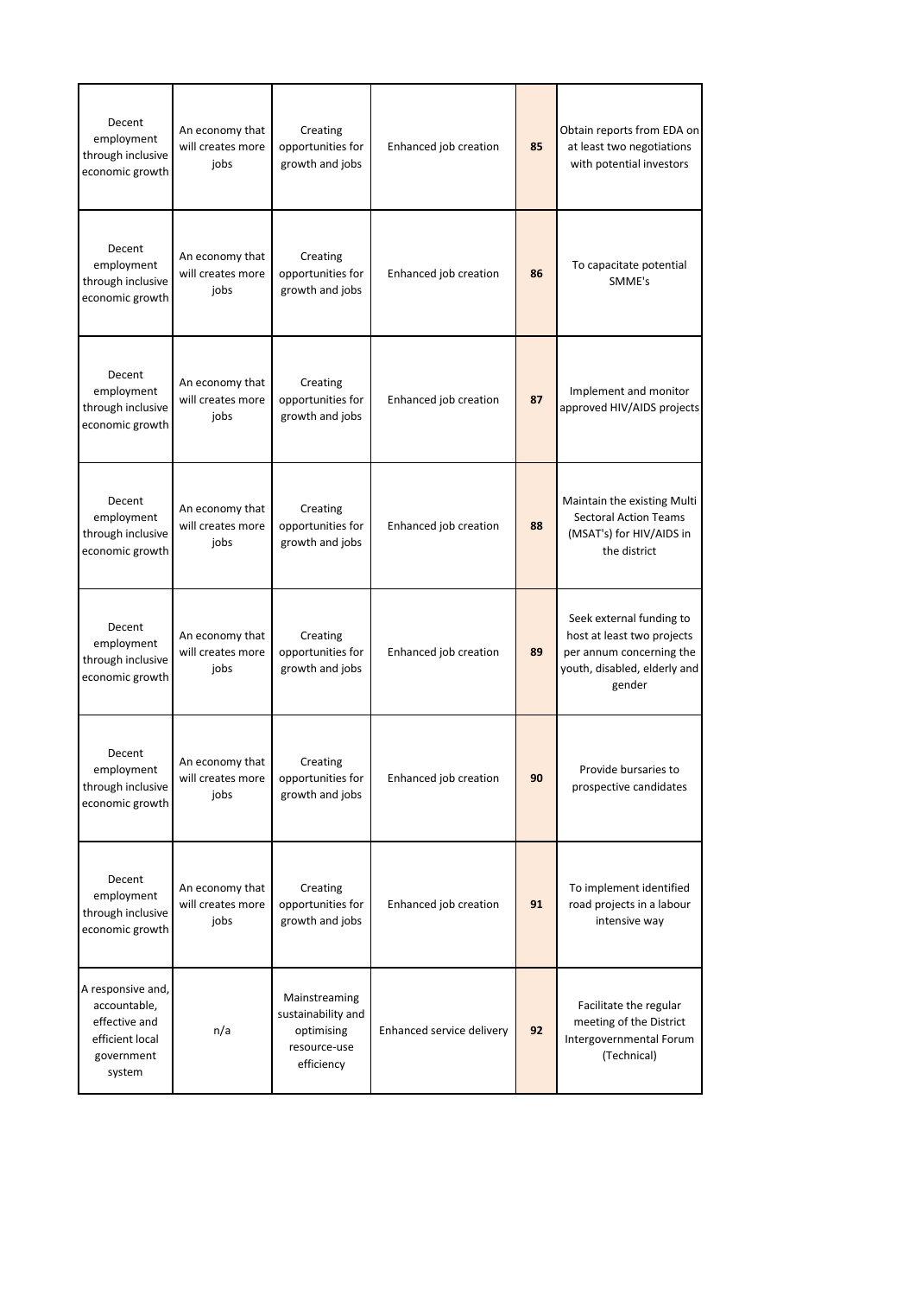| Decent<br>employment<br>through inclusive<br>economic growth                                  | An economy that<br>will creates more<br>jobs | Creating<br>opportunities for<br>growth and jobs                                | Enhanced job creation     | 85 | Obtain reports from EDA on<br>at least two negotiations<br>with potential investors                                          |
|-----------------------------------------------------------------------------------------------|----------------------------------------------|---------------------------------------------------------------------------------|---------------------------|----|------------------------------------------------------------------------------------------------------------------------------|
| Decent<br>employment<br>through inclusive<br>economic growth                                  | An economy that<br>will creates more<br>jobs | Creating<br>opportunities for<br>growth and jobs                                | Enhanced job creation     | 86 | To capacitate potential<br>SMME's                                                                                            |
| Decent<br>employment<br>through inclusive<br>economic growth                                  | An economy that<br>will creates more<br>jobs | Creating<br>opportunities for<br>growth and jobs                                | Enhanced job creation     | 87 | Implement and monitor<br>approved HIV/AIDS projects                                                                          |
| Decent<br>employment<br>through inclusive<br>economic growth                                  | An economy that<br>will creates more<br>jobs | Creating<br>opportunities for<br>growth and jobs                                | Enhanced job creation     | 88 | Maintain the existing Multi<br><b>Sectoral Action Teams</b><br>(MSAT's) for HIV/AIDS in<br>the district                      |
| Decent<br>employment<br>through inclusive<br>economic growth                                  | An economy that<br>will creates more<br>jobs | Creating<br>opportunities for<br>growth and jobs                                | Enhanced job creation     | 89 | Seek external funding to<br>host at least two projects<br>per annum concerning the<br>youth, disabled, elderly and<br>gender |
| Decent<br>employment<br>through inclusive<br>economic growth                                  | An economy that<br>will creates more<br>jobs | Creating<br>opportunities for<br>growth and jobs                                | Enhanced job creation     | 90 | Provide bursaries to<br>prospective candidates                                                                               |
| Decent<br>employment<br>through inclusive<br>economic growth                                  | An economy that<br>will creates more<br>jobs | Creating<br>opportunities for<br>growth and jobs                                | Enhanced job creation     | 91 | To implement identified<br>road projects in a labour<br>intensive way                                                        |
| A responsive and,<br>accountable,<br>effective and<br>efficient local<br>government<br>system | n/a                                          | Mainstreaming<br>sustainability and<br>optimising<br>resource-use<br>efficiency | Enhanced service delivery | 92 | Facilitate the regular<br>meeting of the District<br>Intergovernmental Forum<br>(Technical)                                  |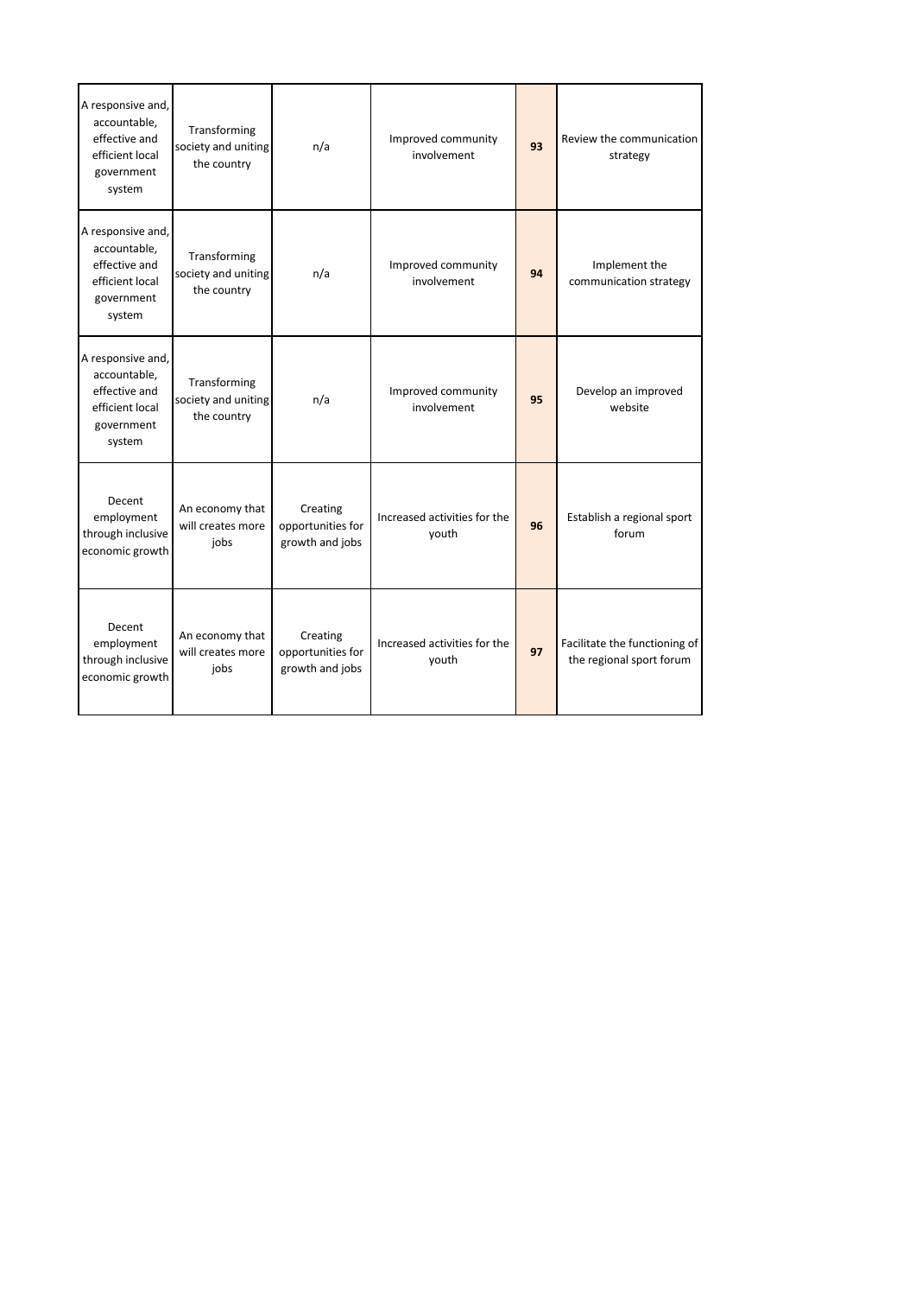| A responsive and,<br>accountable,<br>effective and<br>efficient local<br>government<br>system | Transforming<br>society and uniting<br>the country | n/a                                              | Improved community<br>involvement     | 93 | Review the communication<br>strategy                      |
|-----------------------------------------------------------------------------------------------|----------------------------------------------------|--------------------------------------------------|---------------------------------------|----|-----------------------------------------------------------|
| A responsive and,<br>accountable,<br>effective and<br>efficient local<br>government<br>system | Transforming<br>society and uniting<br>the country | n/a                                              | Improved community<br>involvement     | 94 | Implement the<br>communication strategy                   |
| A responsive and,<br>accountable,<br>effective and<br>efficient local<br>government<br>system | Transforming<br>society and uniting<br>the country | n/a                                              | Improved community<br>involvement     | 95 | Develop an improved<br>website                            |
| Decent<br>employment<br>through inclusive<br>economic growth                                  | An economy that<br>will creates more<br>jobs       | Creating<br>opportunities for<br>growth and jobs | Increased activities for the<br>youth | 96 | Establish a regional sport<br>forum                       |
| Decent<br>employment<br>through inclusive<br>economic growth                                  | An economy that<br>will creates more<br>jobs       | Creating<br>opportunities for<br>growth and jobs | Increased activities for the<br>youth | 97 | Facilitate the functioning of<br>the regional sport forum |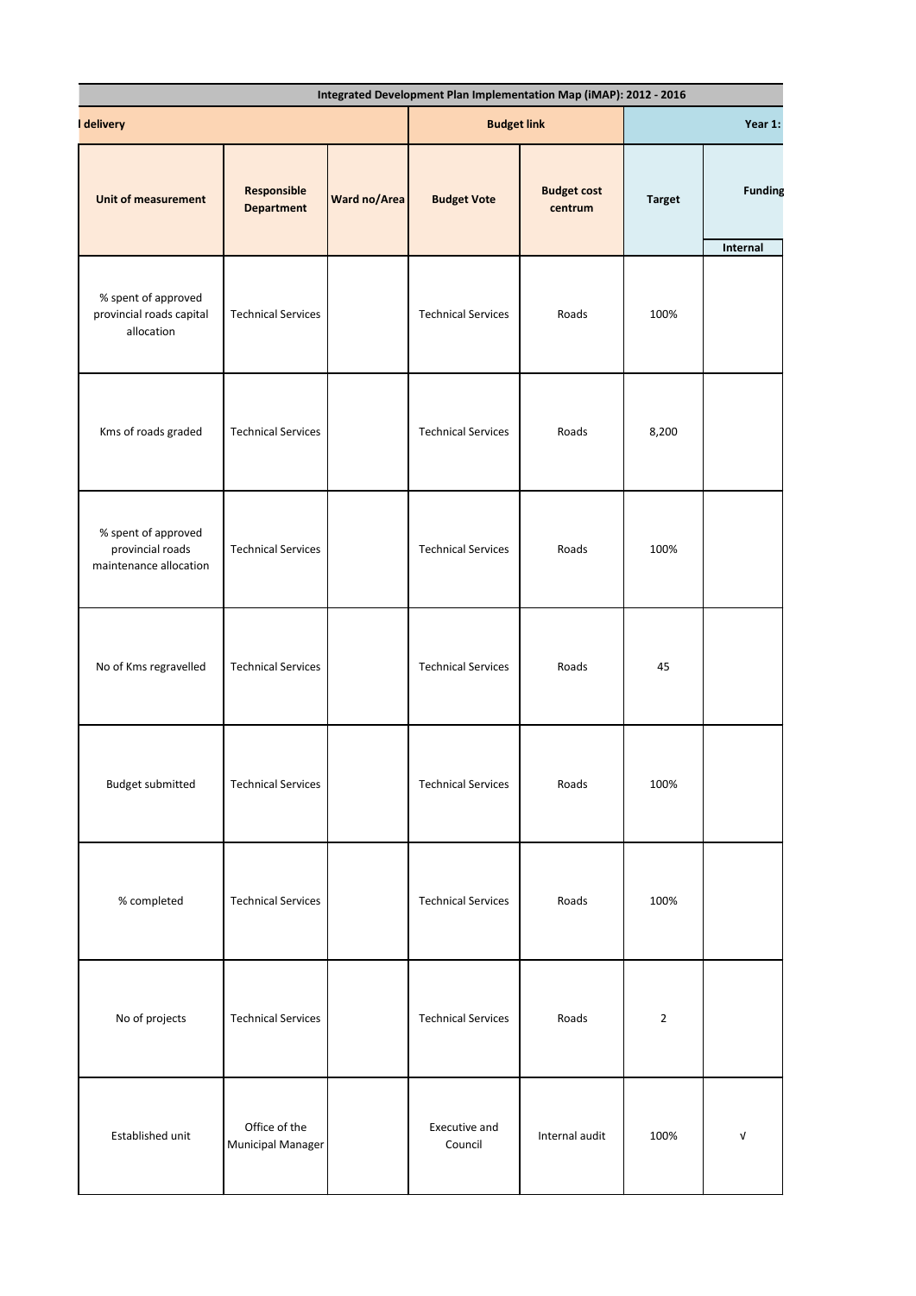| I delivery                                                        |                                    |              | <b>Budget link</b>        |                               | Year 1:        |                            |  |
|-------------------------------------------------------------------|------------------------------------|--------------|---------------------------|-------------------------------|----------------|----------------------------|--|
| <b>Unit of measurement</b>                                        | Responsible<br><b>Department</b>   | Ward no/Area | <b>Budget Vote</b>        | <b>Budget cost</b><br>centrum | <b>Target</b>  | <b>Funding</b><br>Internal |  |
| % spent of approved<br>provincial roads capital<br>allocation     | <b>Technical Services</b>          |              | <b>Technical Services</b> | Roads                         | 100%           |                            |  |
| Kms of roads graded                                               | <b>Technical Services</b>          |              | <b>Technical Services</b> | Roads                         | 8,200          |                            |  |
| % spent of approved<br>provincial roads<br>maintenance allocation | <b>Technical Services</b>          |              | <b>Technical Services</b> | Roads                         | 100%           |                            |  |
| No of Kms regravelled                                             | <b>Technical Services</b>          |              | <b>Technical Services</b> | Roads                         | 45             |                            |  |
| Budget submitted                                                  | <b>Technical Services</b>          |              | <b>Technical Services</b> | Roads                         | 100%           |                            |  |
| % completed                                                       | <b>Technical Services</b>          |              | <b>Technical Services</b> | Roads                         | 100%           |                            |  |
| No of projects                                                    | <b>Technical Services</b>          |              | <b>Technical Services</b> | Roads                         | $\overline{2}$ |                            |  |
| Established unit                                                  | Office of the<br>Municipal Manager |              | Executive and<br>Council  | Internal audit                | 100%           | $\mathsf{V}$               |  |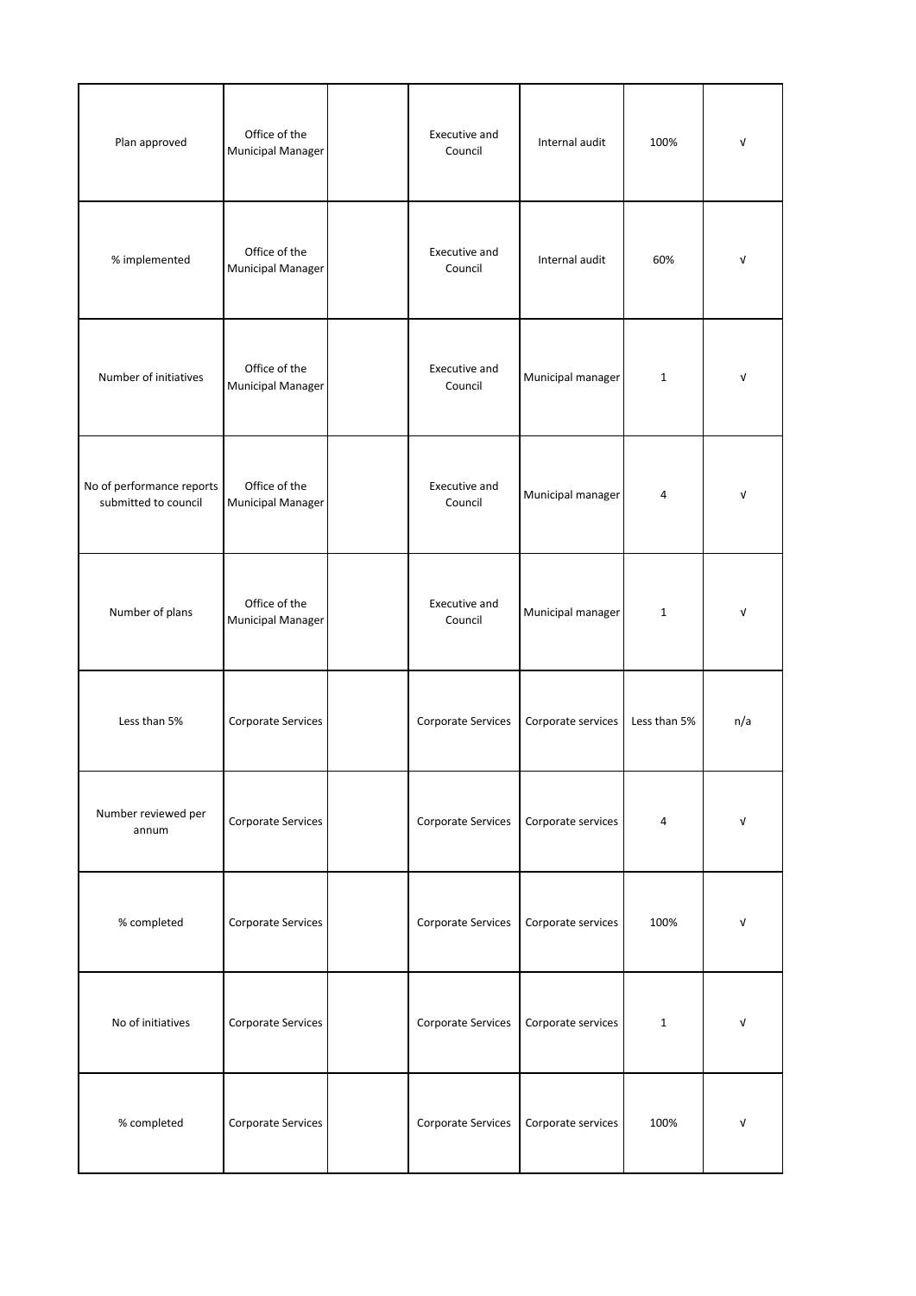| Plan approved                                     | Office of the<br><b>Municipal Manager</b> | Executive and<br>Council | Internal audit     | 100%         | $\sqrt{ }$ |
|---------------------------------------------------|-------------------------------------------|--------------------------|--------------------|--------------|------------|
| % implemented                                     | Office of the<br><b>Municipal Manager</b> | Executive and<br>Council | Internal audit     | 60%          | $\sqrt{ }$ |
| Number of initiatives                             | Office of the<br><b>Municipal Manager</b> | Executive and<br>Council | Municipal manager  | $1\,$        | V          |
| No of performance reports<br>submitted to council | Office of the<br><b>Municipal Manager</b> | Executive and<br>Council | Municipal manager  | 4            | $\sqrt{ }$ |
| Number of plans                                   | Office of the<br><b>Municipal Manager</b> | Executive and<br>Council | Municipal manager  | $\mathbf 1$  | $\sqrt{ }$ |
| Less than 5%                                      | Corporate Services                        | Corporate Services       | Corporate services | Less than 5% | n/a        |
| Number reviewed per<br>annum                      | Corporate Services                        | Corporate Services       | Corporate services | 4            | $\sqrt{ }$ |
| % completed                                       | Corporate Services                        | Corporate Services       | Corporate services | 100%         | V          |
| No of initiatives                                 | Corporate Services                        | Corporate Services       | Corporate services | $1\,$        | $\sqrt{ }$ |
| % completed                                       | Corporate Services                        | Corporate Services       | Corporate services | 100%         | V          |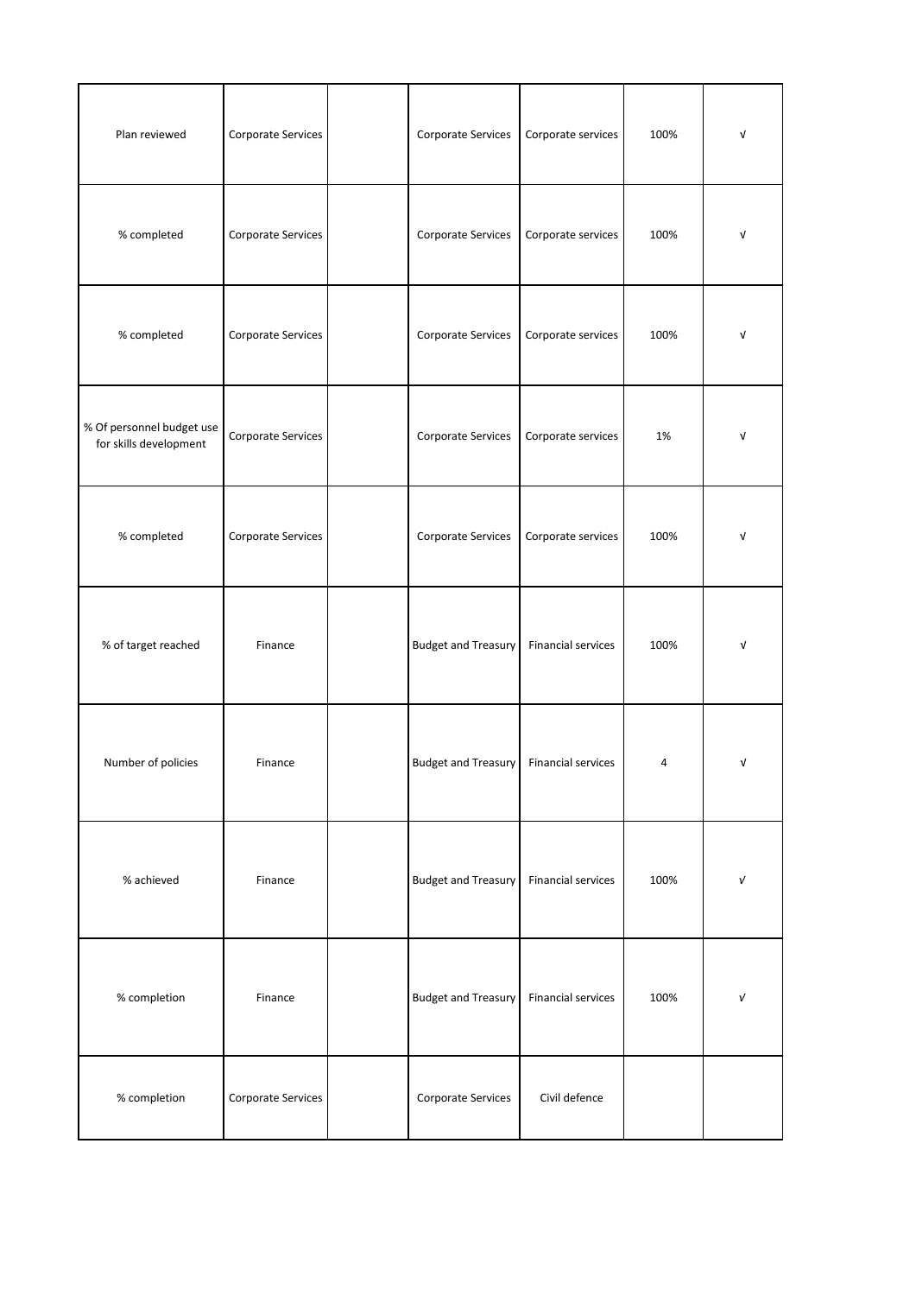| Plan reviewed                                       | Corporate Services | Corporate Services         | Corporate services        | 100% | V          |
|-----------------------------------------------------|--------------------|----------------------------|---------------------------|------|------------|
| % completed                                         | Corporate Services | Corporate Services         | Corporate services        | 100% | ν          |
| % completed                                         | Corporate Services | Corporate Services         | Corporate services        | 100% | V          |
| % Of personnel budget use<br>for skills development | Corporate Services | Corporate Services         | Corporate services        | 1%   | $\sqrt{ }$ |
| % completed                                         | Corporate Services | Corporate Services         | Corporate services        | 100% | $\sqrt{ }$ |
| % of target reached                                 | Finance            | <b>Budget and Treasury</b> | <b>Financial services</b> | 100% | V          |
| Number of policies                                  | Finance            | <b>Budget and Treasury</b> | Financial services        | 4    | V          |
| % achieved                                          | Finance            | <b>Budget and Treasury</b> | <b>Financial services</b> | 100% | $\sqrt{ }$ |
| % completion                                        | Finance            | <b>Budget and Treasury</b> | <b>Financial services</b> | 100% | $\sqrt{ }$ |
| % completion                                        | Corporate Services | Corporate Services         | Civil defence             |      |            |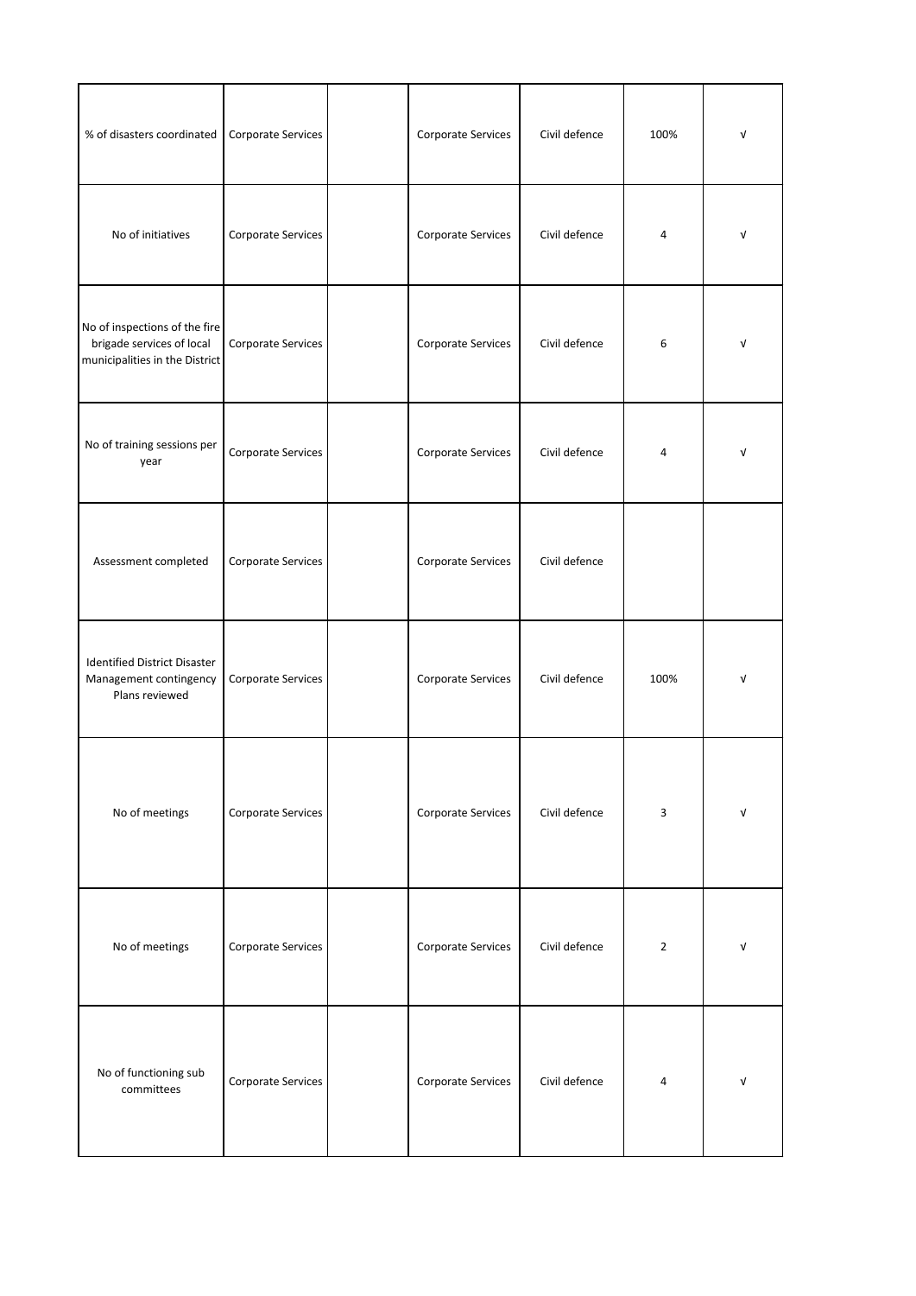| % of disasters coordinated                                                                   | Corporate Services | Corporate Services | Civil defence | 100%           | V |
|----------------------------------------------------------------------------------------------|--------------------|--------------------|---------------|----------------|---|
| No of initiatives                                                                            | Corporate Services | Corporate Services | Civil defence | $\overline{4}$ | V |
| No of inspections of the fire<br>brigade services of local<br>municipalities in the District | Corporate Services | Corporate Services | Civil defence | 6              | V |
| No of training sessions per<br>year                                                          | Corporate Services | Corporate Services | Civil defence | 4              | V |
| Assessment completed                                                                         | Corporate Services | Corporate Services | Civil defence |                |   |
| <b>Identified District Disaster</b><br>Management contingency<br>Plans reviewed              | Corporate Services | Corporate Services | Civil defence | 100%           | V |
| No of meetings                                                                               | Corporate Services | Corporate Services | Civil defence | 3              | V |
| No of meetings                                                                               | Corporate Services | Corporate Services | Civil defence | $\overline{2}$ | V |
| No of functioning sub<br>committees                                                          | Corporate Services | Corporate Services | Civil defence | 4              | V |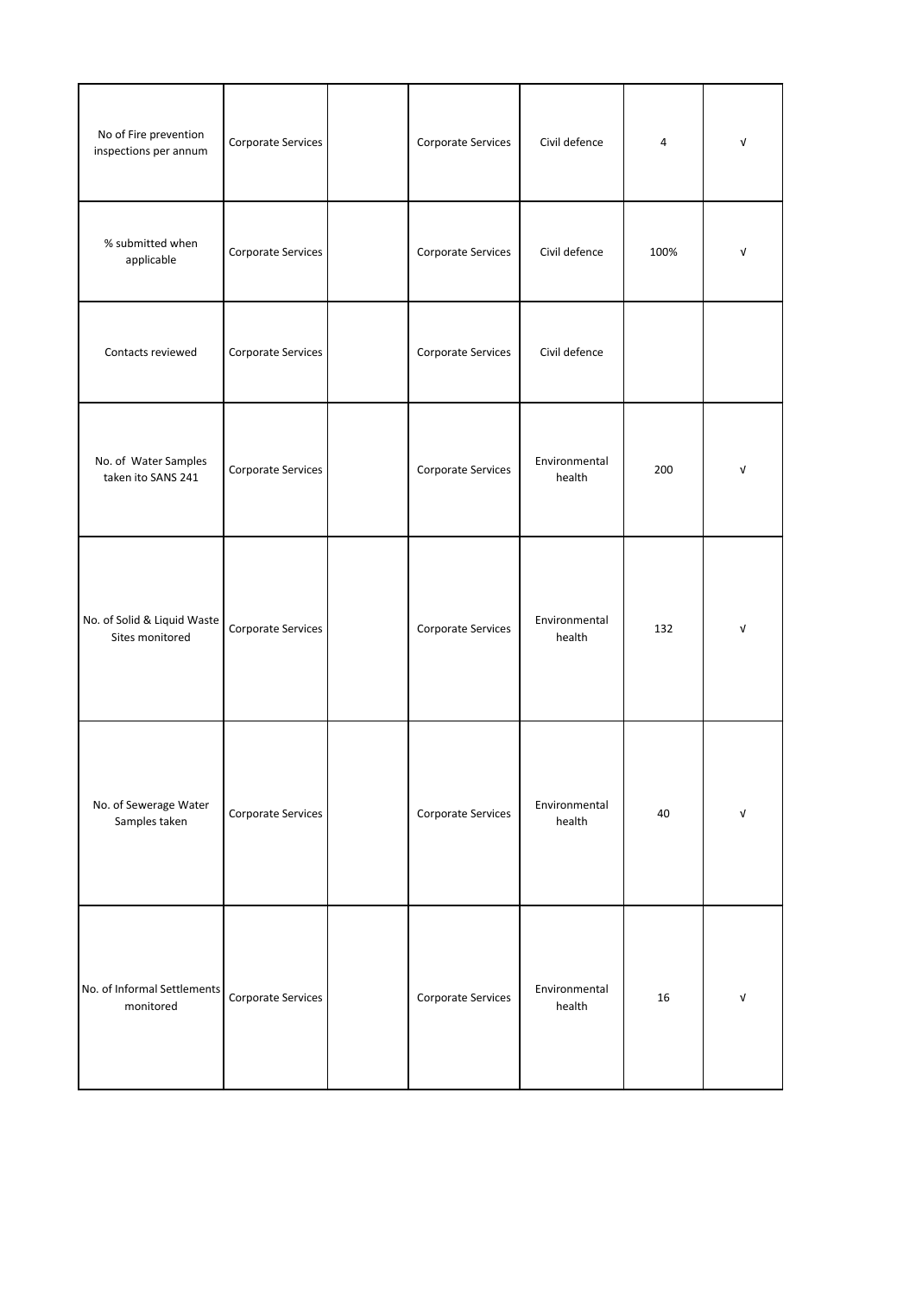| No of Fire prevention<br>inspections per annum | Corporate Services | Corporate Services | Civil defence           | $\overline{4}$ | V          |
|------------------------------------------------|--------------------|--------------------|-------------------------|----------------|------------|
| % submitted when<br>applicable                 | Corporate Services | Corporate Services | Civil defence           | 100%           | V          |
| Contacts reviewed                              | Corporate Services | Corporate Services | Civil defence           |                |            |
| No. of Water Samples<br>taken ito SANS 241     | Corporate Services | Corporate Services | Environmental<br>health | 200            | $\sqrt{ }$ |
| No. of Solid & Liquid Waste<br>Sites monitored | Corporate Services | Corporate Services | Environmental<br>health | 132            | $\sqrt{ }$ |
| No. of Sewerage Water<br>Samples taken         | Corporate Services | Corporate Services | Environmental<br>health | 40             | $\sqrt{ }$ |
| No. of Informal Settlements<br>monitored       | Corporate Services | Corporate Services | Environmental<br>health | 16             | $\sqrt{ }$ |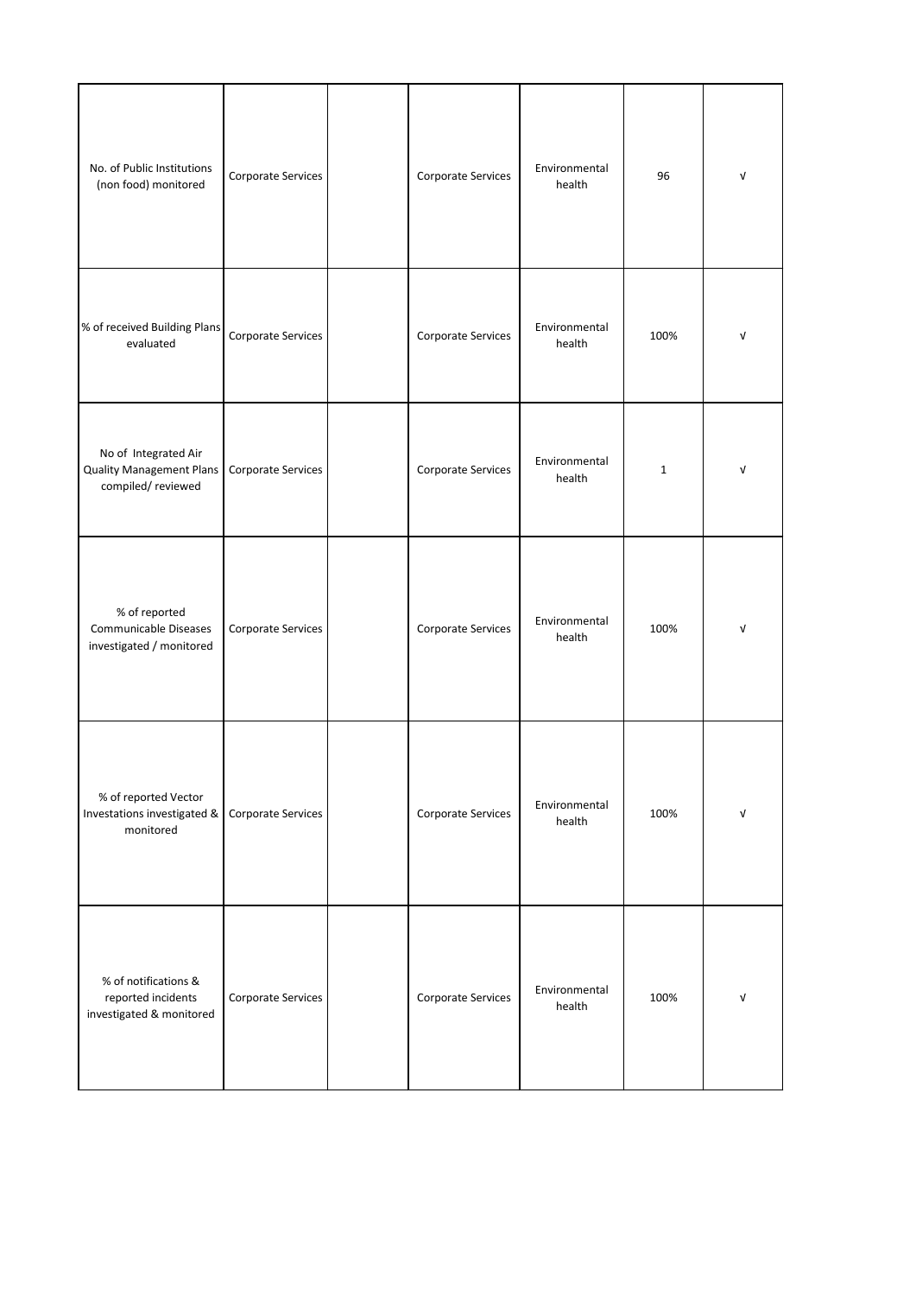| No. of Public Institutions<br>(non food) monitored                           | Corporate Services | Corporate Services | Environmental<br>health | 96           | $\sqrt{ }$ |
|------------------------------------------------------------------------------|--------------------|--------------------|-------------------------|--------------|------------|
| % of received Building Plans<br>evaluated                                    | Corporate Services | Corporate Services | Environmental<br>health | 100%         | $\sqrt{ }$ |
| No of Integrated Air<br><b>Quality Management Plans</b><br>compiled/reviewed | Corporate Services | Corporate Services | Environmental<br>health | $\mathbf{1}$ | ν          |
| % of reported<br>Communicable Diseases<br>investigated / monitored           | Corporate Services | Corporate Services | Environmental<br>health | 100%         | $\sqrt{ }$ |
| % of reported Vector<br>Investations investigated &<br>monitored             | Corporate Services | Corporate Services | Environmental<br>health | 100%         | $\sqrt{ }$ |
| % of notifications &<br>reported incidents<br>investigated & monitored       | Corporate Services | Corporate Services | Environmental<br>health | 100%         | V          |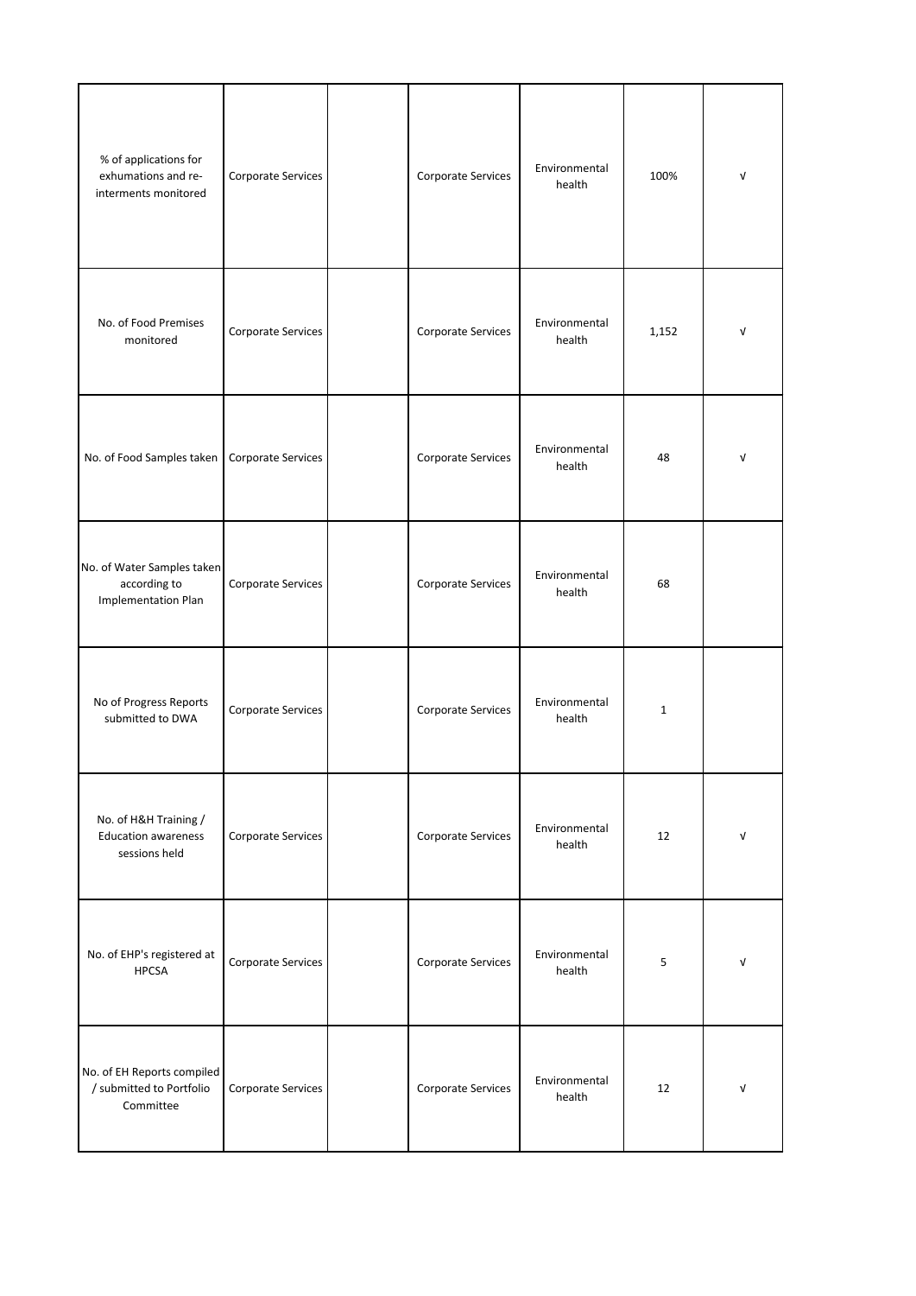| % of applications for<br>exhumations and re-<br>interments monitored     | Corporate Services | Corporate Services | Environmental<br>health | 100%         | $\sqrt{ }$ |
|--------------------------------------------------------------------------|--------------------|--------------------|-------------------------|--------------|------------|
| No. of Food Premises<br>monitored                                        | Corporate Services | Corporate Services | Environmental<br>health | 1,152        | V          |
| No. of Food Samples taken                                                | Corporate Services | Corporate Services | Environmental<br>health | 48           | ν          |
| No. of Water Samples taken<br>according to<br><b>Implementation Plan</b> | Corporate Services | Corporate Services | Environmental<br>health | 68           |            |
| No of Progress Reports<br>submitted to DWA                               | Corporate Services | Corporate Services | Environmental<br>health | $\mathbf{1}$ |            |
| No. of H&H Training /<br><b>Education awareness</b><br>sessions held     | Corporate Services | Corporate Services | Environmental<br>health | 12           | V          |
| No. of EHP's registered at<br><b>HPCSA</b>                               | Corporate Services | Corporate Services | Environmental<br>health | 5            | V          |
| No. of EH Reports compiled<br>/ submitted to Portfolio<br>Committee      | Corporate Services | Corporate Services | Environmental<br>health | 12           | V          |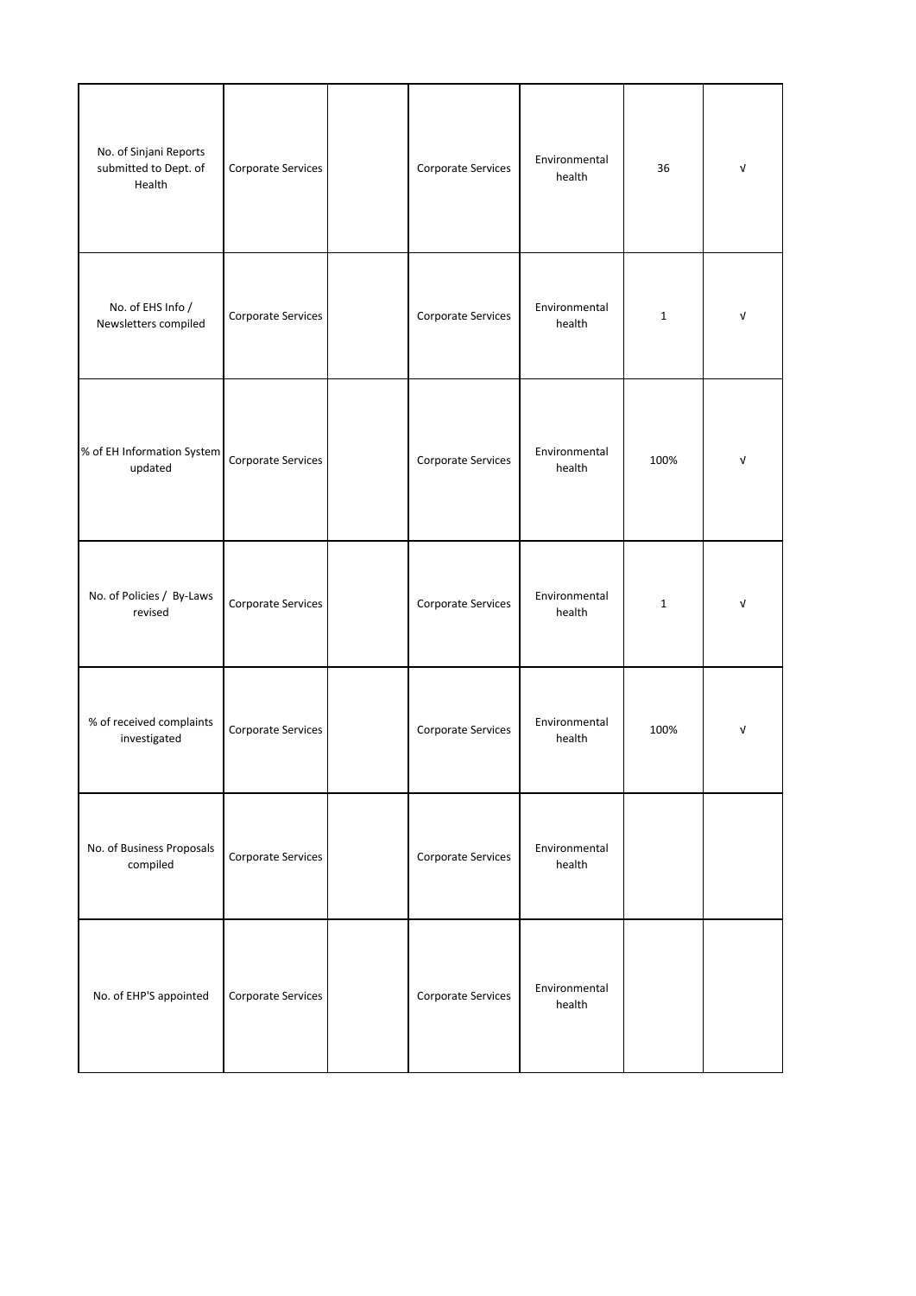| No. of Sinjani Reports<br>submitted to Dept. of<br>Health | Corporate Services | Corporate Services | Environmental<br>health | 36           | $\mathsf{V}$ |
|-----------------------------------------------------------|--------------------|--------------------|-------------------------|--------------|--------------|
| No. of EHS Info /<br>Newsletters compiled                 | Corporate Services | Corporate Services | Environmental<br>health | $\mathbf{1}$ | $\sqrt{ }$   |
| % of EH Information System<br>updated                     | Corporate Services | Corporate Services | Environmental<br>health | 100%         | $\mathsf{V}$ |
| No. of Policies / By-Laws<br>revised                      | Corporate Services | Corporate Services | Environmental<br>health | $\mathbf 1$  | $\sqrt{ }$   |
| % of received complaints<br>investigated                  | Corporate Services | Corporate Services | Environmental<br>health | 100%         | $\mathsf{V}$ |
| No. of Business Proposals<br>compiled                     | Corporate Services | Corporate Services | Environmental<br>health |              |              |
| No. of EHP'S appointed                                    | Corporate Services | Corporate Services | Environmental<br>health |              |              |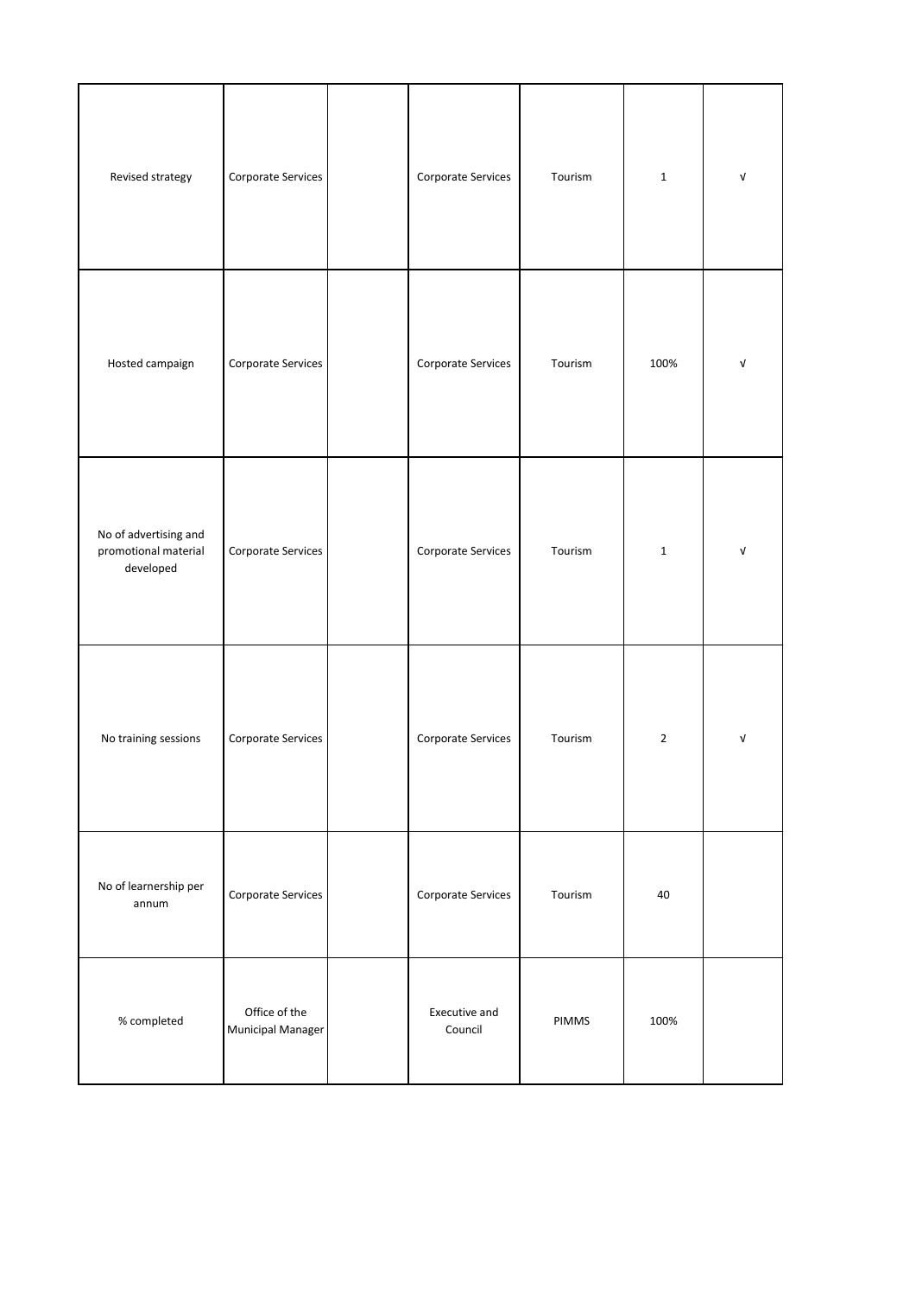| Revised strategy                                           | Corporate Services                        | Corporate Services       | Tourism | $\mathbf{1}$ | V          |
|------------------------------------------------------------|-------------------------------------------|--------------------------|---------|--------------|------------|
| Hosted campaign                                            | Corporate Services                        | Corporate Services       | Tourism | 100%         | V          |
| No of advertising and<br>promotional material<br>developed | Corporate Services                        | Corporate Services       | Tourism | $\mathbf{1}$ | $\sqrt{ }$ |
| No training sessions                                       | Corporate Services                        | Corporate Services       | Tourism | $\mathbf 2$  | $\sqrt{ }$ |
| No of learnership per<br>annum                             | Corporate Services                        | Corporate Services       | Tourism | 40           |            |
| $\%$ completed                                             | Office of the<br><b>Municipal Manager</b> | Executive and<br>Council | PIMMS   | 100%         |            |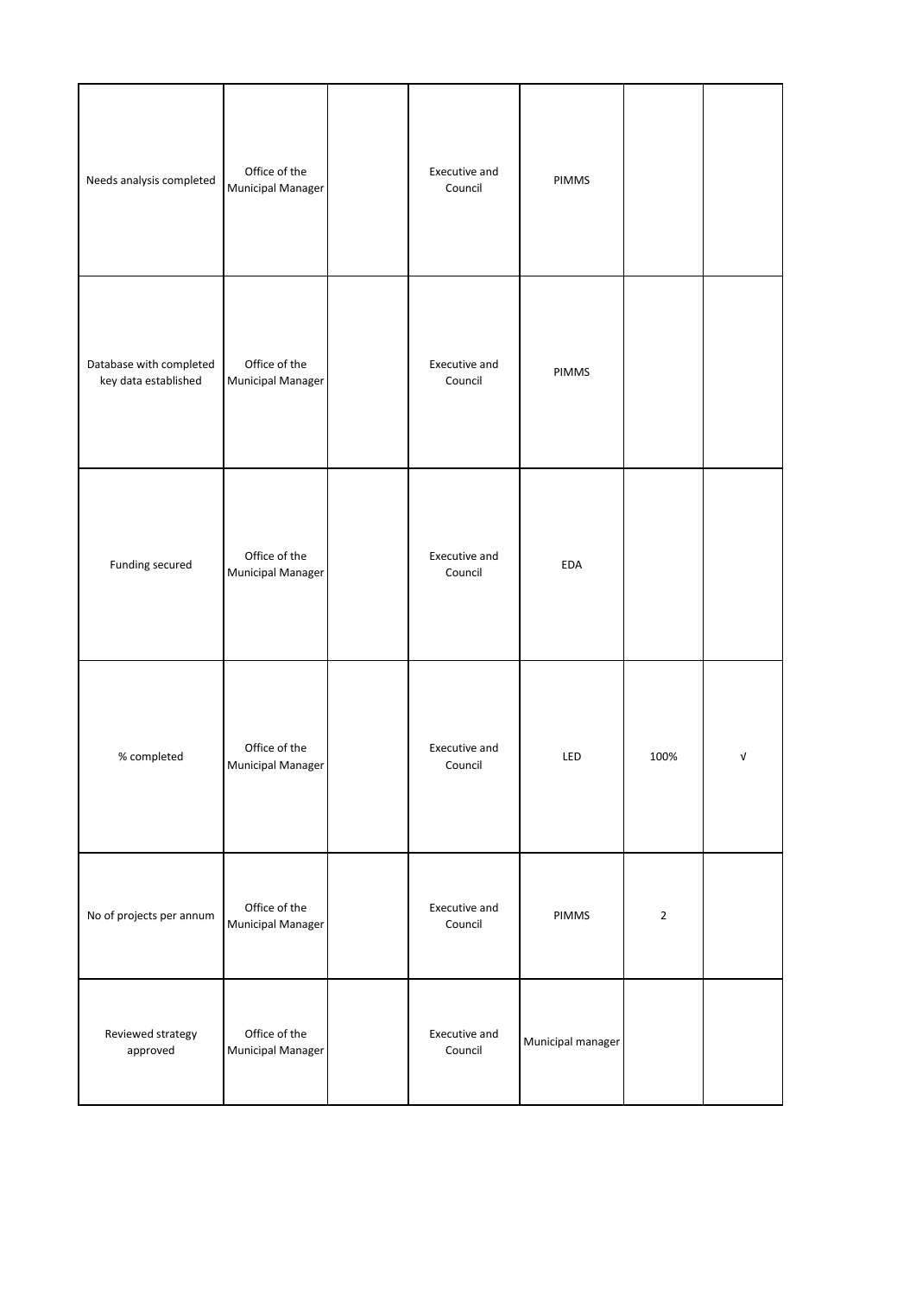| Needs analysis completed                        | Office of the<br><b>Municipal Manager</b> | Executive and<br>Council | PIMMS             |                |   |
|-------------------------------------------------|-------------------------------------------|--------------------------|-------------------|----------------|---|
| Database with completed<br>key data established | Office of the<br>Municipal Manager        | Executive and<br>Council | PIMMS             |                |   |
| Funding secured                                 | Office of the<br>Municipal Manager        | Executive and<br>Council | EDA               |                |   |
| % completed                                     | Office of the<br>Municipal Manager        | Executive and<br>Council | LED               | 100%           | V |
| No of projects per annum                        | Office of the<br><b>Municipal Manager</b> | Executive and<br>Council | PIMMS             | $\overline{2}$ |   |
| Reviewed strategy<br>approved                   | Office of the<br>Municipal Manager        | Executive and<br>Council | Municipal manager |                |   |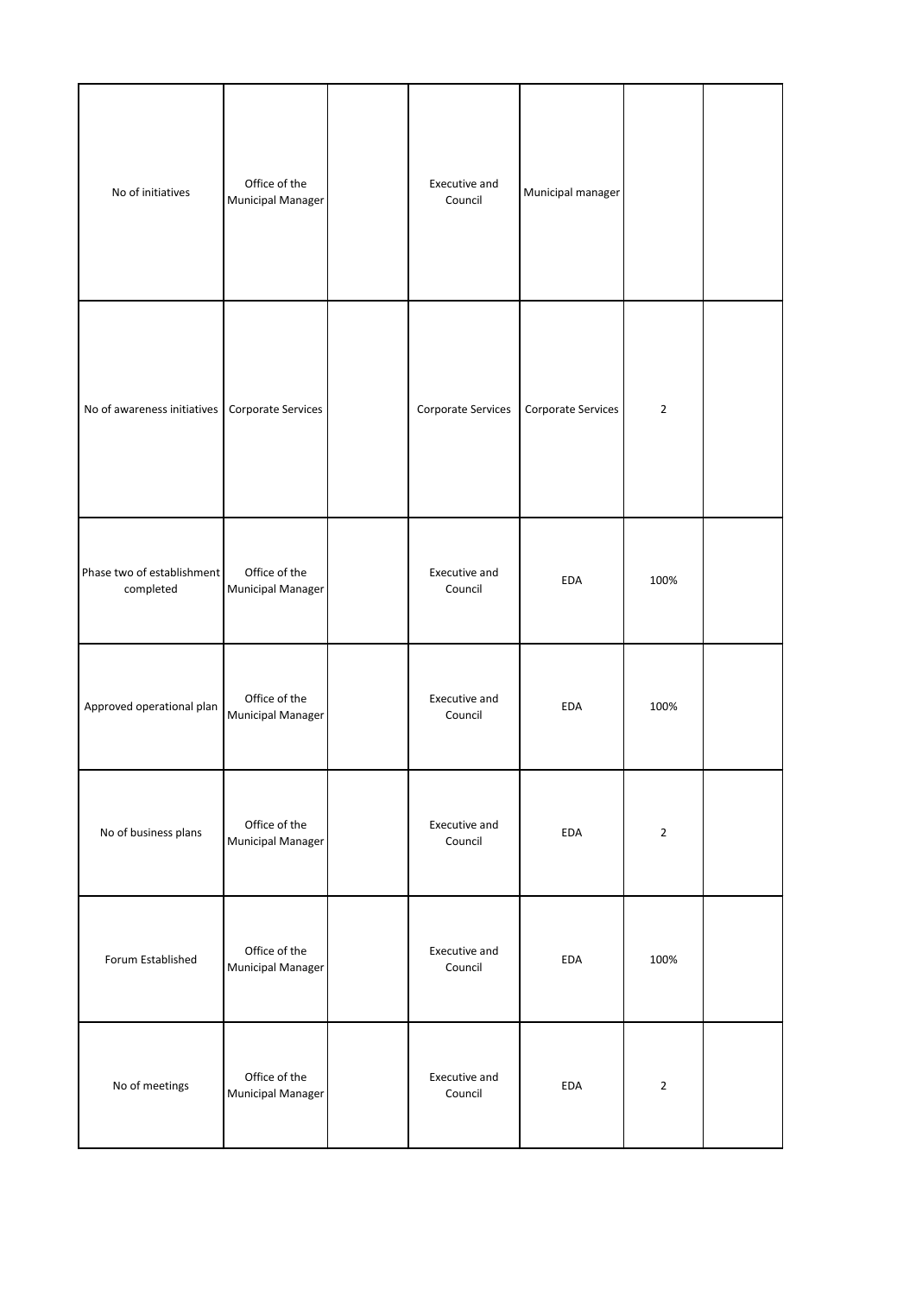| No of initiatives                       | Office of the<br><b>Municipal Manager</b> | Executive and<br>Council | Municipal manager  |                |  |
|-----------------------------------------|-------------------------------------------|--------------------------|--------------------|----------------|--|
| No of awareness initiatives             | Corporate Services                        | Corporate Services       | Corporate Services | $\overline{2}$ |  |
| Phase two of establishment<br>completed | Office of the<br><b>Municipal Manager</b> | Executive and<br>Council | EDA                | 100%           |  |
| Approved operational plan               | Office of the<br>Municipal Manager        | Executive and<br>Council | <b>EDA</b>         | 100%           |  |
| No of business plans                    | Office of the<br><b>Municipal Manager</b> | Executive and<br>Council | EDA                | $\mathbf 2$    |  |
| Forum Established                       | Office of the<br><b>Municipal Manager</b> | Executive and<br>Council | <b>EDA</b>         | 100%           |  |
| No of meetings                          | Office of the<br>Municipal Manager        | Executive and<br>Council | EDA                | $\mathbf 2$    |  |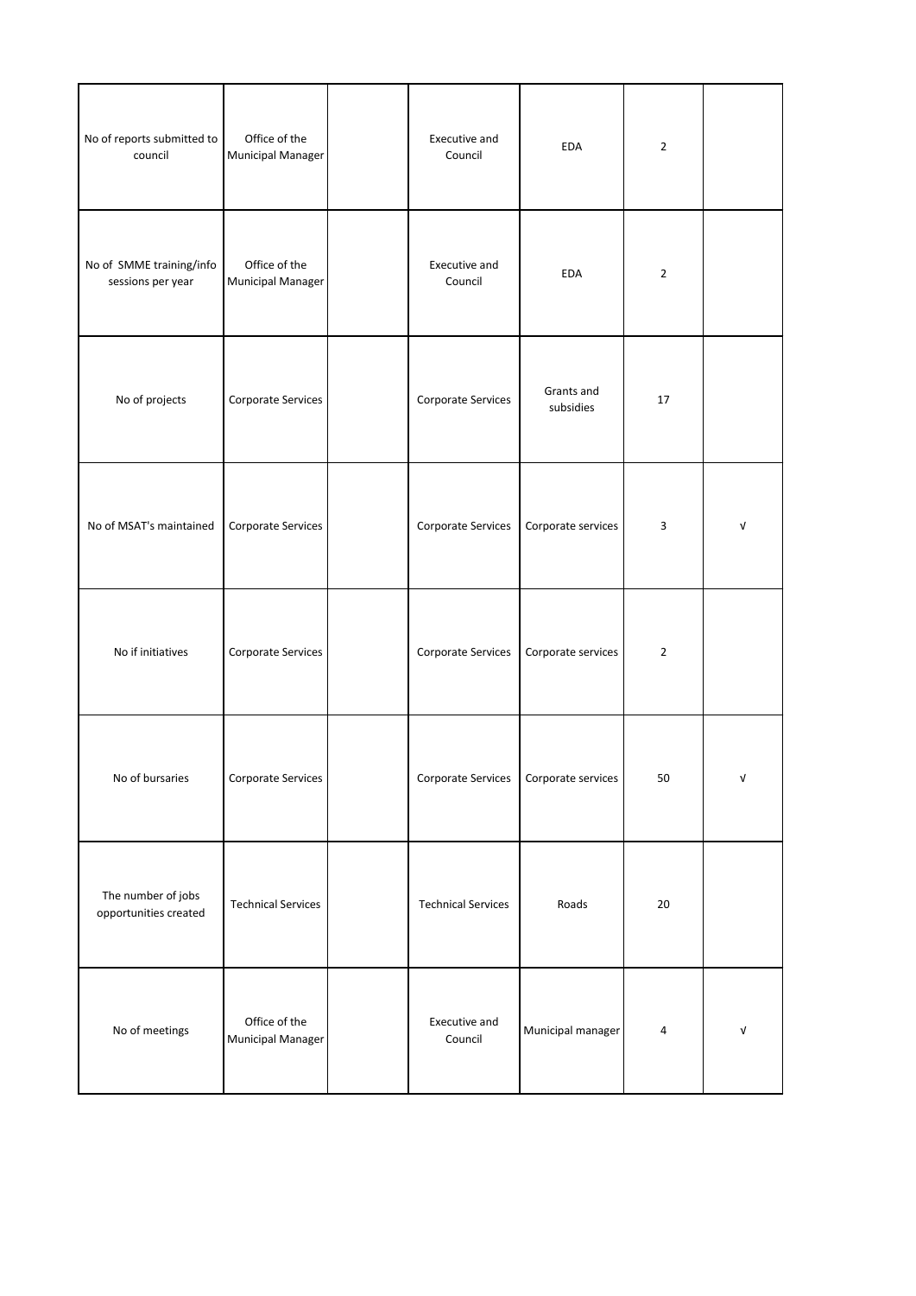| No of reports submitted to<br>council         | Office of the<br>Municipal Manager        | Executive and<br>Council  | <b>EDA</b>              | $\mathbf 2$             |   |
|-----------------------------------------------|-------------------------------------------|---------------------------|-------------------------|-------------------------|---|
| No of SMME training/info<br>sessions per year | Office of the<br><b>Municipal Manager</b> | Executive and<br>Council  | <b>EDA</b>              | $\overline{2}$          |   |
| No of projects                                | Corporate Services                        | Corporate Services        | Grants and<br>subsidies | 17                      |   |
| No of MSAT's maintained                       | Corporate Services                        | Corporate Services        | Corporate services      | $\overline{\mathbf{3}}$ | V |
| No if initiatives                             | Corporate Services                        | Corporate Services        | Corporate services      | $\mathbf 2$             |   |
| No of bursaries                               | Corporate Services                        | Corporate Services        | Corporate services      | 50                      | ٧ |
| The number of jobs<br>opportunities created   | <b>Technical Services</b>                 | <b>Technical Services</b> | Roads                   | 20                      |   |
| No of meetings                                | Office of the<br>Municipal Manager        | Executive and<br>Council  | Municipal manager       | 4                       | V |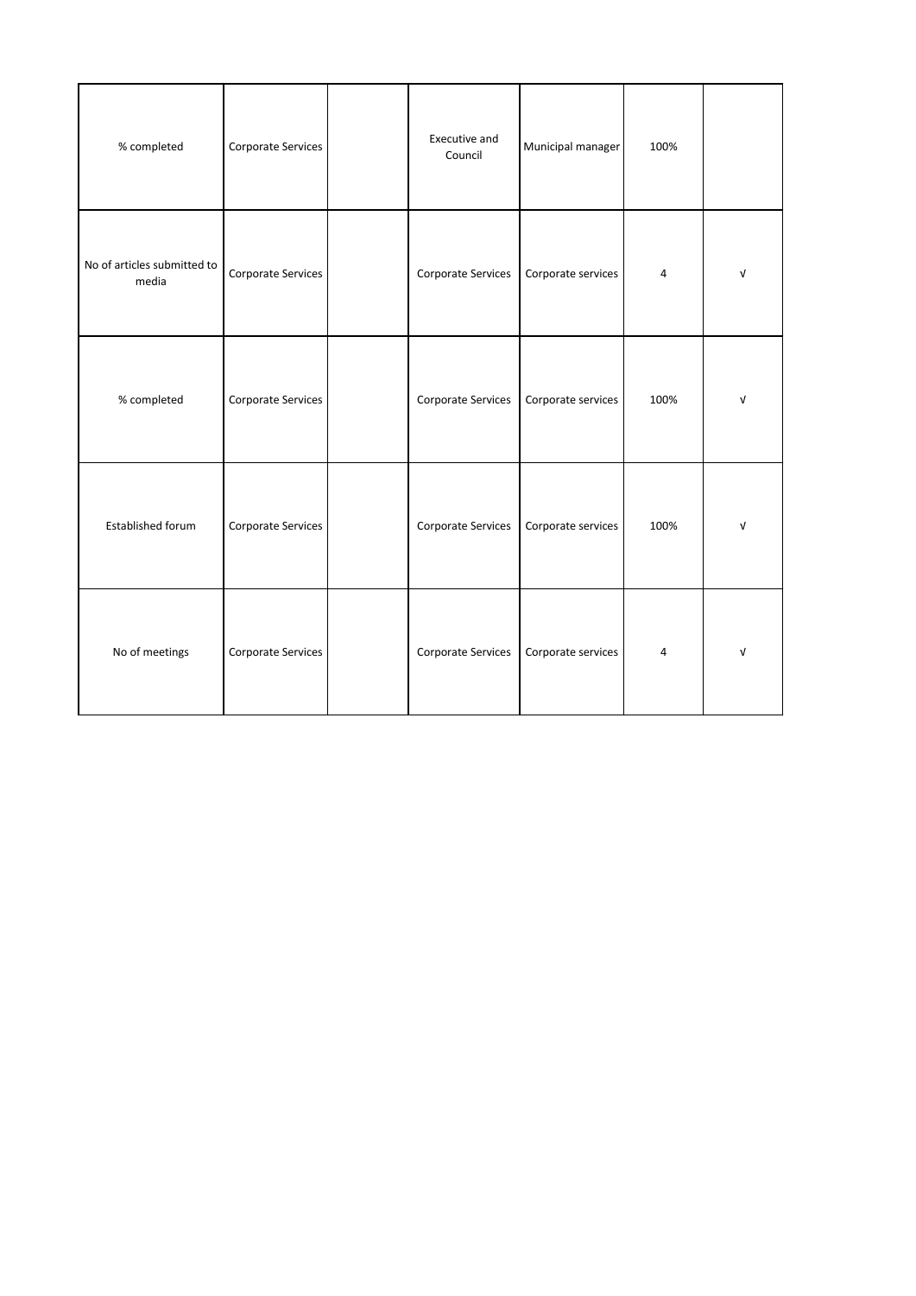| % completed                          | Corporate Services | Executive and<br>Council | Municipal manager  | 100%           |            |
|--------------------------------------|--------------------|--------------------------|--------------------|----------------|------------|
| No of articles submitted to<br>media | Corporate Services | Corporate Services       | Corporate services | 4              | V          |
| % completed                          | Corporate Services | Corporate Services       | Corporate services | 100%           | $\sqrt{ }$ |
| Established forum                    | Corporate Services | Corporate Services       | Corporate services | 100%           | ν          |
| No of meetings                       | Corporate Services | Corporate Services       | Corporate services | $\overline{4}$ | $\sqrt{ }$ |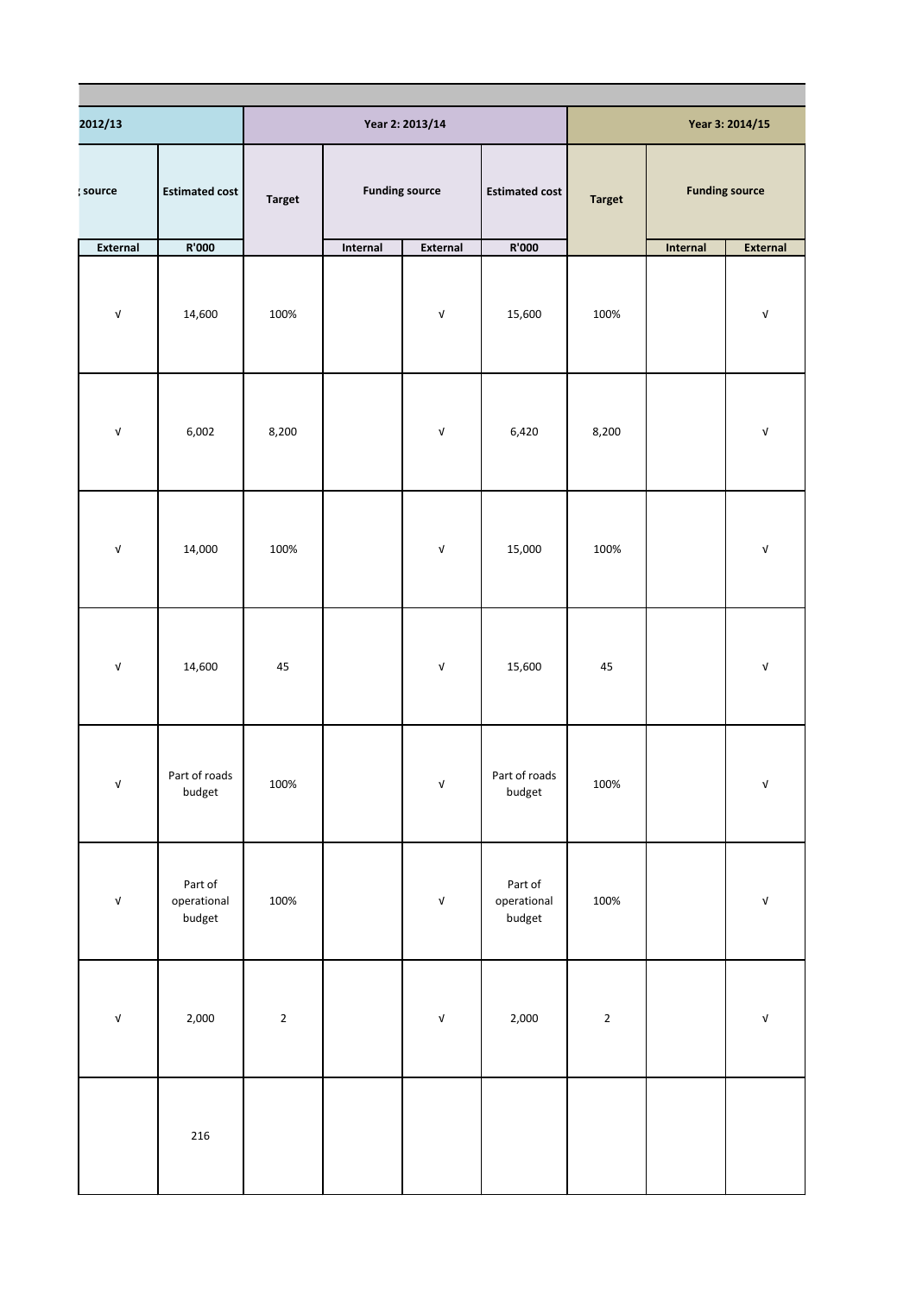| 2012/13                          |                                  |               |                       | Year 2: 2013/14                  |                                  |               |          | Year 3: 2014/15                  |
|----------------------------------|----------------------------------|---------------|-----------------------|----------------------------------|----------------------------------|---------------|----------|----------------------------------|
| source                           | <b>Estimated cost</b>            | <b>Target</b> | <b>Funding source</b> |                                  | <b>Estimated cost</b>            | <b>Target</b> |          | <b>Funding source</b>            |
| External                         | R'000                            |               | Internal              | External                         | R'000                            |               | Internal | External                         |
| $\ensuremath{\mathsf{v}}\xspace$ | 14,600                           | 100%          |                       | $\ensuremath{\mathsf{v}}\xspace$ | 15,600                           | 100%          |          | $\ensuremath{\mathsf{v}}\xspace$ |
| $\ensuremath{\mathsf{v}}\xspace$ | 6,002                            | 8,200         |                       | $\ensuremath{\mathsf{V}}$        | 6,420                            | 8,200         |          | $\ensuremath{\mathsf{V}}$        |
| $\ensuremath{\mathsf{V}}$        | 14,000                           | 100%          |                       | $\ensuremath{\mathsf{v}}\xspace$ | 15,000                           | 100%          |          | $\ensuremath{\mathsf{V}}$        |
| $\ensuremath{\mathsf{V}}$        | 14,600                           | 45            |                       | $\ensuremath{\mathsf{v}}\xspace$ | 15,600                           | 45            |          | V                                |
| V                                | Part of roads<br>budget          | 100%          |                       | V                                | Part of roads<br>budget          | 100%          |          | ${\sf V}$                        |
| $\ensuremath{\mathsf{v}}\xspace$ | Part of<br>operational<br>budget | 100%          |                       | $\ensuremath{\mathsf{v}}\xspace$ | Part of<br>operational<br>budget | 100%          |          | $\ensuremath{\mathsf{v}}\xspace$ |
| $\ensuremath{\mathsf{v}}\xspace$ | 2,000                            | $\mathbf 2$   |                       | $\ensuremath{\mathsf{v}}\xspace$ | 2,000                            | $\mathbf 2$   |          | $\ensuremath{\mathsf{v}}\xspace$ |
|                                  | 216                              |               |                       |                                  |                                  |               |          |                                  |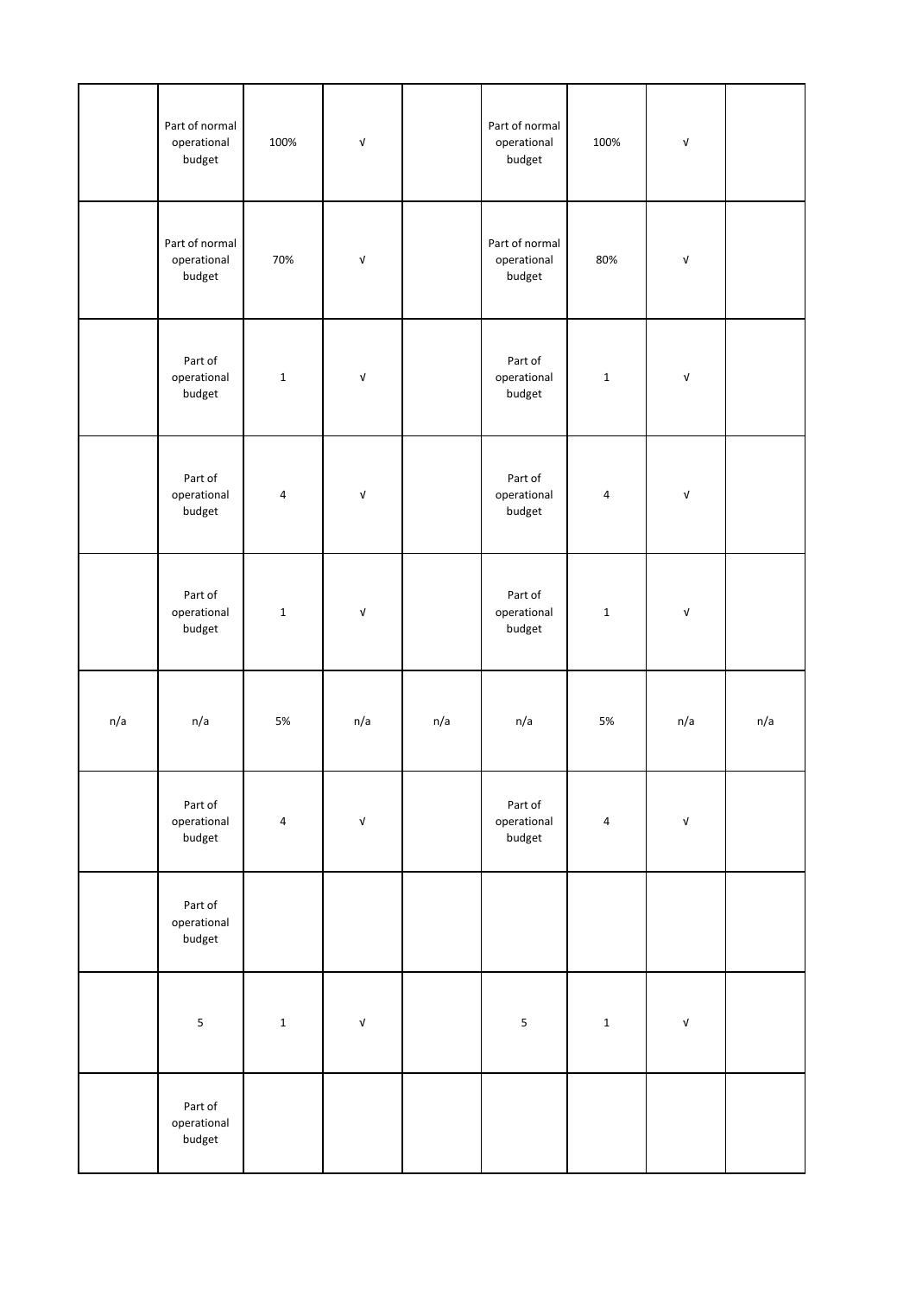|     | Part of normal<br>operational<br>budget | 100%                    | $\ensuremath{\mathsf{V}}$        |     | Part of normal<br>operational<br>budget | 100%           | $\sqrt{ }$                       |     |
|-----|-----------------------------------------|-------------------------|----------------------------------|-----|-----------------------------------------|----------------|----------------------------------|-----|
|     | Part of normal<br>operational<br>budget | 70%                     | $\ensuremath{\mathsf{v}}\xspace$ |     | Part of normal<br>operational<br>budget | 80%            | V                                |     |
|     | Part of<br>operational<br>budget        | $\mathbf 1$             | $\sqrt{ }$                       |     | Part of<br>operational<br>budget        | $\mathbf 1$    | $\mathsf{V}$                     |     |
|     | Part of<br>operational<br>budget        | $\pmb{4}$               | $\ensuremath{\mathsf{V}}$        |     | Part of<br>operational<br>budget        | $\overline{4}$ | $\mathsf{V}$                     |     |
|     | Part of<br>operational<br>budget        | $\mathbf{1}$            | $\ensuremath{\mathsf{V}}$        |     | Part of<br>operational<br>budget        | $\mathbf 1$    | $\mathsf{V}$                     |     |
| n/a | n/a                                     | 5%                      | n/a                              | n/a | n/a                                     | 5%             | n/a                              | n/a |
|     | Part of<br>operational<br>budget        | $\overline{\mathbf{4}}$ | $\ensuremath{\mathsf{v}}\xspace$ |     | Part of<br>operational<br>budget        | $\pmb{4}$      | $\ensuremath{\mathsf{v}}\xspace$ |     |
|     | Part of<br>operational<br>budget        |                         |                                  |     |                                         |                |                                  |     |
|     | 5                                       | $\mathbf 1$             | $\ensuremath{\mathsf{v}}\xspace$ |     | $\sf 5$                                 | $\mathbf 1$    | $\ensuremath{\mathsf{v}}\xspace$ |     |
|     | Part of<br>operational<br>budget        |                         |                                  |     |                                         |                |                                  |     |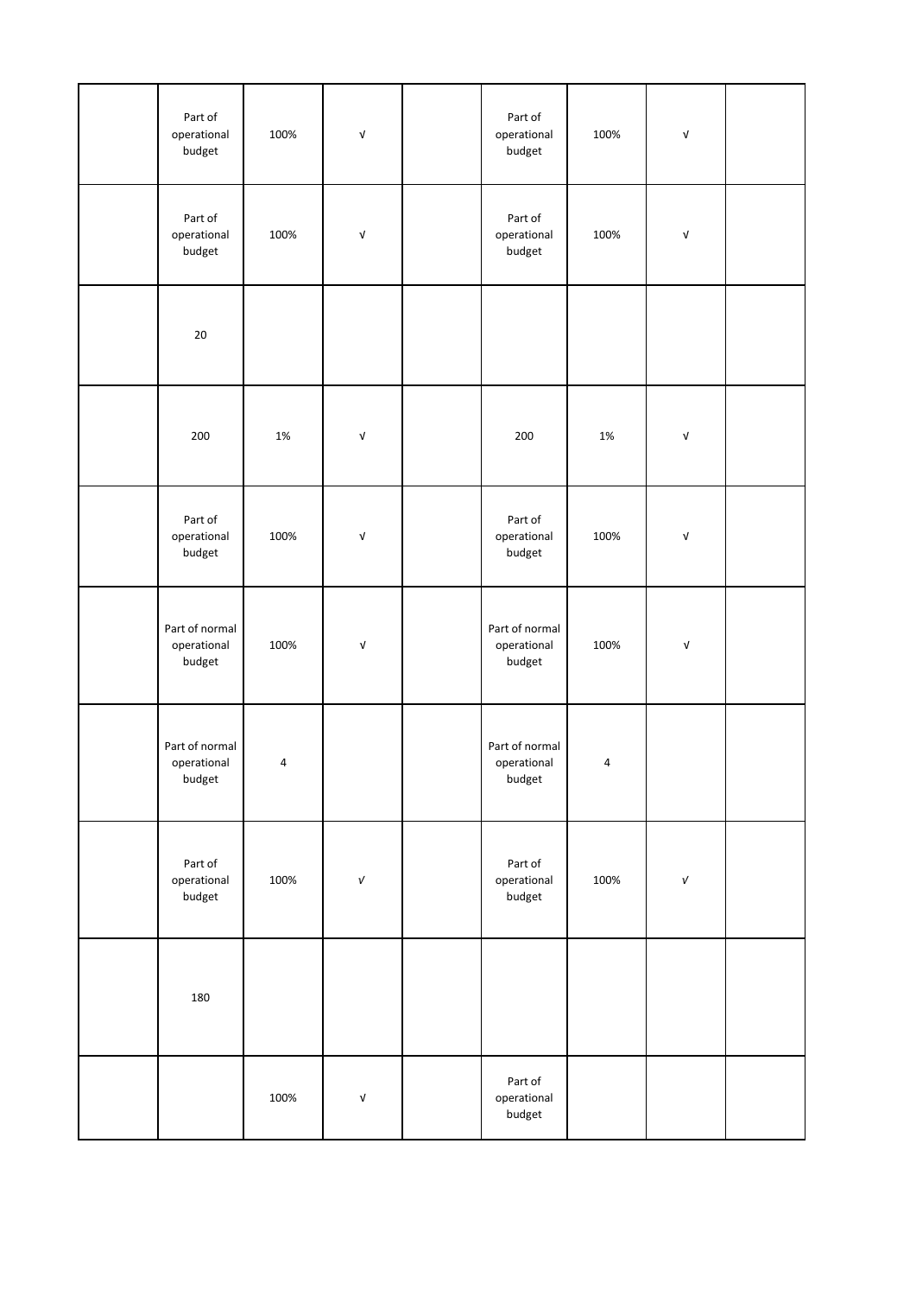| Part of<br>operational<br>budget        | 100%  | $\ensuremath{\mathsf{V}}$        | Part of<br>operational<br>budget        | 100%           | V                                |  |
|-----------------------------------------|-------|----------------------------------|-----------------------------------------|----------------|----------------------------------|--|
| Part of<br>operational<br>budget        | 100%  | $\ensuremath{\mathsf{v}}\xspace$ | Part of<br>operational<br>budget        | 100%           | $\ensuremath{\mathsf{v}}\xspace$ |  |
| 20                                      |       |                                  |                                         |                |                                  |  |
| 200                                     | $1\%$ | $\ensuremath{\mathsf{v}}\xspace$ | 200                                     | 1%             | V                                |  |
| Part of<br>operational<br>budget        | 100%  | $\ensuremath{\mathsf{v}}\xspace$ | Part of<br>operational<br>budget        | 100%           | V                                |  |
| Part of normal<br>operational<br>budget | 100%  | $\ensuremath{\mathsf{V}}$        | Part of normal<br>operational<br>budget | 100%           | V                                |  |
| Part of normal<br>operational<br>budget | 4     |                                  | Part of normal<br>operational<br>budget | $\overline{a}$ |                                  |  |
| Part of<br>operational<br>budget        | 100%  | $\sqrt{ }$                       | Part of<br>operational<br>budget        | 100%           | $\sqrt{ }$                       |  |
| 180                                     |       |                                  |                                         |                |                                  |  |
|                                         | 100%  | $\ensuremath{\mathsf{v}}\xspace$ | Part of<br>operational<br>budget        |                |                                  |  |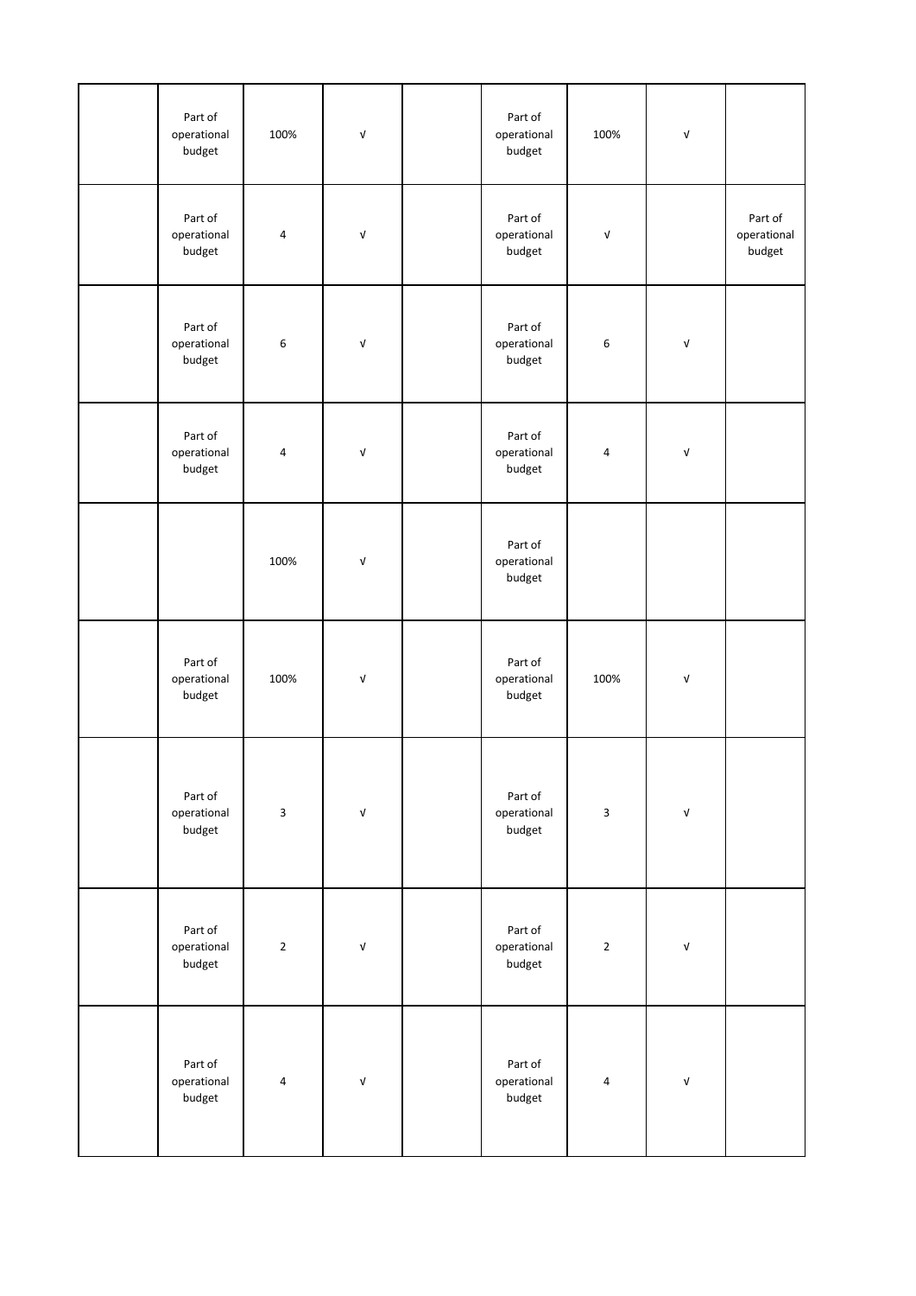| Part of<br>operational<br>budget | 100%        | $\ensuremath{\mathsf{V}}$        | Part of<br>operational<br>budget | 100%        | $\ensuremath{\mathsf{V}}$        |                                  |
|----------------------------------|-------------|----------------------------------|----------------------------------|-------------|----------------------------------|----------------------------------|
| Part of<br>operational<br>budget | 4           | $\ensuremath{\mathsf{v}}$        | Part of<br>operational<br>budget | $\sqrt{ }$  |                                  | Part of<br>operational<br>budget |
| Part of<br>operational<br>budget | $\,6\,$     | $\ensuremath{\mathsf{V}}$        | Part of<br>operational<br>budget | $\,$ 6 $\,$ | $\ensuremath{\mathsf{v}}\xspace$ |                                  |
| Part of<br>operational<br>budget | 4           | $\ensuremath{\mathsf{V}}$        | Part of<br>operational<br>budget | $\sqrt{4}$  | $\ensuremath{\mathsf{v}}\xspace$ |                                  |
|                                  | 100%        | $\ensuremath{\mathsf{V}}$        | Part of<br>operational<br>budget |             |                                  |                                  |
| Part of<br>operational<br>budget | 100%        | $\ensuremath{\mathsf{V}}$        | Part of<br>operational<br>budget | 100%        | $\ensuremath{\mathsf{V}}$        |                                  |
| Part of<br>operational<br>budget | $\mathsf 3$ | $\ensuremath{\mathsf{v}}\xspace$ | Part of<br>operational<br>budget | $\mathsf 3$ | $\ensuremath{\mathsf{v}}\xspace$ |                                  |
| Part of<br>operational<br>budget | $\mathbf 2$ | $\ensuremath{\mathsf{V}}$        | Part of<br>operational<br>budget | $\mathbf 2$ | $\ensuremath{\mathsf{V}}$        |                                  |
| Part of<br>operational<br>budget | $\pmb{4}$   | $\ensuremath{\mathsf{v}}\xspace$ | Part of<br>operational<br>budget | $\pmb{4}$   | $\ensuremath{\mathsf{V}}$        |                                  |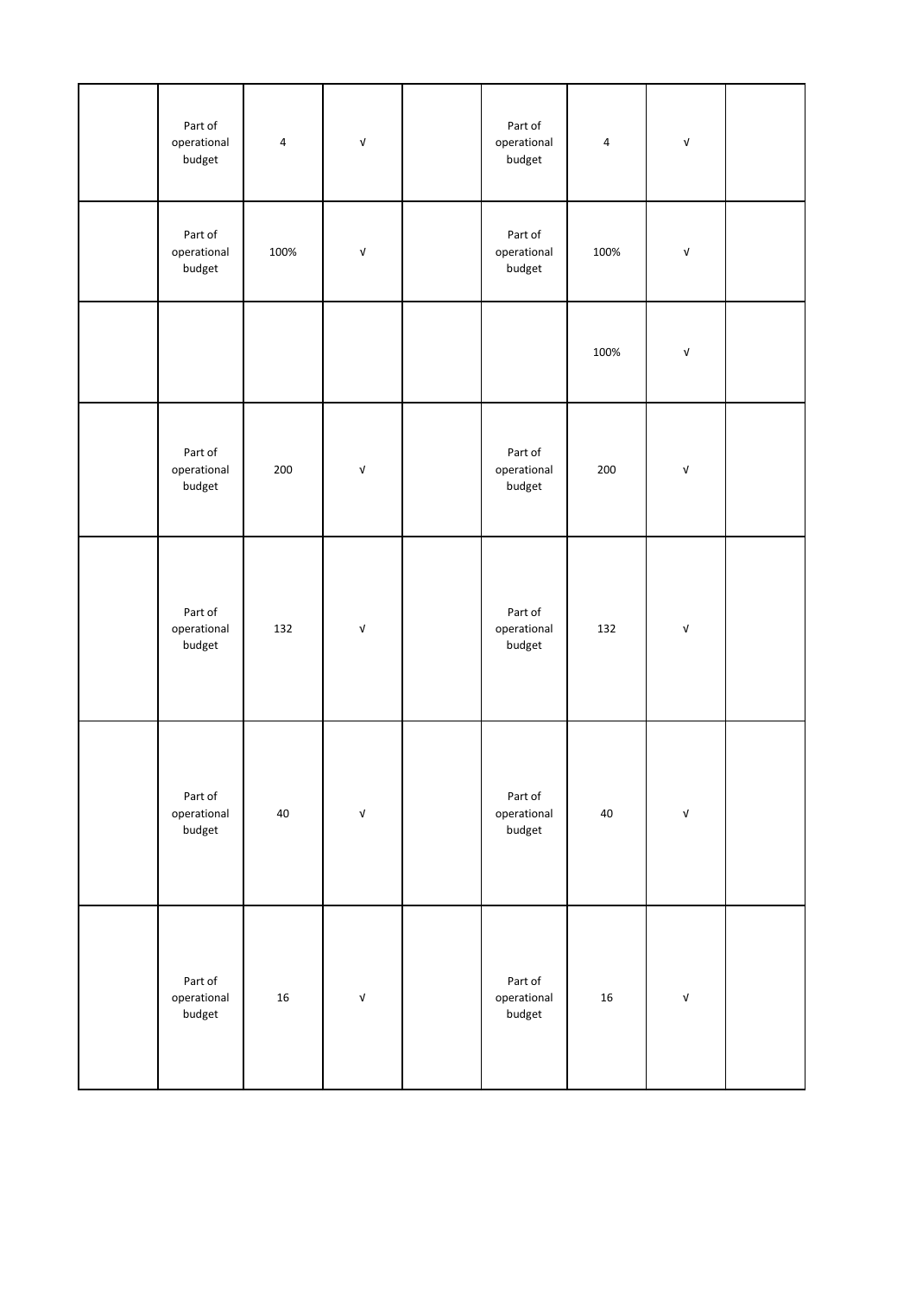| Part of<br>operational<br>budget | $\pmb{4}$ | $\ensuremath{\mathsf{V}}$        | Part of<br>operational<br>budget | 4      | V                                |  |
|----------------------------------|-----------|----------------------------------|----------------------------------|--------|----------------------------------|--|
| Part of<br>operational<br>budget | 100%      | $\ensuremath{\mathsf{V}}$        | Part of<br>operational<br>budget | 100%   | V                                |  |
|                                  |           |                                  |                                  | 100%   | $\mathsf{V}$                     |  |
| Part of<br>operational<br>budget | 200       | $\ensuremath{\mathsf{v}}\xspace$ | Part of<br>operational<br>budget | 200    | V                                |  |
| Part of<br>operational<br>budget | 132       | $\ensuremath{\mathsf{v}}\xspace$ | Part of<br>operational<br>budget | 132    | $\ensuremath{\mathsf{v}}\xspace$ |  |
| Part of<br>operational<br>budget | 40        | $\mathsf{v}$                     | Part of<br>operational<br>budget | 40     | $\ensuremath{\mathsf{v}}\xspace$ |  |
| Part of<br>operational<br>budget | 16        | $\mathsf{v}$                     | Part of<br>operational<br>budget | $16\,$ | $\mathsf{V}$                     |  |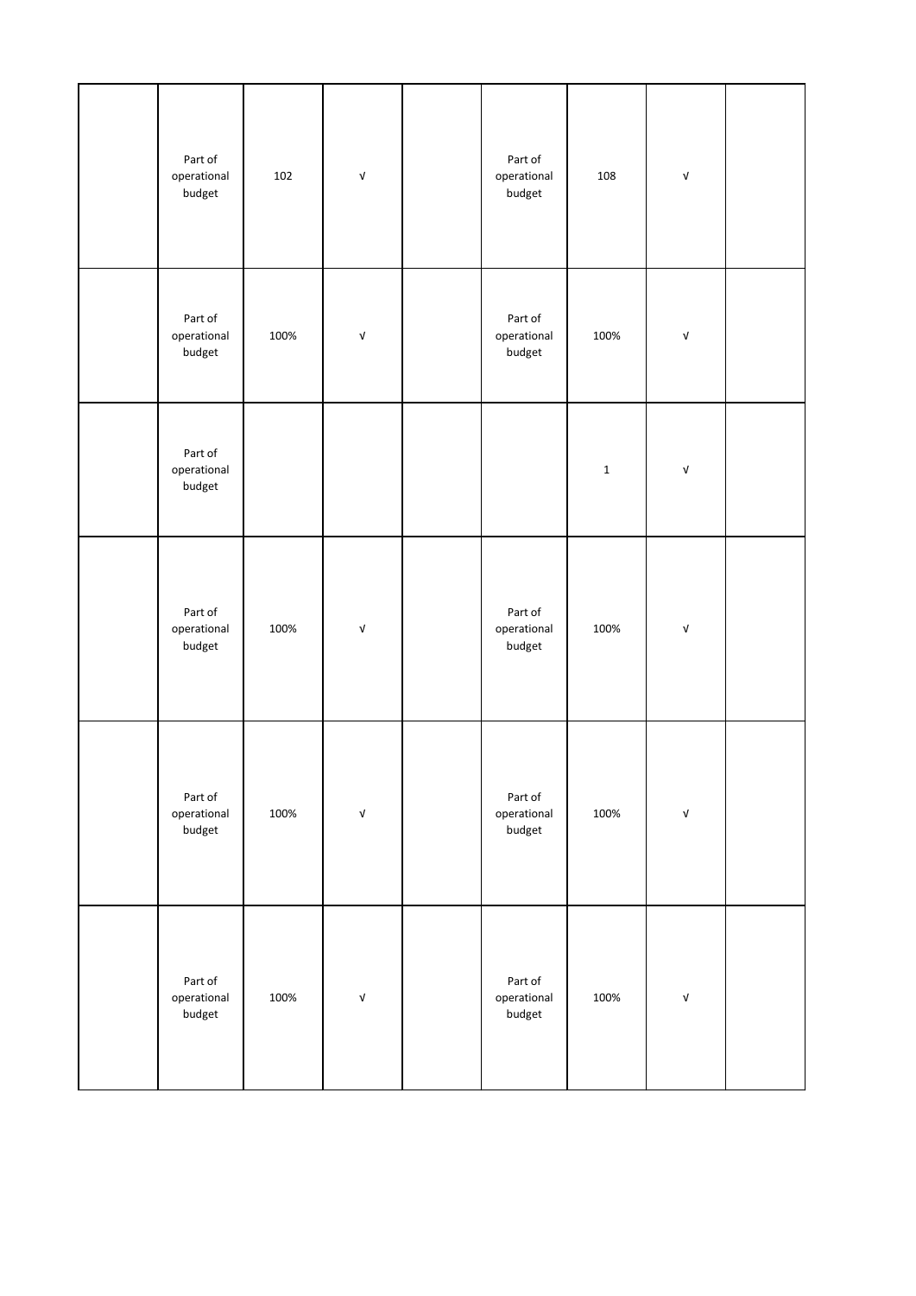| Part of<br>operational<br>budget | 102  | $\ensuremath{\mathsf{V}}$        | Part of<br>operational<br>budget | 108         | $\ensuremath{\mathsf{V}}$        |  |
|----------------------------------|------|----------------------------------|----------------------------------|-------------|----------------------------------|--|
| Part of<br>operational<br>budget | 100% | $\ensuremath{\mathsf{v}}\xspace$ | Part of<br>operational<br>budget | 100%        | $\ensuremath{\mathsf{v}}\xspace$ |  |
| Part of<br>operational<br>budget |      |                                  |                                  | $\mathbf 1$ | $\ensuremath{\mathsf{V}}$        |  |
| Part of<br>operational<br>budget | 100% | $\ensuremath{\mathsf{V}}$        | Part of<br>operational<br>budget | 100%        | $\ensuremath{\mathsf{V}}$        |  |
| Part of<br>operational<br>budget | 100% | $\ensuremath{\mathsf{v}}\xspace$ | Part of<br>operational<br>budget | 100%        | $\ensuremath{\mathsf{v}}\xspace$ |  |
| Part of<br>operational<br>budget | 100% | $\ensuremath{\mathsf{V}}$        | Part of<br>operational<br>budget | 100%        | $\ensuremath{\mathsf{V}}$        |  |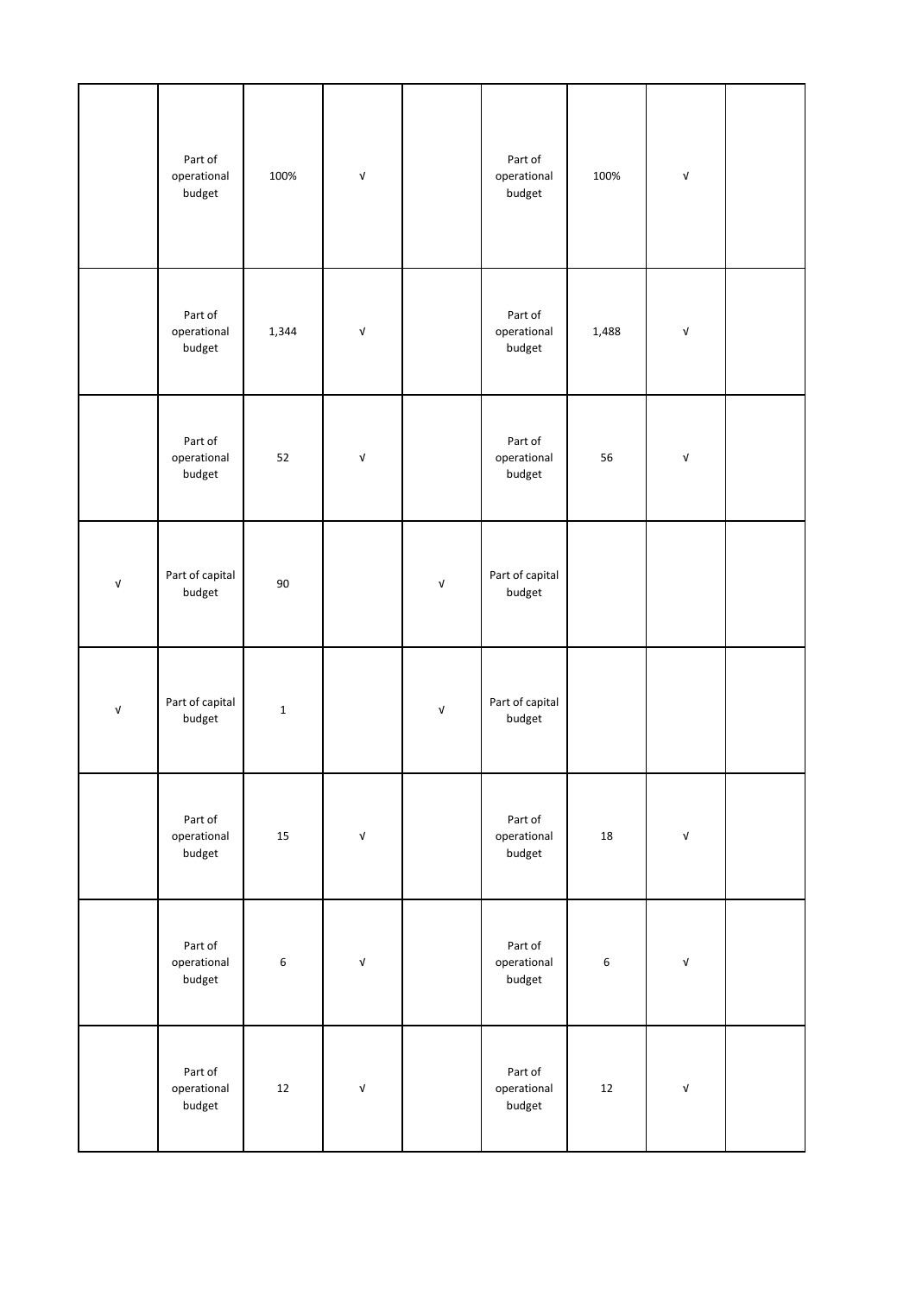|                           | Part of<br>operational<br>budget | 100%        | $\ensuremath{\mathsf{v}}\xspace$ |                           | Part of<br>operational<br>budget | 100%        | V                         |  |
|---------------------------|----------------------------------|-------------|----------------------------------|---------------------------|----------------------------------|-------------|---------------------------|--|
|                           | Part of<br>operational<br>budget | 1,344       | $\ensuremath{\mathsf{V}}$        |                           | Part of<br>operational<br>budget | 1,488       | $\ensuremath{\mathsf{V}}$ |  |
|                           | Part of<br>operational<br>budget | 52          | $\ensuremath{\mathsf{V}}$        |                           | Part of<br>operational<br>budget | 56          | $\ensuremath{\mathsf{V}}$ |  |
| $\ensuremath{\mathsf{V}}$ | Part of capital<br>budget        | $90\,$      |                                  | $\sqrt{ }$                | Part of capital<br>budget        |             |                           |  |
| $\ensuremath{\mathsf{V}}$ | Part of capital<br>budget        | $\mathbf 1$ |                                  | $\ensuremath{\mathsf{v}}$ | Part of capital<br>budget        |             |                           |  |
|                           | Part of<br>operational<br>budget | $15\,$      | $\ensuremath{\mathsf{v}}\xspace$ |                           | Part of<br>operational<br>budget | 18          | V                         |  |
|                           | Part of<br>operational<br>budget | 6           | $\ensuremath{\mathsf{v}}\xspace$ |                           | Part of<br>operational<br>budget | $\,$ 6 $\,$ | $\ensuremath{\mathsf{V}}$ |  |
|                           | Part of<br>operational<br>budget | $12\,$      | $\ensuremath{\mathsf{v}}\xspace$ |                           | Part of<br>operational<br>budget | 12          | $\ensuremath{\mathsf{V}}$ |  |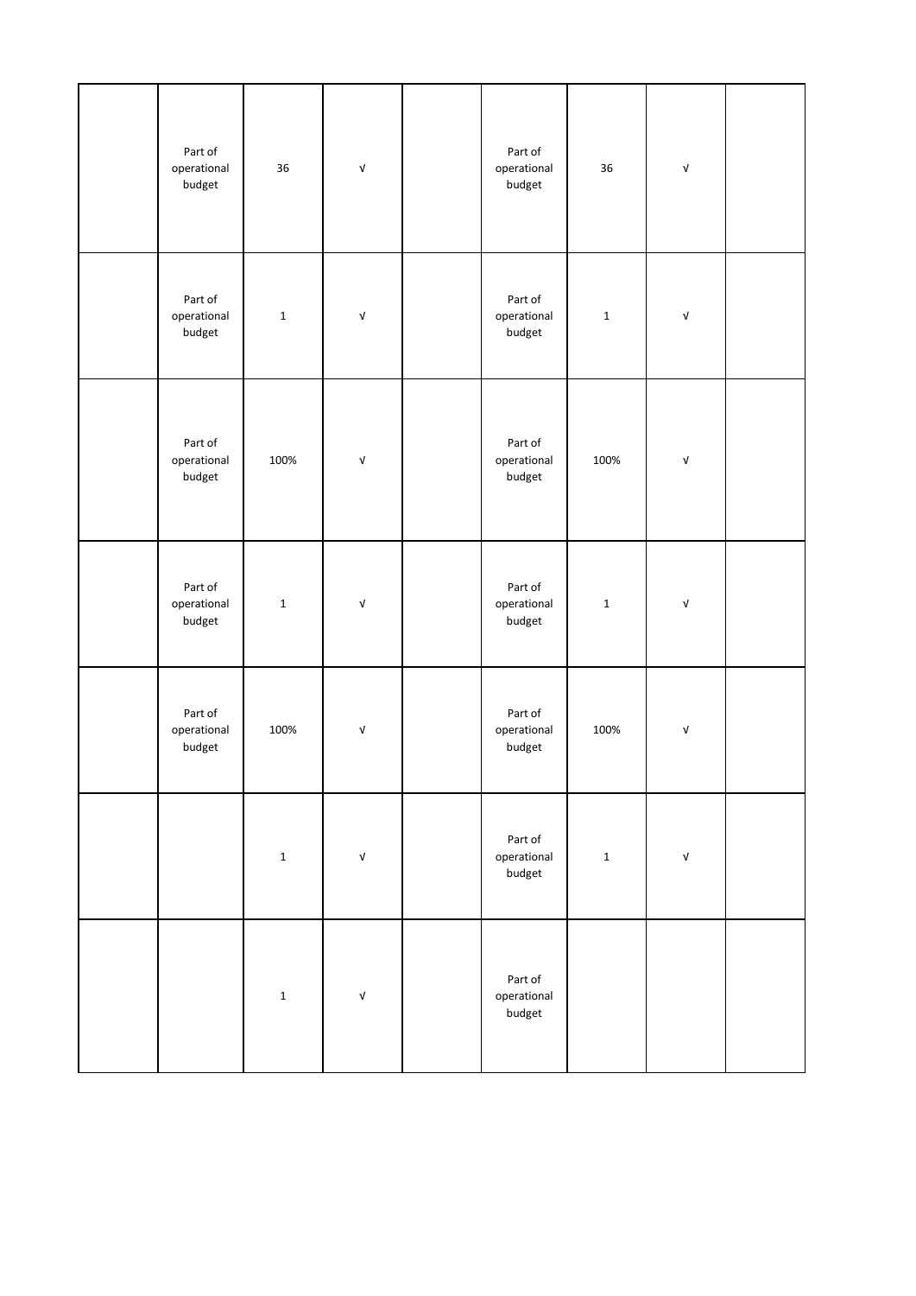| Part of<br>operational<br>budget | 36          | $\ensuremath{\mathsf{v}}\xspace$ | Part of<br>operational<br>budget | 36          | $\ensuremath{\mathsf{v}}\xspace$ |  |
|----------------------------------|-------------|----------------------------------|----------------------------------|-------------|----------------------------------|--|
| Part of<br>operational<br>budget | $\mathbf 1$ | $\ensuremath{\mathsf{V}}$        | Part of<br>operational<br>budget | $\mathbf 1$ | $\ensuremath{\mathsf{V}}$        |  |
| Part of<br>operational<br>budget | 100%        | $\ensuremath{\mathsf{V}}$        | Part of<br>operational<br>budget | 100%        | $\ensuremath{\mathsf{v}}\xspace$ |  |
| Part of<br>operational<br>budget | $\mathbf 1$ | $\ensuremath{\mathsf{V}}$        | Part of<br>operational<br>budget | $\mathbf 1$ | $\ensuremath{\mathsf{v}}\xspace$ |  |
| Part of<br>operational<br>budget | 100%        | $\ensuremath{\mathsf{v}}$        | Part of<br>operational<br>budget | 100%        | $\ensuremath{\mathsf{V}}$        |  |
|                                  | $\mathbf 1$ | $\ensuremath{\mathsf{v}}\xspace$ | Part of<br>operational<br>budget | $\mathbf 1$ | $\ensuremath{\mathsf{V}}$        |  |
|                                  | $\mathbf 1$ | $\ensuremath{\mathsf{v}}$        | Part of<br>operational<br>budget |             |                                  |  |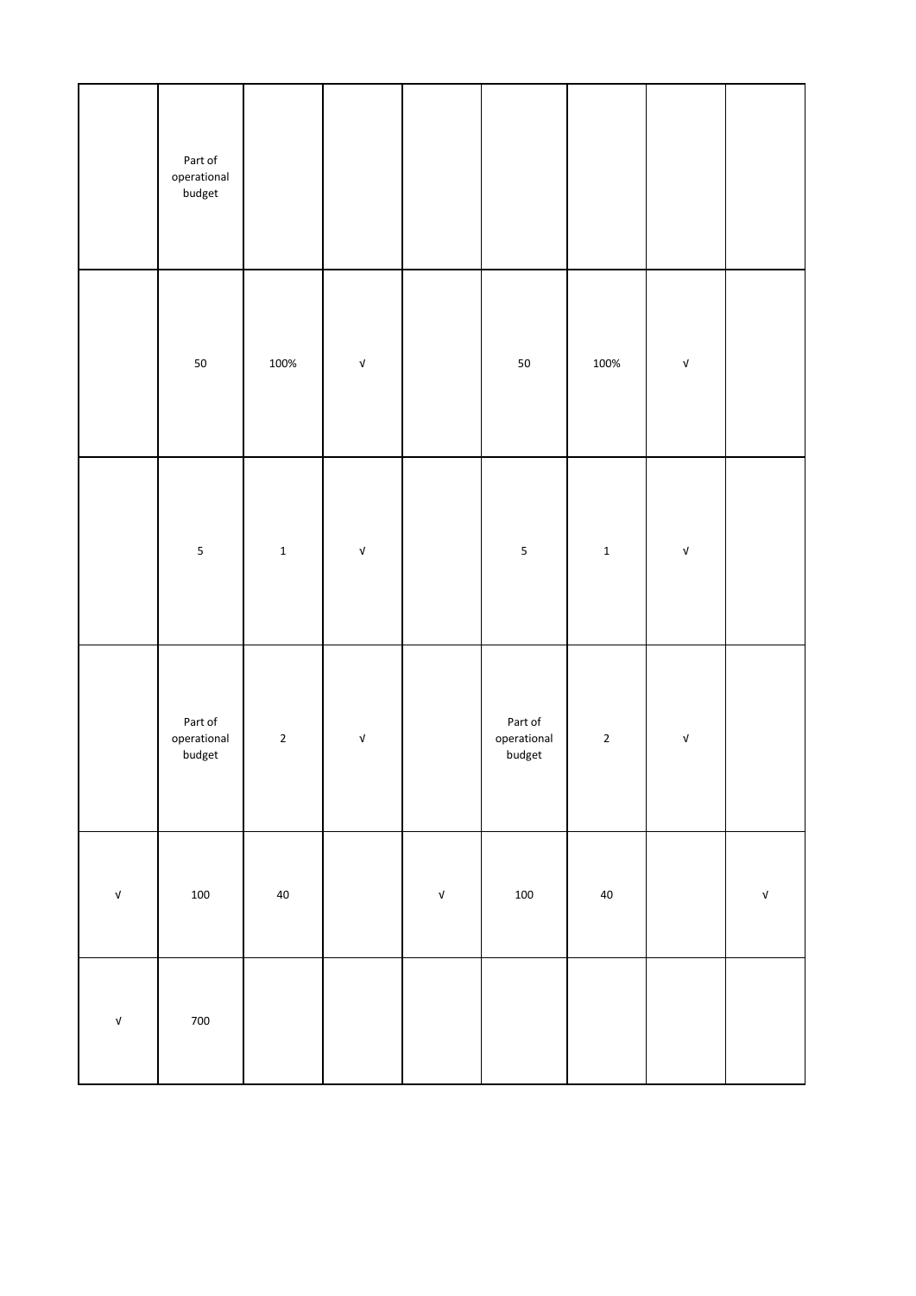|                                  | Part of<br>operational<br>budget                             |                |                                  |                                  |                                                              |             |                                  |                                  |
|----------------------------------|--------------------------------------------------------------|----------------|----------------------------------|----------------------------------|--------------------------------------------------------------|-------------|----------------------------------|----------------------------------|
|                                  | ${\bf 50}$                                                   | 100%           | $\ensuremath{\mathsf{v}}\xspace$ |                                  | ${\bf 50}$                                                   | 100%        | $\ensuremath{\mathsf{v}}\xspace$ |                                  |
|                                  | 5                                                            | $\mathbf 1$    | $\ensuremath{\mathsf{v}}\xspace$ |                                  | $\sf 5$                                                      | $\mathbf 1$ | $\ensuremath{\mathsf{v}}\xspace$ |                                  |
|                                  | Part of<br>$\label{eq:general} \text{operational}$<br>budget | $\overline{2}$ | $\ensuremath{\mathsf{v}}\xspace$ |                                  | Part of<br>$\label{eq:general} \text{operational}$<br>budget | $\mathbf 2$ | $\ensuremath{\mathsf{v}}\xspace$ |                                  |
| $\ensuremath{\mathsf{v}}\xspace$ | $100\,$                                                      | $40\,$         |                                  | $\ensuremath{\mathsf{v}}\xspace$ | 100                                                          | 40          |                                  | $\ensuremath{\mathsf{v}}\xspace$ |
| $\ensuremath{\mathsf{v}}\xspace$ | 700                                                          |                |                                  |                                  |                                                              |             |                                  |                                  |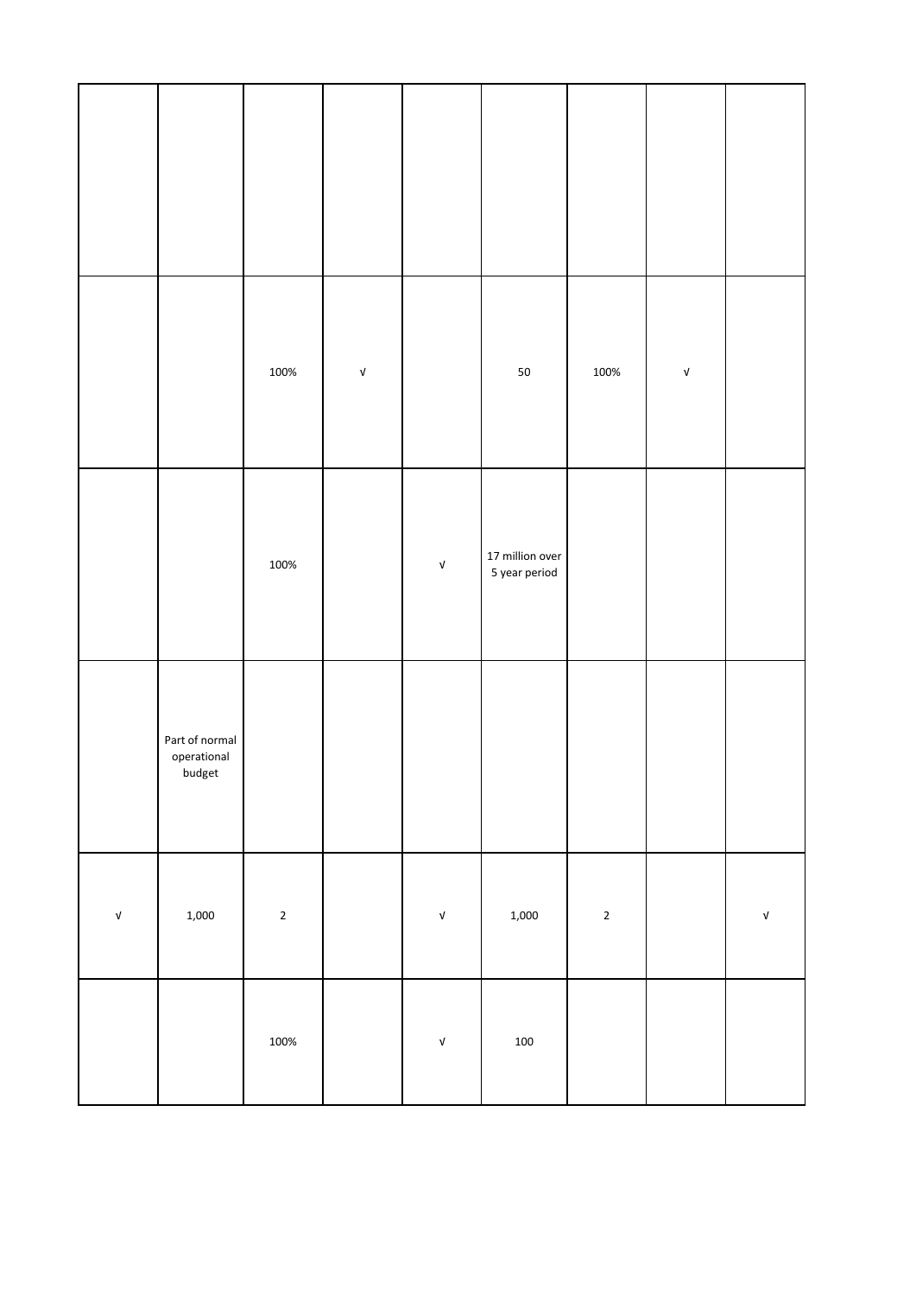|                                  |                                         | 100%        | $\ensuremath{\mathsf{V}}$ |                                  | ${\bf 50}$                       | 100%        | $\ensuremath{\mathsf{V}}$ |                           |
|----------------------------------|-----------------------------------------|-------------|---------------------------|----------------------------------|----------------------------------|-------------|---------------------------|---------------------------|
|                                  |                                         | 100%        |                           | $\ensuremath{\mathsf{v}}\xspace$ | 17 million over<br>5 year period |             |                           |                           |
|                                  | Part of normal<br>operational<br>budget |             |                           |                                  |                                  |             |                           |                           |
| $\ensuremath{\mathsf{v}}\xspace$ | 1,000                                   | $\mathbf 2$ |                           | $\sqrt{\phantom{a}}$             | 1,000                            | $\mathbf 2$ |                           | $\ensuremath{\mathsf{V}}$ |
|                                  |                                         | 100%        |                           | $\ensuremath{\mathsf{V}}$        | $100\,$                          |             |                           |                           |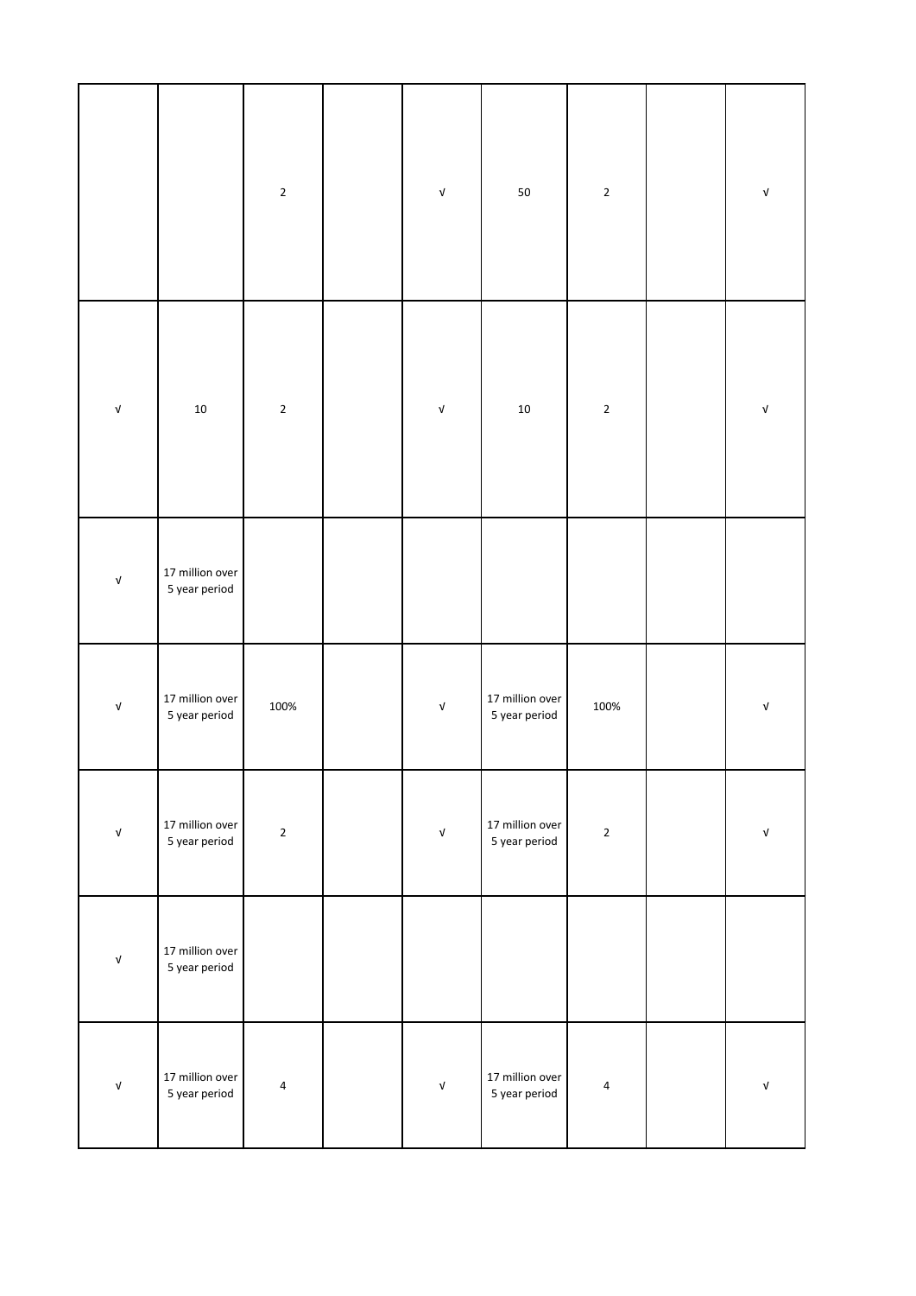|                                  |                                  | $\mathbf 2$ | $\ensuremath{\mathsf{v}}\xspace$ | ${\bf 50}$                       | $\mathbf 2$ | $\mathsf{V}$                     |
|----------------------------------|----------------------------------|-------------|----------------------------------|----------------------------------|-------------|----------------------------------|
| $\ensuremath{\mathsf{v}}\xspace$ | $10\,$                           | $\mathbf 2$ | $\ensuremath{\mathsf{V}}$        | $10\,$                           | $\mathbf 2$ | $\ensuremath{\mathsf{v}}\xspace$ |
| $\ensuremath{\mathsf{V}}$        | 17 million over<br>5 year period |             |                                  |                                  |             |                                  |
| $\ensuremath{\mathsf{V}}$        | 17 million over<br>5 year period | 100%        | $\ensuremath{\mathsf{v}}\xspace$ | 17 million over<br>5 year period | 100%        | $\mathsf{v}$                     |
| $\ensuremath{\mathsf{v}}\xspace$ | 17 million over<br>5 year period | $\mathbf 2$ | $\ensuremath{\mathsf{v}}\xspace$ | 17 million over<br>5 year period | $\mathbf 2$ | $\ensuremath{\mathsf{v}}\xspace$ |
| $\ensuremath{\mathsf{V}}$        | 17 million over<br>5 year period |             |                                  |                                  |             |                                  |
| $\ensuremath{\mathsf{V}}$        | 17 million over<br>5 year period | $\pmb{4}$   | $\ensuremath{\mathsf{v}}\xspace$ | 17 million over<br>5 year period | 4           | $\ensuremath{\mathsf{V}}$        |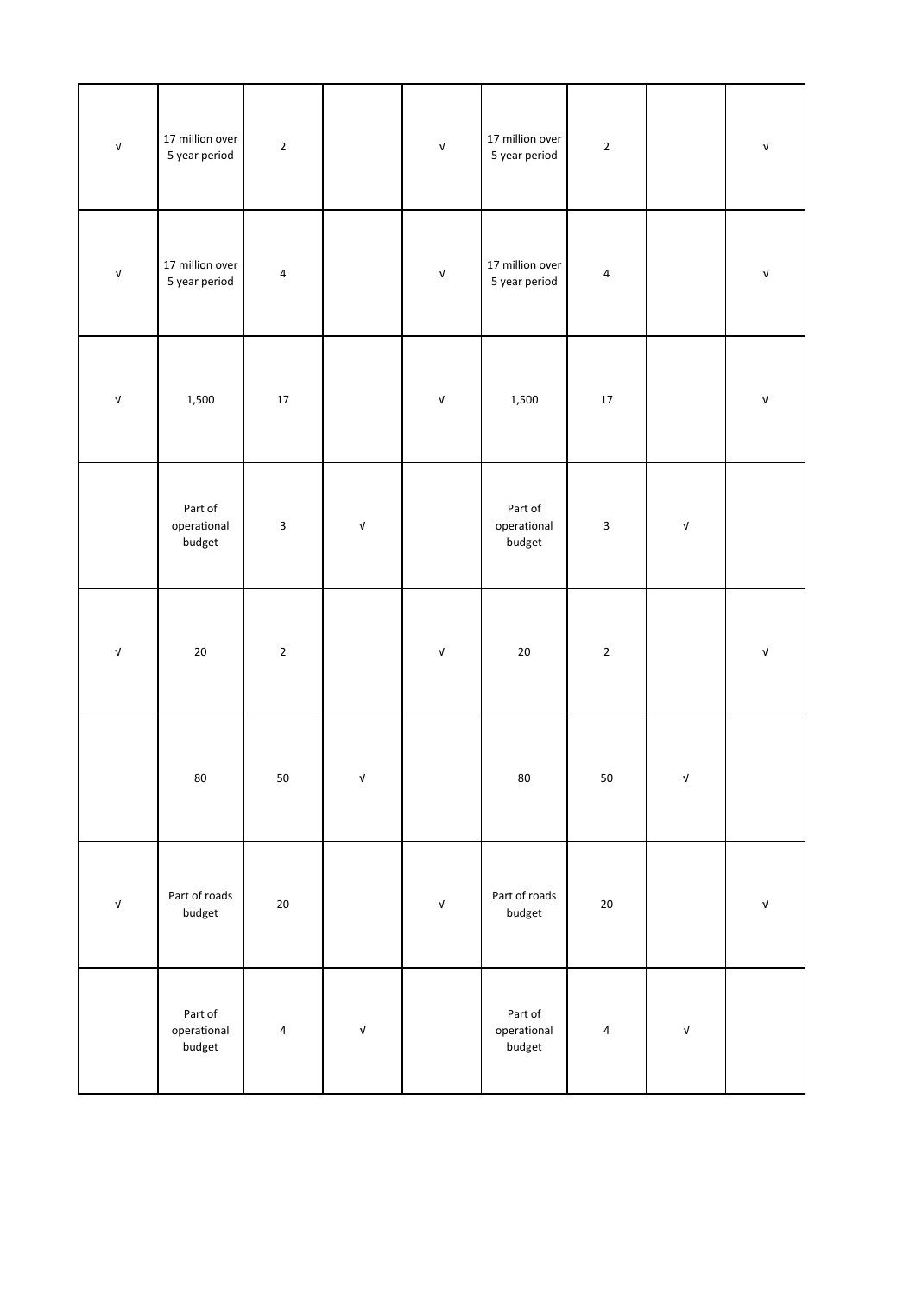| $\ensuremath{\mathsf{v}}\xspace$ | 17 million over<br>5 year period | $\mathbf 2$             |                                  | $\sqrt{ }$                       | 17 million over<br>5 year period | $\mathbf 2$ |                                  | $\ensuremath{\mathsf{v}}\xspace$ |
|----------------------------------|----------------------------------|-------------------------|----------------------------------|----------------------------------|----------------------------------|-------------|----------------------------------|----------------------------------|
| $\ensuremath{\mathsf{V}}$        | 17 million over<br>5 year period | 4                       |                                  | $\ensuremath{\mathsf{v}}\xspace$ | 17 million over<br>5 year period | $\pmb{4}$   |                                  | $\ensuremath{\mathsf{v}}\xspace$ |
| $\ensuremath{\mathsf{V}}$        | 1,500                            | $17\,$                  |                                  | $\ensuremath{\mathsf{v}}\xspace$ | 1,500                            | $17\,$      |                                  | $\ensuremath{\mathsf{v}}\xspace$ |
|                                  | Part of<br>operational<br>budget | $\overline{\mathbf{3}}$ | $\ensuremath{\mathsf{V}}$        |                                  | Part of<br>operational<br>budget | $\mathsf 3$ | $\ensuremath{\mathsf{v}}\xspace$ |                                  |
| $\ensuremath{\mathsf{v}}\xspace$ | $20\,$                           | $\mathbf 2$             |                                  | $\ensuremath{\mathsf{v}}\xspace$ | $20\,$                           | $\mathbf 2$ |                                  | $\ensuremath{\mathsf{V}}$        |
|                                  | 80                               | 50                      | V                                |                                  | 80                               | 50          | V                                |                                  |
| $\ensuremath{\mathsf{v}}\xspace$ | Part of roads<br>budget          | $20\,$                  |                                  | $\ensuremath{\mathsf{v}}\xspace$ | Part of roads<br>budget          | $20\,$      |                                  | $\ensuremath{\mathsf{v}}\xspace$ |
|                                  | Part of<br>operational<br>budget | $\overline{\mathbf{4}}$ | $\ensuremath{\mathsf{v}}\xspace$ |                                  | Part of<br>operational<br>budget | $\pmb{4}$   | $\mathsf{V}$                     |                                  |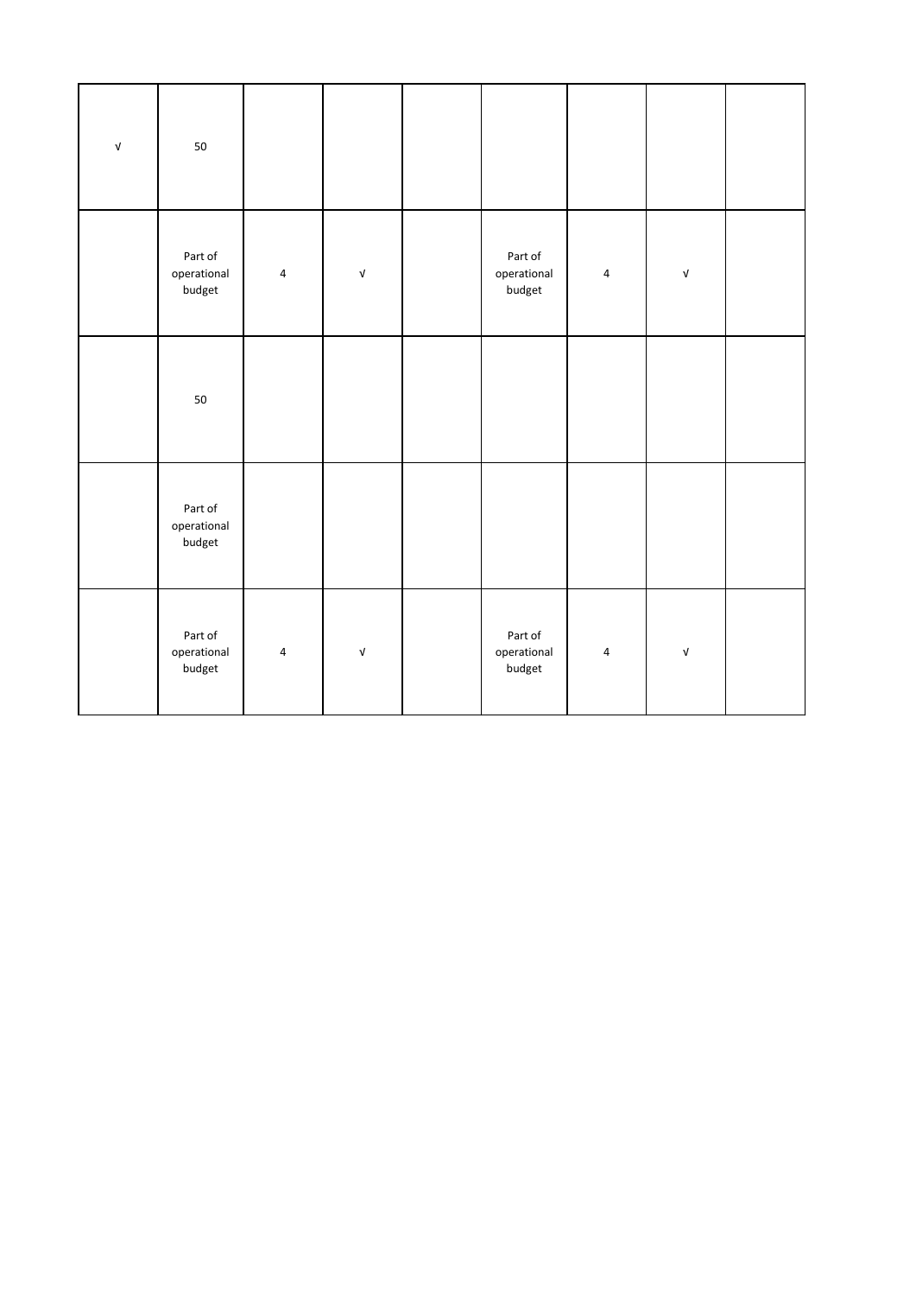| $\ensuremath{\mathsf{v}}\xspace$ | 50                               |                |                                  |                                  |           |                                  |  |
|----------------------------------|----------------------------------|----------------|----------------------------------|----------------------------------|-----------|----------------------------------|--|
|                                  | Part of<br>operational<br>budget | $\overline{4}$ | $\ensuremath{\mathsf{v}}\xspace$ | Part of<br>operational<br>budget | $\pmb{4}$ | $\ensuremath{\mathsf{v}}\xspace$ |  |
|                                  | 50                               |                |                                  |                                  |           |                                  |  |
|                                  | Part of<br>operational<br>budget |                |                                  |                                  |           |                                  |  |
|                                  | Part of<br>operational<br>budget | $\pmb{4}$      | $\sqrt{ }$                       | Part of<br>operational<br>budget | 4         | $\ensuremath{\mathsf{v}}\xspace$ |  |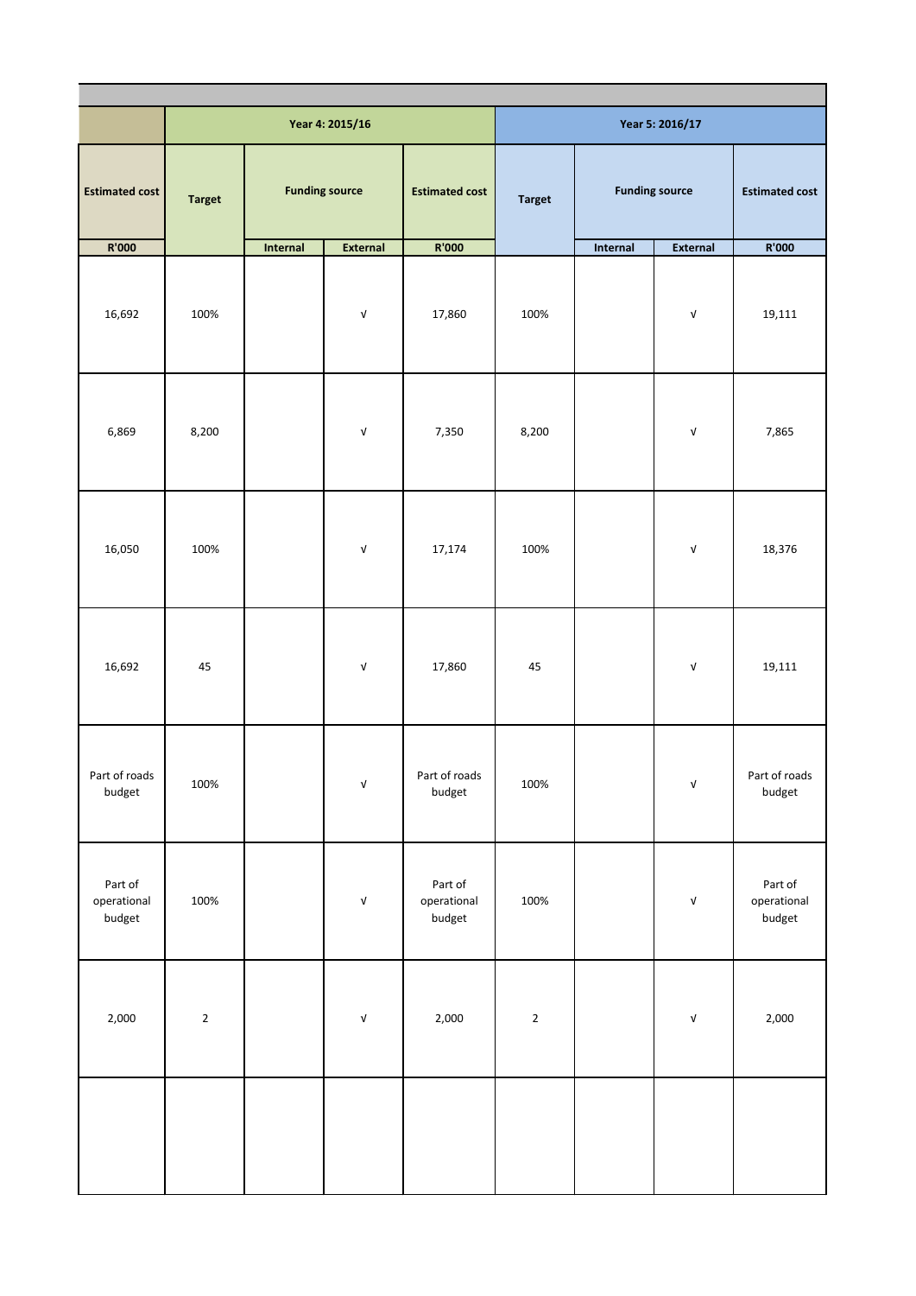|                                  |               |          | Year 4: 2015/16                  |                                  |               |          | Year 5: 2016/17                  |                                  |
|----------------------------------|---------------|----------|----------------------------------|----------------------------------|---------------|----------|----------------------------------|----------------------------------|
| <b>Estimated cost</b>            | <b>Target</b> |          | <b>Funding source</b>            | <b>Estimated cost</b>            | <b>Target</b> |          | <b>Funding source</b>            | <b>Estimated cost</b>            |
| R'000                            |               | Internal | External                         | R'000                            |               | Internal | External                         | R'000                            |
| 16,692                           | 100%          |          | $\ensuremath{\mathsf{V}}$        | 17,860                           | 100%          |          | $\ensuremath{\mathsf{V}}$        | 19,111                           |
| 6,869                            | 8,200         |          | $\ensuremath{\mathsf{V}}$        | 7,350                            | 8,200         |          | $\ensuremath{\mathsf{v}}\xspace$ | 7,865                            |
| 16,050                           | 100%          |          | $\ensuremath{\mathsf{V}}$        | 17,174                           | 100%          |          | $\ensuremath{\mathsf{V}}$        | 18,376                           |
| 16,692                           | 45            |          | $\ensuremath{\mathsf{V}}$        | 17,860                           | 45            |          | $\ensuremath{\mathsf{V}}$        | 19,111                           |
| Part of roads<br>budget          | 100%          |          | $\sqrt{ }$                       | Part of roads<br>budget          | 100%          |          | $\ensuremath{\mathsf{V}}$        | Part of roads<br>budget          |
| Part of<br>operational<br>budget | 100%          |          | $\ensuremath{\mathsf{v}}\xspace$ | Part of<br>operational<br>budget | 100%          |          | $\ensuremath{\mathsf{V}}$        | Part of<br>operational<br>budget |
| 2,000                            | $\mathbf{2}$  |          | $\ensuremath{\mathsf{V}}$        | 2,000                            | $\mathbf 2$   |          | $\ensuremath{\mathsf{V}}$        | 2,000                            |
|                                  |               |          |                                  |                                  |               |          |                                  |                                  |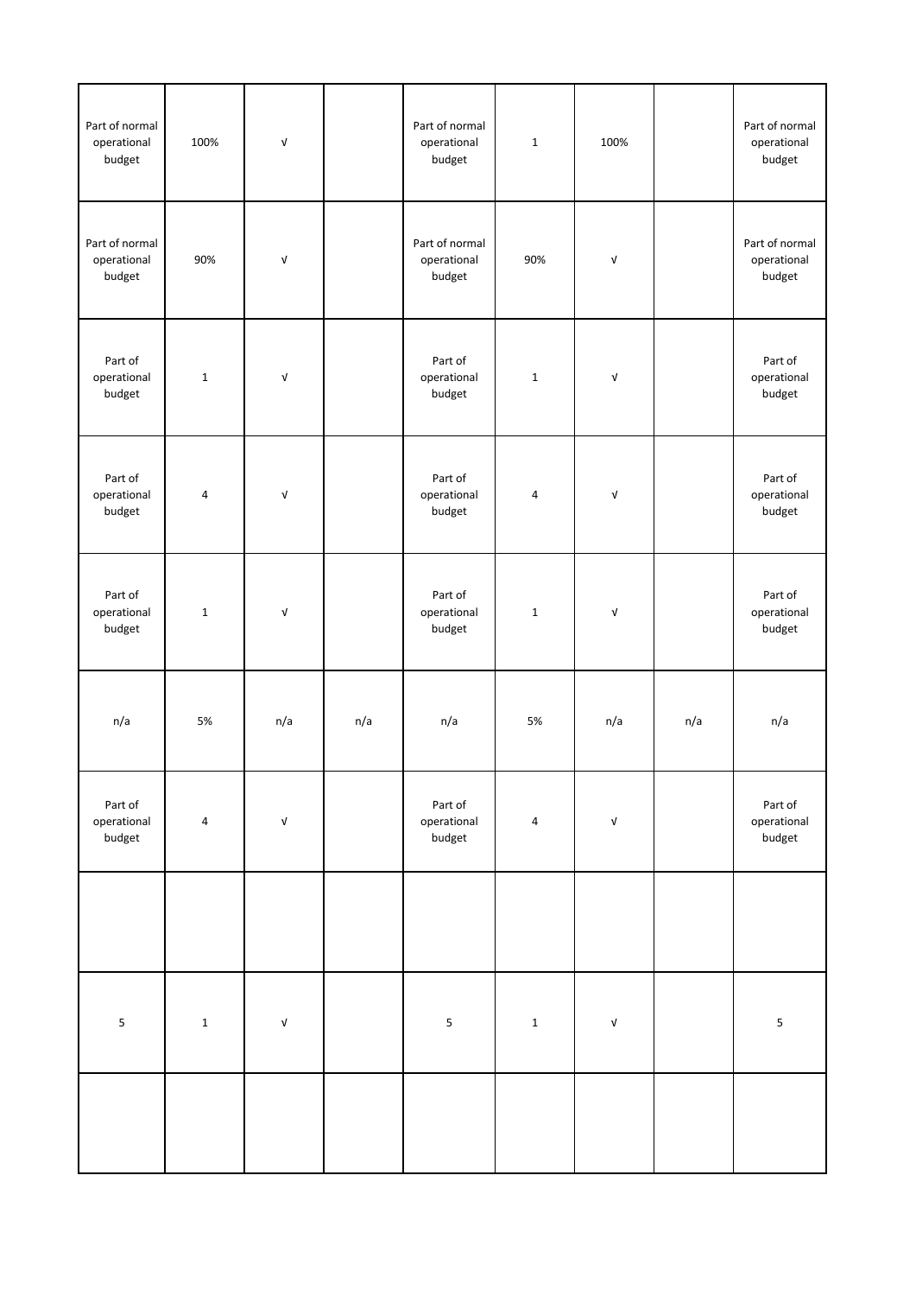| Part of normal<br>operational<br>budget | 100%        | $\sqrt{ }$                |     | Part of normal<br>operational<br>budget | $1\,$        | 100%                             |     | Part of normal<br>operational<br>budget |
|-----------------------------------------|-------------|---------------------------|-----|-----------------------------------------|--------------|----------------------------------|-----|-----------------------------------------|
| Part of normal<br>operational<br>budget | 90%         | $\sqrt{ }$                |     | Part of normal<br>operational<br>budget | 90%          | $\ensuremath{\mathsf{v}}\xspace$ |     | Part of normal<br>operational<br>budget |
| Part of<br>operational<br>budget        | $\mathbf 1$ | $\ensuremath{\mathsf{V}}$ |     | Part of<br>operational<br>budget        | $\mathbf{1}$ | $\ensuremath{\mathsf{V}}$        |     | Part of<br>operational<br>budget        |
| Part of<br>operational<br>budget        | 4           | $\ensuremath{\mathsf{V}}$ |     | Part of<br>operational<br>budget        | 4            | $\ensuremath{\mathsf{V}}$        |     | Part of<br>operational<br>budget        |
| Part of<br>operational<br>budget        | $\mathbf 1$ | $\ensuremath{\mathsf{V}}$ |     | Part of<br>operational<br>budget        | $\mathbf{1}$ | $\sqrt{ }$                       |     | Part of<br>operational<br>budget        |
| n/a                                     | 5%          | n/a                       | n/a | n/a                                     | 5%           | n/a                              | n/a | n/a                                     |
| Part of<br>operational<br>budget        | 4           | $\ensuremath{\mathsf{V}}$ |     | Part of<br>operational<br>budget        | 4            | $\ensuremath{\mathsf{v}}\xspace$ |     | Part of<br>operational<br>budget        |
|                                         |             |                           |     |                                         |              |                                  |     |                                         |
| 5                                       | $\mathbf 1$ | $\ensuremath{\mathsf{V}}$ |     | ${\mathsf 5}$                           | $\mathbf 1$  | $\ensuremath{\mathsf{V}}$        |     | ${\mathsf 5}$                           |
|                                         |             |                           |     |                                         |              |                                  |     |                                         |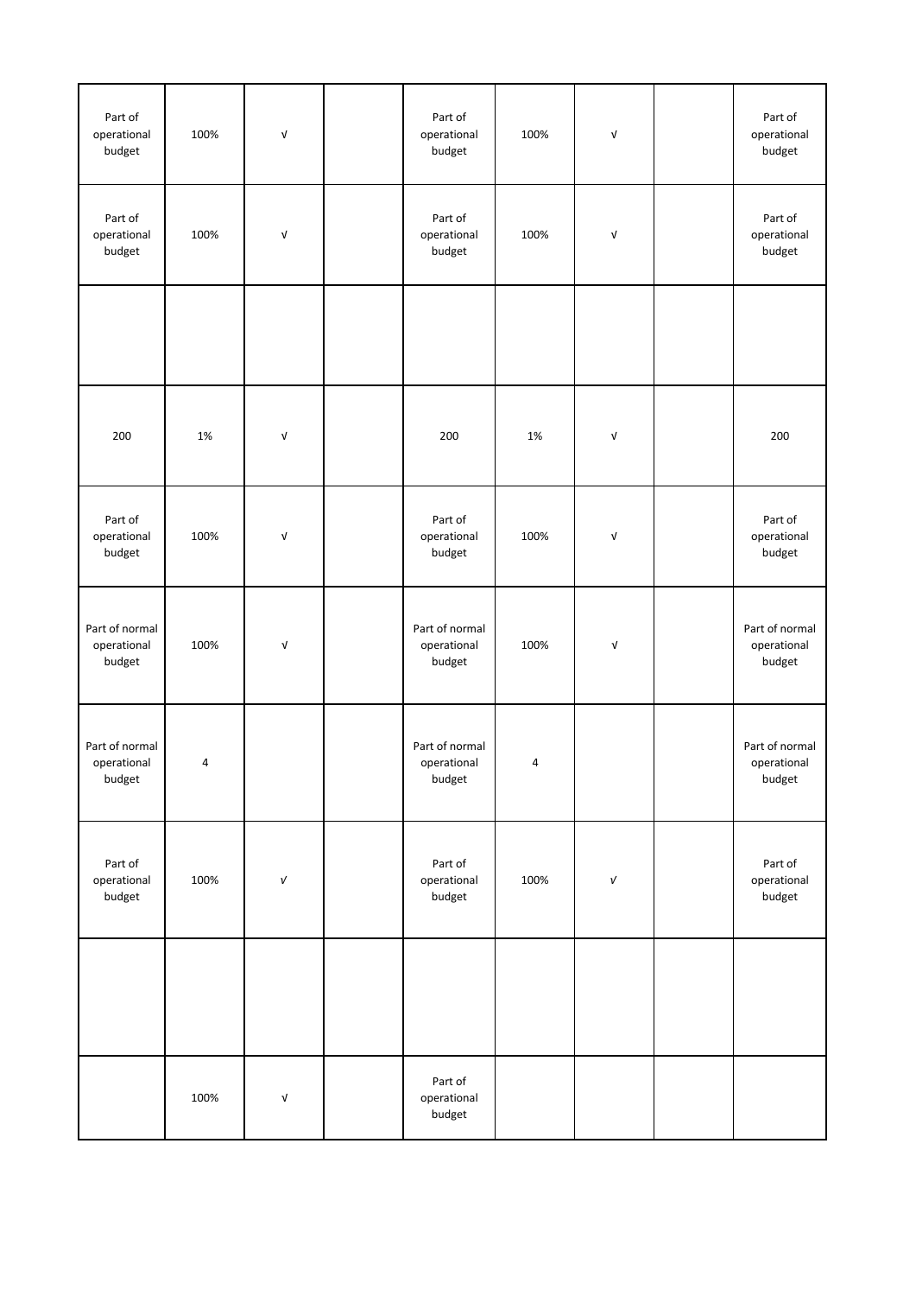| Part of<br>operational<br>budget        | 100% | $\sqrt{ }$                | Part of<br>operational<br>budget        | 100% | $\ensuremath{\mathsf{V}}$ | Part of<br>operational<br>budget        |
|-----------------------------------------|------|---------------------------|-----------------------------------------|------|---------------------------|-----------------------------------------|
| Part of<br>operational<br>budget        | 100% | $\sqrt{ }$                | Part of<br>operational<br>budget        | 100% | $\ensuremath{\mathsf{V}}$ | Part of<br>operational<br>budget        |
|                                         |      |                           |                                         |      |                           |                                         |
| 200                                     | 1%   | $\sqrt{ }$                | 200                                     | 1%   | $\ensuremath{\mathsf{V}}$ | 200                                     |
| Part of<br>operational<br>budget        | 100% | $\sqrt{ }$                | Part of<br>operational<br>budget        | 100% | $\ensuremath{\mathsf{V}}$ | Part of<br>operational<br>budget        |
| Part of normal<br>operational<br>budget | 100% | $\ensuremath{\mathsf{V}}$ | Part of normal<br>operational<br>budget | 100% | $\sqrt{ }$                | Part of normal<br>operational<br>budget |
| Part of normal<br>operational<br>budget | 4    |                           | Part of normal<br>operational<br>budget | 4    |                           | Part of normal<br>operational<br>budget |
| Part of<br>operational<br>budget        | 100% | $\sqrt{ }$                | Part of<br>operational<br>budget        | 100% | $\sqrt{ }$                | Part of<br>operational<br>budget        |
|                                         |      |                           |                                         |      |                           |                                         |
|                                         | 100% | $\ensuremath{\mathsf{V}}$ | Part of<br>operational<br>budget        |      |                           |                                         |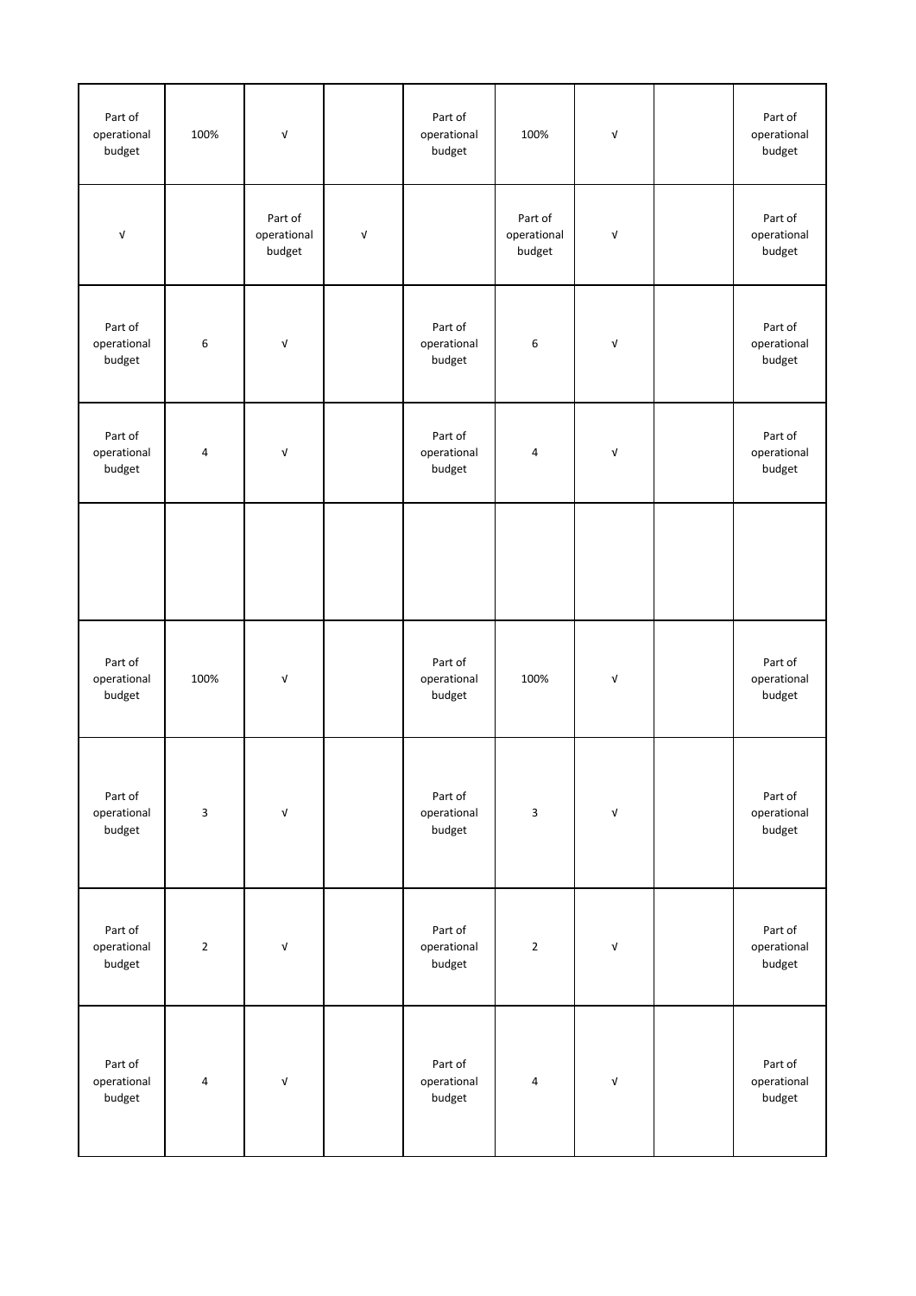| Part of<br>operational<br>budget | 100%           | $\ensuremath{\mathsf{V}}$        |                           | Part of<br>operational<br>budget | 100%                             | $\ensuremath{\mathsf{V}}$ | Part of<br>operational<br>budget |
|----------------------------------|----------------|----------------------------------|---------------------------|----------------------------------|----------------------------------|---------------------------|----------------------------------|
| $\sqrt{ }$                       |                | Part of<br>operational<br>budget | $\ensuremath{\mathsf{V}}$ |                                  | Part of<br>operational<br>budget | V                         | Part of<br>operational<br>budget |
| Part of<br>operational<br>budget | 6              | $\sqrt{ }$                       |                           | Part of<br>operational<br>budget | 6                                | $\ensuremath{\mathsf{V}}$ | Part of<br>operational<br>budget |
| Part of<br>operational<br>budget | $\overline{4}$ | $\ensuremath{\mathsf{V}}$        |                           | Part of<br>operational<br>budget | 4                                | V                         | Part of<br>operational<br>budget |
|                                  |                |                                  |                           |                                  |                                  |                           |                                  |
| Part of<br>operational<br>budget | 100%           | $\sqrt{ }$                       |                           | Part of<br>operational<br>budget | 100%                             | V                         | Part of<br>operational<br>budget |
| Part of<br>operational<br>budget | $\mathbf{3}$   | $\ensuremath{\mathsf{V}}$        |                           | Part of<br>operational<br>budget | 3                                | $\mathsf{V}$              | Part of<br>operational<br>budget |
| Part of<br>operational<br>budget | $\overline{2}$ | $\ensuremath{\mathsf{V}}$        |                           | Part of<br>operational<br>budget | $\mathbf 2$                      | V                         | Part of<br>operational<br>budget |
| Part of<br>operational<br>budget | $\pmb{4}$      | $\ensuremath{\mathsf{V}}$        |                           | Part of<br>operational<br>budget | 4                                | V                         | Part of<br>operational<br>budget |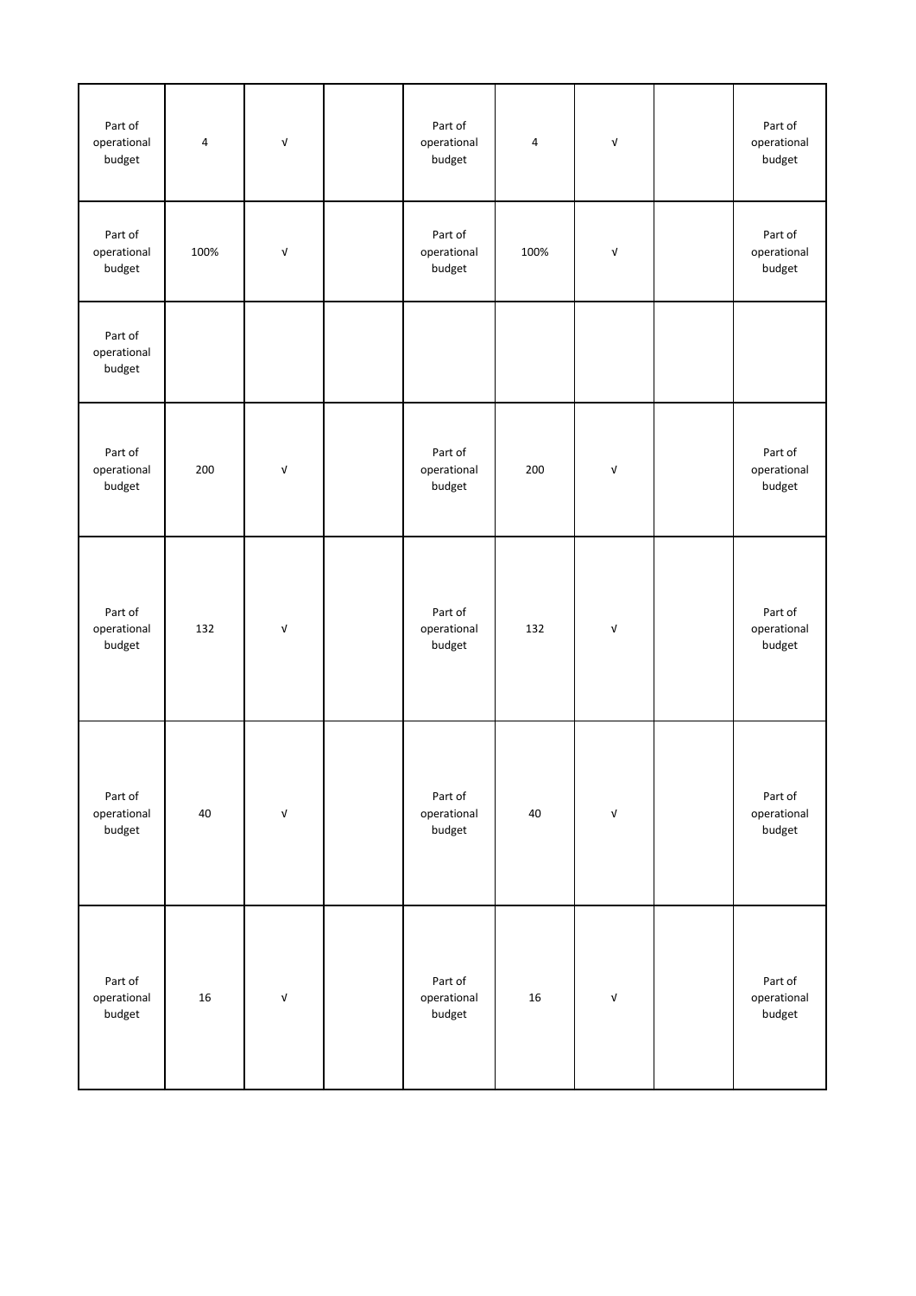| Part of<br>operational<br>budget | 4    | $\sqrt{ }$                       | Part of<br>operational<br>budget | 4    | $\sqrt{ }$                       | Part of<br>operational<br>budget |
|----------------------------------|------|----------------------------------|----------------------------------|------|----------------------------------|----------------------------------|
| Part of<br>operational<br>budget | 100% | $\ensuremath{\mathsf{V}}$        | Part of<br>operational<br>budget | 100% | $\ensuremath{\mathsf{V}}$        | Part of<br>operational<br>budget |
| Part of<br>operational<br>budget |      |                                  |                                  |      |                                  |                                  |
| Part of<br>operational<br>budget | 200  | $\sqrt{ }$                       | Part of<br>operational<br>budget | 200  | $\ensuremath{\mathsf{V}}$        | Part of<br>operational<br>budget |
| Part of<br>operational<br>budget | 132  | $\ensuremath{\mathsf{V}}$        | Part of<br>operational<br>budget | 132  | $\ensuremath{\mathsf{v}}\xspace$ | Part of<br>operational<br>budget |
| Part of<br>operational<br>budget | 40   | $\ensuremath{\mathsf{v}}\xspace$ | Part of<br>operational<br>budget | 40   | $\ensuremath{\mathsf{V}}$        | Part of<br>operational<br>budget |
| Part of<br>operational<br>budget | 16   | $\ensuremath{\mathsf{V}}$        | Part of<br>operational<br>budget | 16   | $\ensuremath{\mathsf{v}}\xspace$ | Part of<br>operational<br>budget |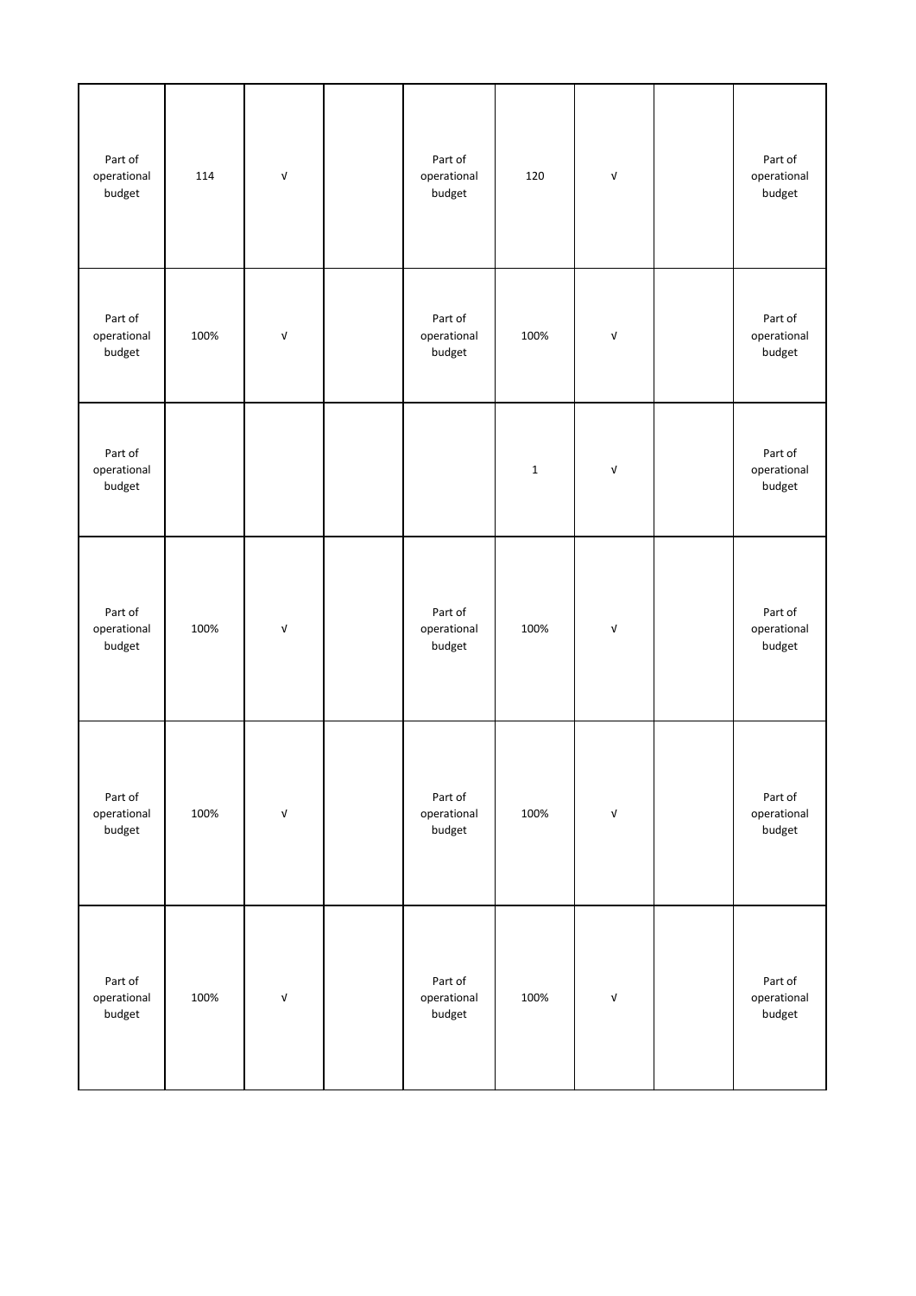| Part of<br>operational<br>budget | 114  | $\ensuremath{\mathsf{V}}$        | Part of<br>operational<br>budget | 120          | $\ensuremath{\mathsf{V}}$ | Part of<br>operational<br>budget |
|----------------------------------|------|----------------------------------|----------------------------------|--------------|---------------------------|----------------------------------|
| Part of<br>operational<br>budget | 100% | $\ensuremath{\mathsf{V}}$        | Part of<br>operational<br>budget | 100%         | $\mathsf{V}$              | Part of<br>operational<br>budget |
| Part of<br>operational<br>budget |      |                                  |                                  | $\mathbf{1}$ | $\ensuremath{\mathsf{V}}$ | Part of<br>operational<br>budget |
| Part of<br>operational<br>budget | 100% | $\ensuremath{\mathsf{V}}$        | Part of<br>operational<br>budget | 100%         | $\ensuremath{\mathsf{V}}$ | Part of<br>operational<br>budget |
| Part of<br>operational<br>budget | 100% | $\ensuremath{\mathsf{v}}\xspace$ | Part of<br>operational<br>budget | 100%         | $\ensuremath{\mathsf{V}}$ | Part of<br>operational<br>budget |
| Part of<br>operational<br>budget | 100% | $\ensuremath{\mathsf{V}}$        | Part of<br>operational<br>budget | 100%         | $\ensuremath{\mathsf{V}}$ | Part of<br>operational<br>budget |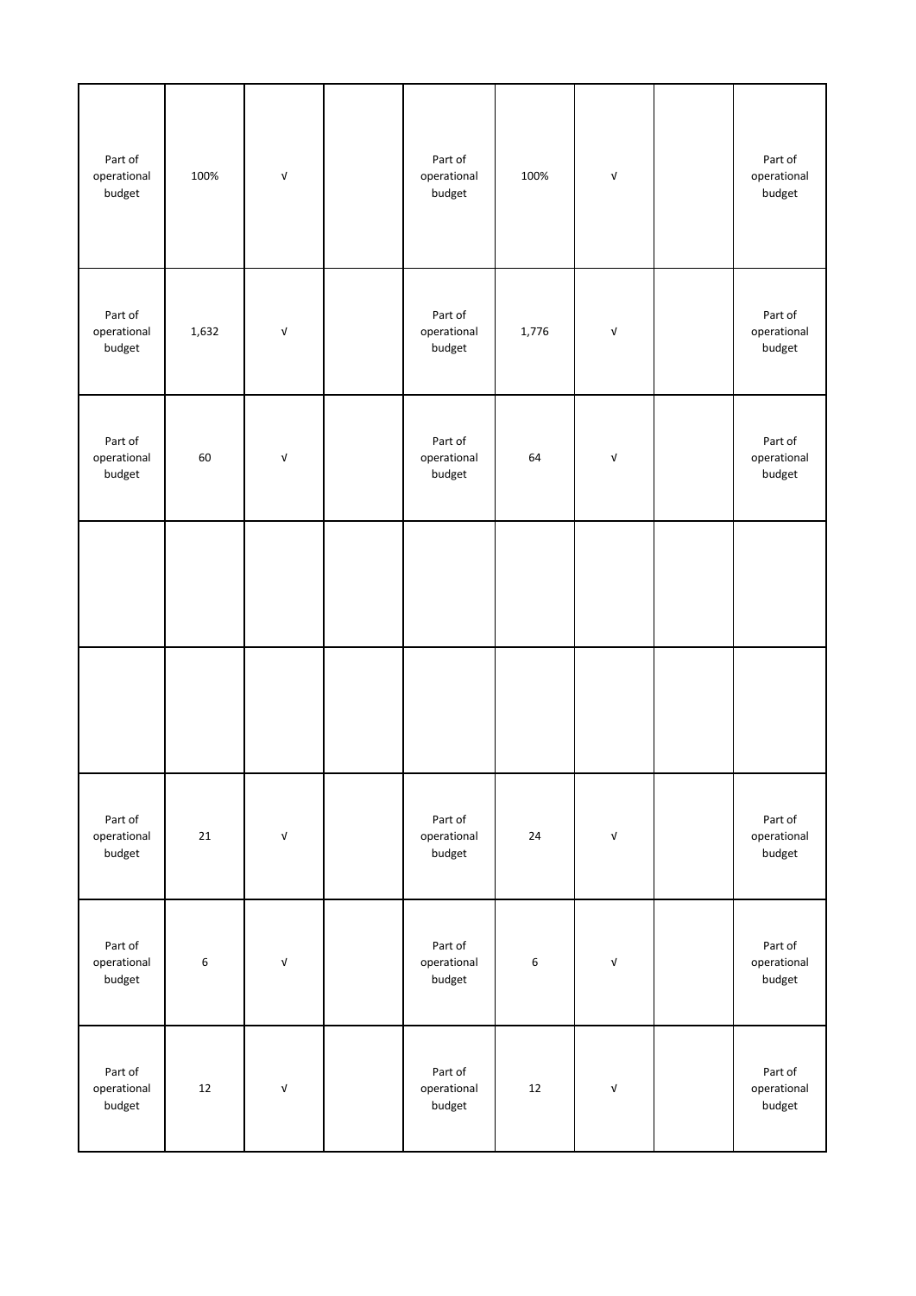| Part of<br>operational<br>budget | 100%    | $\mathsf{V}$              | Part of<br>operational<br>budget | 100%    | V                         | Part of<br>operational<br>budget |
|----------------------------------|---------|---------------------------|----------------------------------|---------|---------------------------|----------------------------------|
| Part of<br>operational<br>budget | 1,632   | $\ensuremath{\mathsf{V}}$ | Part of<br>operational<br>budget | 1,776   | $\sqrt{ }$                | Part of<br>operational<br>budget |
| Part of<br>operational<br>budget | 60      | $\sqrt{ }$                | Part of<br>operational<br>budget | 64      | $\sqrt{ }$                | Part of<br>operational<br>budget |
|                                  |         |                           |                                  |         |                           |                                  |
|                                  |         |                           |                                  |         |                           |                                  |
| Part of<br>operational<br>budget | 21      | $\ensuremath{\mathsf{V}}$ | Part of<br>operational<br>budget | 24      | $\ensuremath{\mathsf{v}}$ | Part of<br>operational<br>budget |
| Part of<br>operational<br>budget | $\,6\,$ | $\ensuremath{\mathsf{V}}$ | Part of<br>operational<br>budget | $\,6\,$ | $\mathsf{V}$              | Part of<br>operational<br>budget |
| Part of<br>operational<br>budget | $12\,$  | $\ensuremath{\mathsf{V}}$ | Part of<br>operational<br>budget | 12      | $\ensuremath{\mathsf{V}}$ | Part of<br>operational<br>budget |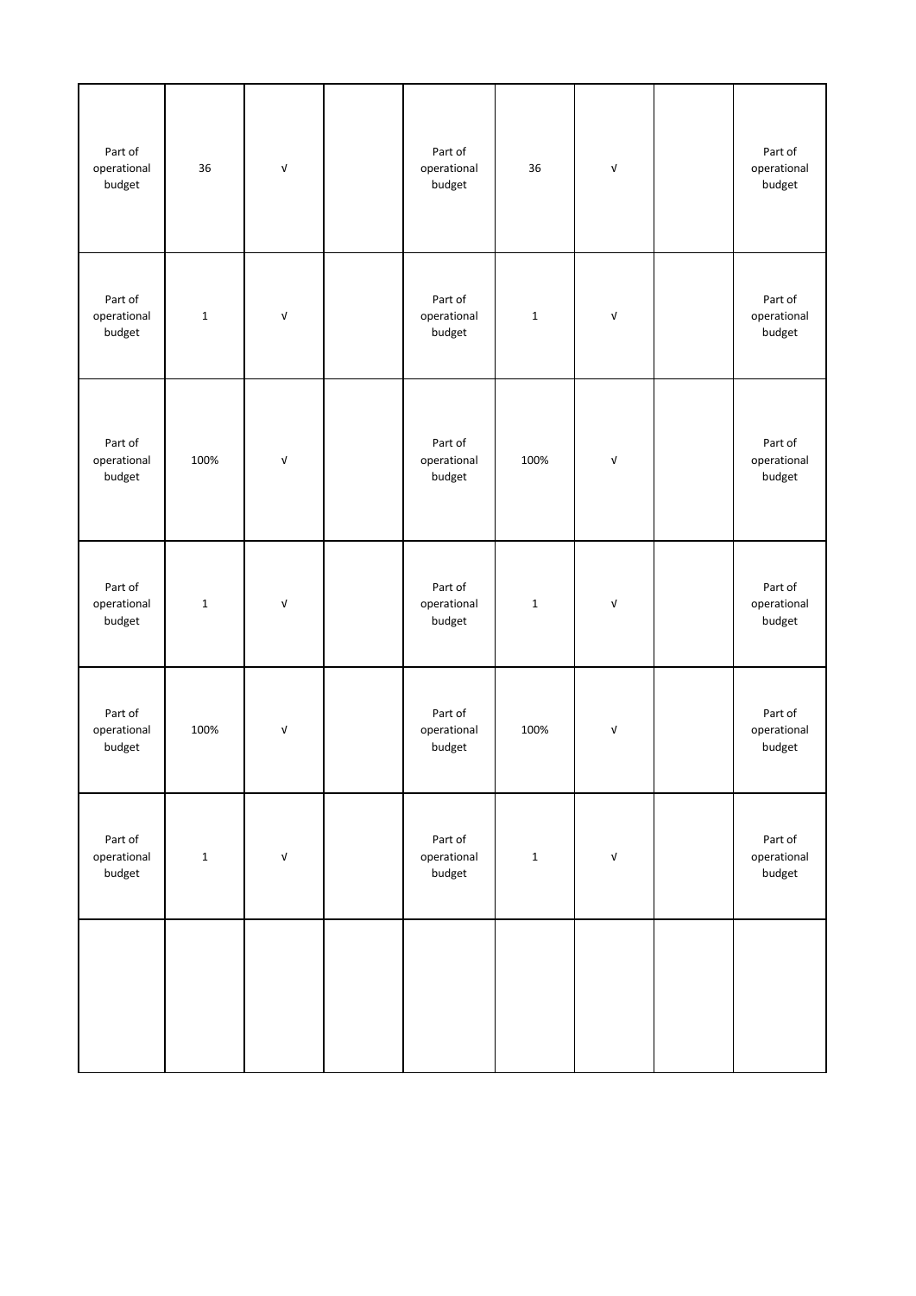| Part of<br>operational<br>budget | 36          | $\ensuremath{\mathsf{V}}$ | Part of<br>operational<br>budget | 36          | $\ensuremath{\mathsf{V}}$ | Part of<br>operational<br>budget |
|----------------------------------|-------------|---------------------------|----------------------------------|-------------|---------------------------|----------------------------------|
| Part of<br>operational<br>budget | $\mathbf 1$ | $\ensuremath{\mathsf{V}}$ | Part of<br>operational<br>budget | $\mathbf 1$ | $\ensuremath{\mathsf{V}}$ | Part of<br>operational<br>budget |
| Part of<br>operational<br>budget | 100%        | $\ensuremath{\mathsf{V}}$ | Part of<br>operational<br>budget | 100%        | $\sqrt{ }$                | Part of<br>operational<br>budget |
| Part of<br>operational<br>budget | $\mathbf 1$ | $\ensuremath{\mathsf{V}}$ | Part of<br>operational<br>budget | $\mathbf 1$ | $\ensuremath{\mathsf{V}}$ | Part of<br>operational<br>budget |
| Part of<br>operational<br>budget | 100%        | $\ensuremath{\mathsf{V}}$ | Part of<br>operational<br>budget | 100%        | $\sqrt{ }$                | Part of<br>operational<br>budget |
| Part of<br>operational<br>budget | $\mathbf 1$ | $\ensuremath{\mathsf{V}}$ | Part of<br>operational<br>budget | $\mathbf 1$ | $\ensuremath{\mathsf{V}}$ | Part of<br>operational<br>budget |
|                                  |             |                           |                                  |             |                           |                                  |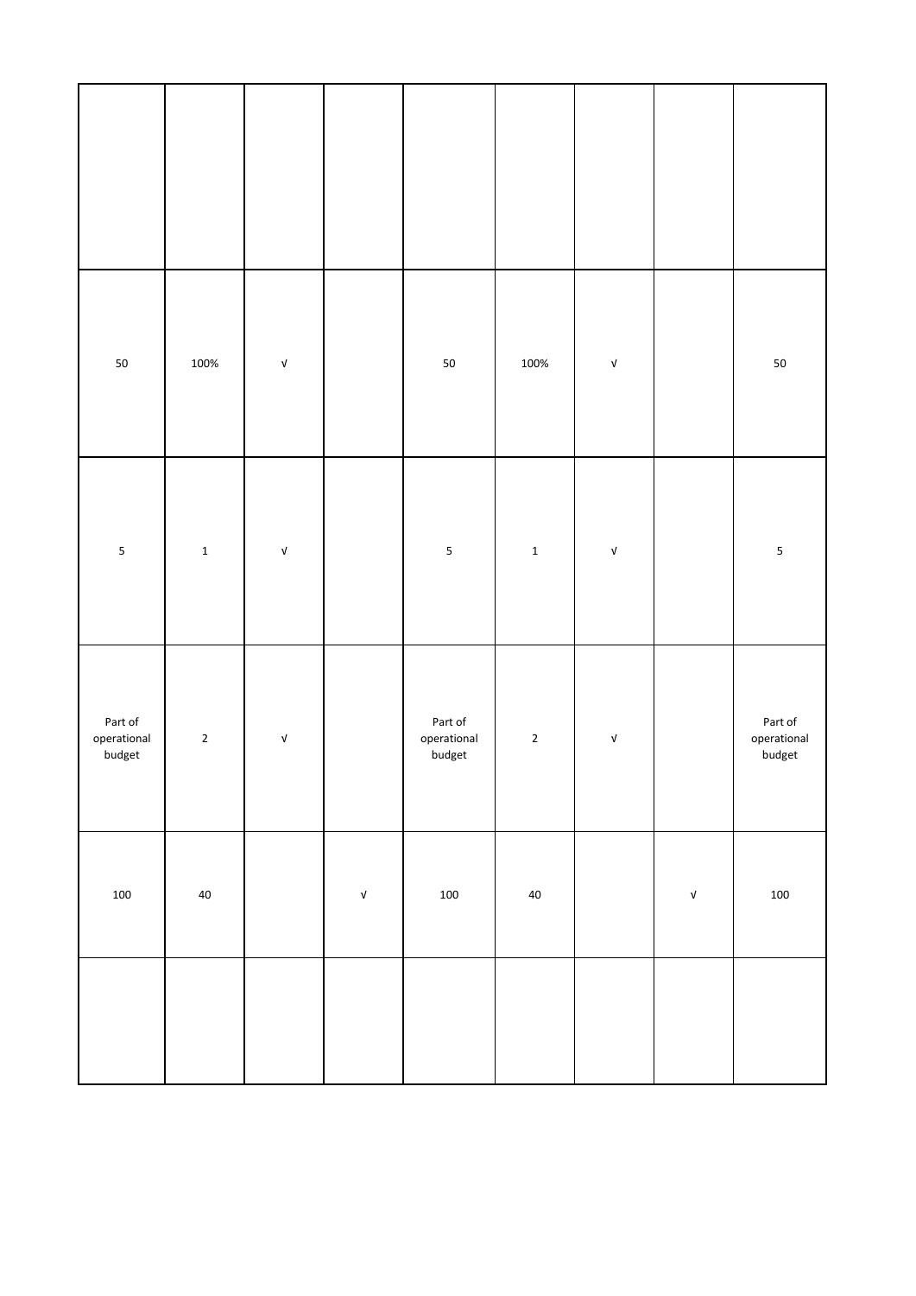| 50                               | 100%        | $\ensuremath{\mathsf{v}}\xspace$ |                                  | ${\bf 50}$                       | 100%        | $\ensuremath{\mathsf{v}}\xspace$ |                           | $50\,$                           |
|----------------------------------|-------------|----------------------------------|----------------------------------|----------------------------------|-------------|----------------------------------|---------------------------|----------------------------------|
| $\sf 5$                          | $\mathbf 1$ | $\ensuremath{\mathsf{v}}\xspace$ |                                  | $\sf 5$                          | $\mathbf 1$ | $\ensuremath{\mathsf{v}}\xspace$ |                           | $\sf 5$                          |
| Part of<br>operational<br>budget | $\mathbf 2$ | $\ensuremath{\mathsf{v}}\xspace$ |                                  | Part of<br>operational<br>budget | $\mathbf 2$ | $\ensuremath{\mathsf{v}}\xspace$ |                           | Part of<br>operational<br>budget |
| 100                              | $40\,$      |                                  | $\ensuremath{\mathsf{v}}\xspace$ | $100\,$                          | $40\,$      |                                  | $\ensuremath{\mathsf{V}}$ | 100                              |
|                                  |             |                                  |                                  |                                  |             |                                  |                           |                                  |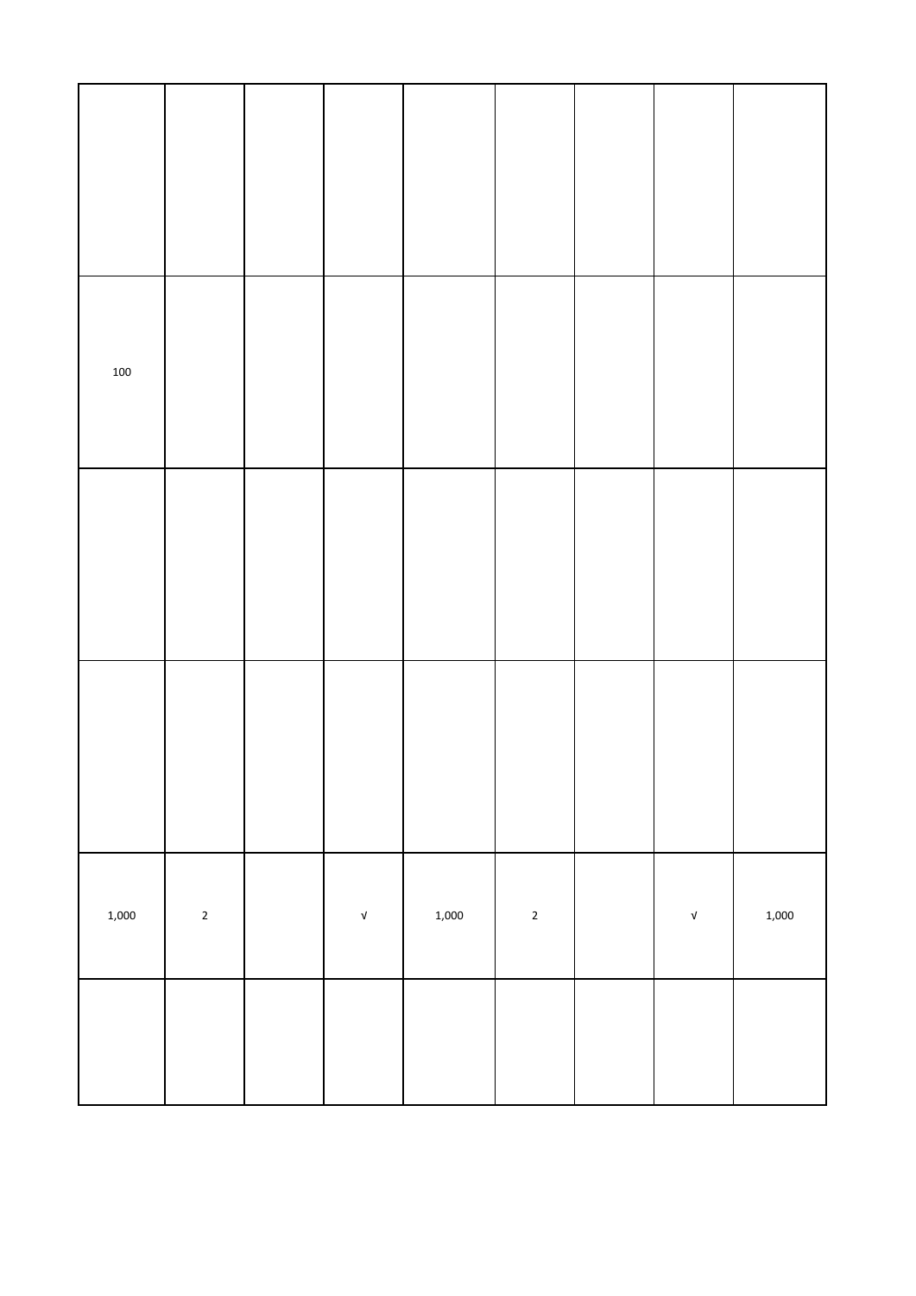| 100   |             |                                  |       |             |                           |       |
|-------|-------------|----------------------------------|-------|-------------|---------------------------|-------|
|       |             |                                  |       |             |                           |       |
|       |             |                                  |       |             |                           |       |
| 1,000 | $\mathbf 2$ | $\ensuremath{\mathsf{v}}\xspace$ | 1,000 | $\mathbf 2$ | $\ensuremath{\mathsf{V}}$ | 1,000 |
|       |             |                                  |       |             |                           |       |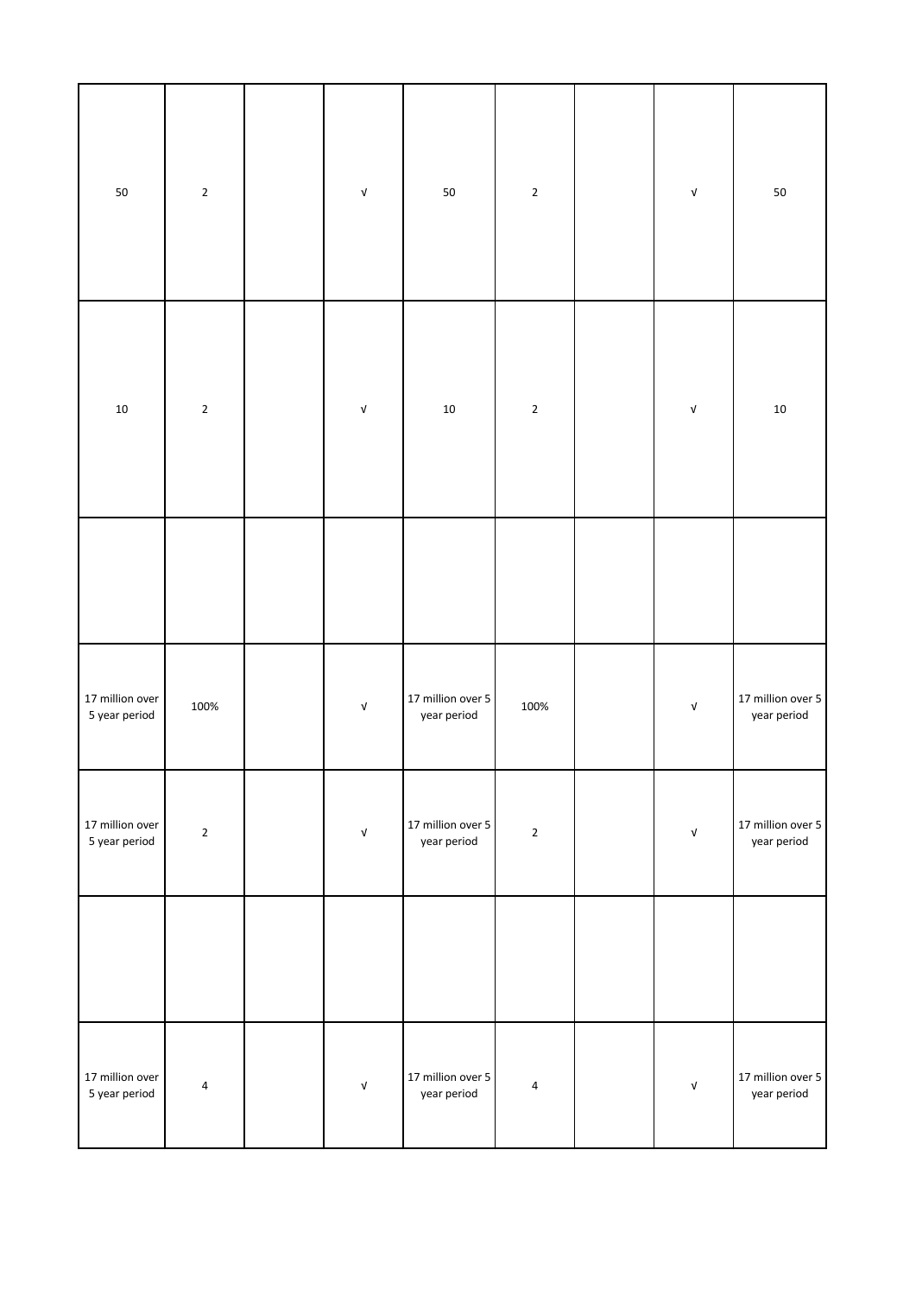| $50\,$                           | $\sqrt{2}$  | ${\sf V}$                 | $50\,$                           | $\mathbf{2}$            | $\ensuremath{\mathsf{V}}$        | $50\,$                           |
|----------------------------------|-------------|---------------------------|----------------------------------|-------------------------|----------------------------------|----------------------------------|
| $10\,$                           | $\mathbf 2$ | $\ensuremath{\mathsf{V}}$ | $10\,$                           | $\sqrt{2}$              | $\sqrt{ }$                       | $10\,$                           |
|                                  |             |                           |                                  |                         |                                  |                                  |
| 17 million over<br>5 year period | 100%        | ${\sf V}$                 | 17 million over 5<br>year period | 100%                    | $\sqrt{ }$                       | 17 million over 5<br>year period |
| 17 million over<br>5 year period | $\mathbf 2$ | ${\mathsf v}$             | 17 million over 5<br>year period | $\overline{2}$          | $\ensuremath{\mathsf{V}}$        | 17 million over 5<br>year period |
|                                  |             |                           |                                  |                         |                                  |                                  |
| 17 million over<br>5 year period | $\pmb{4}$   | ${\mathsf v}$             | 17 million over 5<br>year period | $\overline{\mathbf{4}}$ | $\ensuremath{\mathsf{V}}\xspace$ | 17 million over 5<br>year period |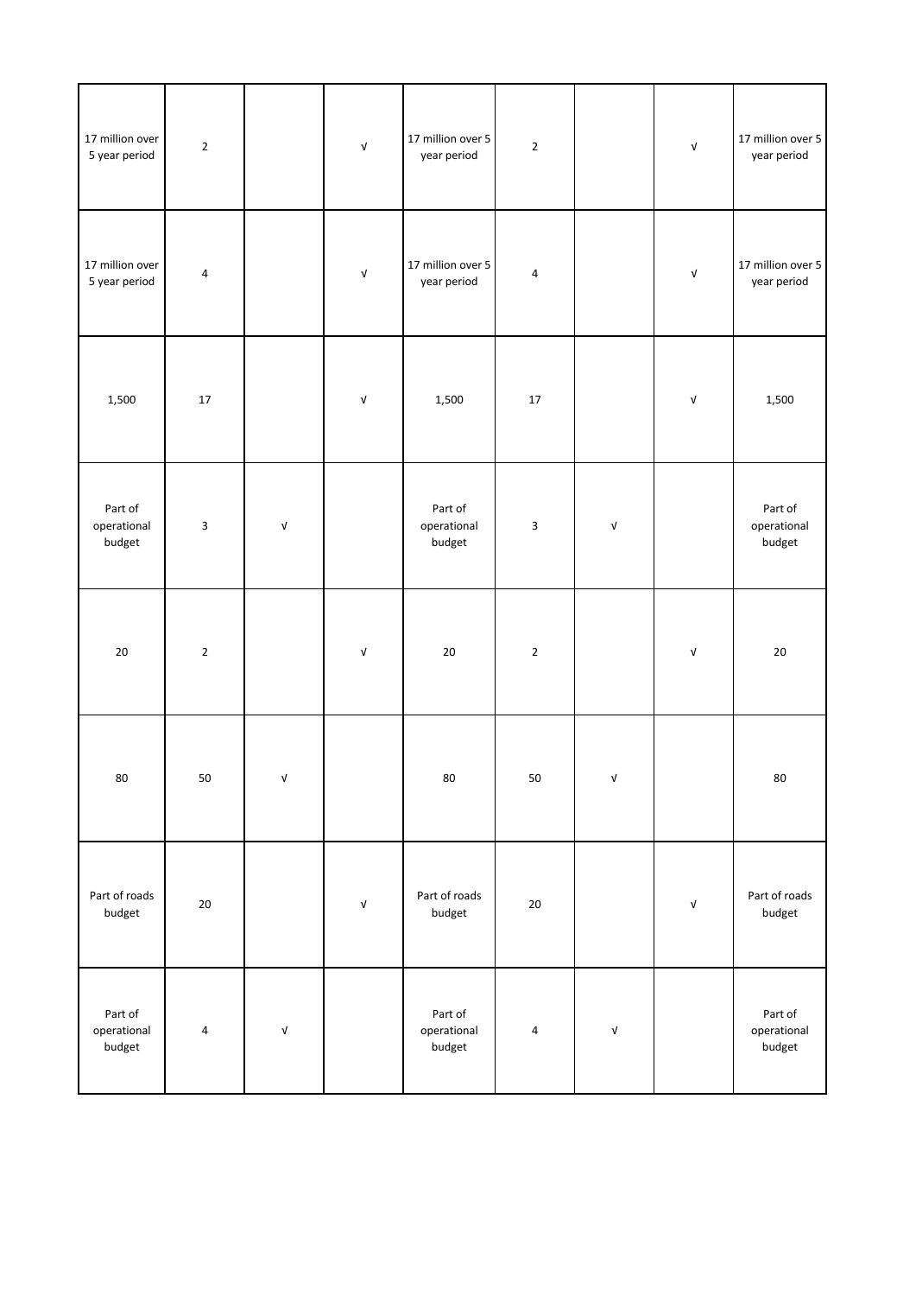| 17 million over<br>5 year period | $\sqrt{2}$  |                                  | $\ensuremath{\mathsf{V}}$ | 17 million over 5<br>year period | $\mathbf 2$               |                                  | $\ensuremath{\mathsf{v}}\xspace$ | 17 million over 5<br>year period |
|----------------------------------|-------------|----------------------------------|---------------------------|----------------------------------|---------------------------|----------------------------------|----------------------------------|----------------------------------|
| 17 million over<br>5 year period | 4           |                                  | $\ensuremath{\mathsf{V}}$ | 17 million over 5<br>year period | $\sqrt{4}$                |                                  | $\ensuremath{\mathsf{v}}\xspace$ | 17 million over 5<br>year period |
| 1,500                            | $17\,$      |                                  | $\ensuremath{\mathsf{V}}$ | 1,500                            | $17\,$                    |                                  | $\ensuremath{\mathsf{V}}$        | 1,500                            |
| Part of<br>operational<br>budget | 3           | $\ensuremath{\mathsf{v}}\xspace$ |                           | Part of<br>operational<br>budget | $\ensuremath{\mathsf{3}}$ | $\ensuremath{\mathsf{v}}\xspace$ |                                  | Part of<br>operational<br>budget |
| $20\,$                           | $\mathbf 2$ |                                  | $\ensuremath{\mathsf{V}}$ | $20\,$                           | $\mathbf 2$               |                                  | $\ensuremath{\mathsf{V}}$        | $20\,$                           |
| 80                               | 50          | V                                |                           | 80                               | 50                        | V                                |                                  | 80                               |
| Part of roads<br>budget          | $20\,$      |                                  | $\ensuremath{\mathsf{V}}$ | Part of roads<br>budget          | $20\,$                    |                                  | $\ensuremath{\mathsf{v}}\xspace$ | Part of roads<br>budget          |
| Part of<br>operational<br>budget | $\pmb{4}$   | $\ensuremath{\mathsf{v}}\xspace$ |                           | Part of<br>operational<br>budget | $\pmb{4}$                 | $\ensuremath{\mathsf{v}}\xspace$ |                                  | Part of<br>operational<br>budget |